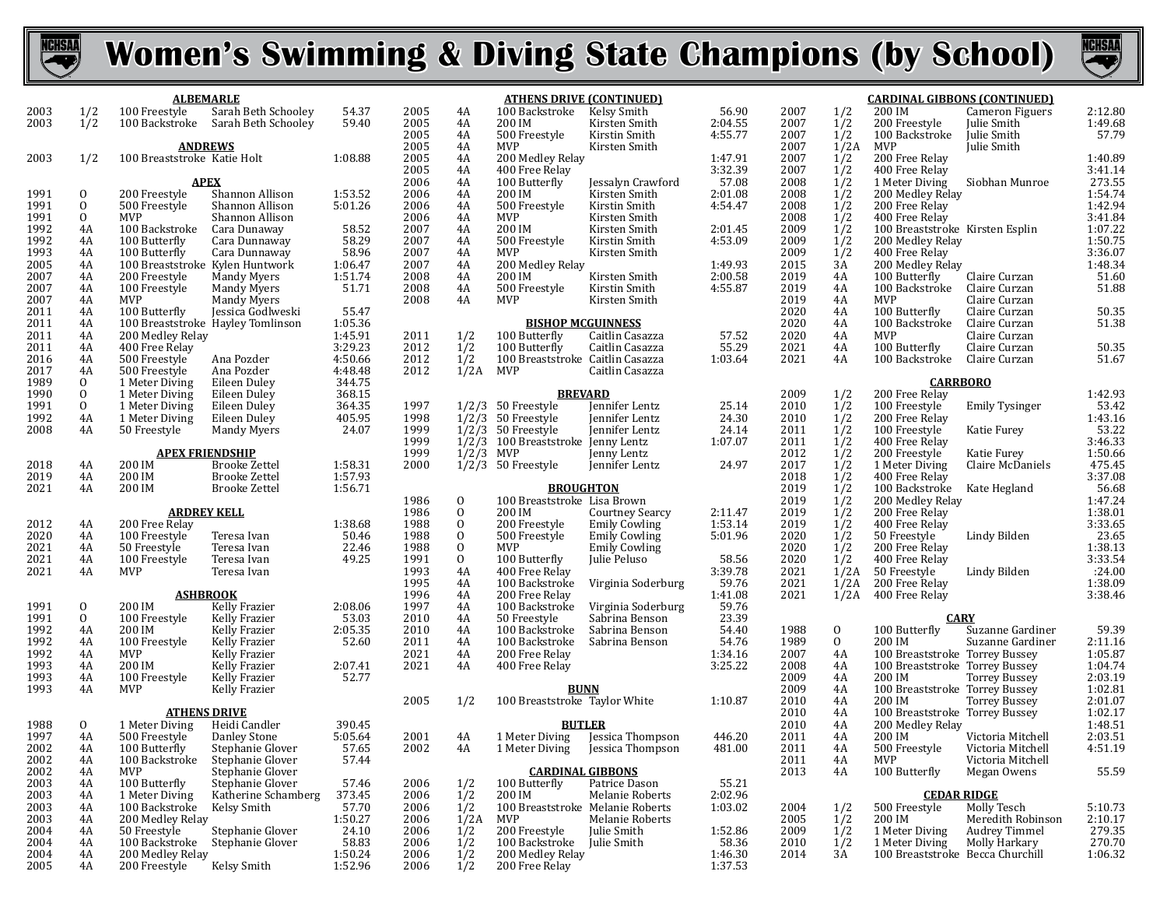



|              | <b>ALBEMARLE</b>   |                                                  |                                              |                    |              | <u>ATHENS DRIVE (CONTINUED)</u> |                                                   |                                       |                    |              |                | <b>CARDINAL GIBBONS (CONTINUED)</b>      |                                        |                    |  |  |
|--------------|--------------------|--------------------------------------------------|----------------------------------------------|--------------------|--------------|---------------------------------|---------------------------------------------------|---------------------------------------|--------------------|--------------|----------------|------------------------------------------|----------------------------------------|--------------------|--|--|
| 2003         | 1/2                | 100 Freestyle                                    | Sarah Beth Schooley                          | 54.37              | 2005         | 4A                              | 100 Backstroke                                    | Kelsy Smith                           | 56.90              | 2007         | 1/2            | 200 IM                                   | Cameron Figuers                        | 2:12.80            |  |  |
| 2003         | 1/2                | 100 Backstroke                                   | Sarah Beth Schooley                          | 59.40              | 2005<br>2005 | 4A                              | 200 IM<br>500 Freestyle                           | Kirsten Smith<br>Kirstin Smith        | 2:04.55<br>4:55.77 | 2007<br>2007 | 1/2<br>1/2     | 200 Freestyle<br>100 Backstroke          | Julie Smith<br>Julie Smith             | 1:49.68<br>57.79   |  |  |
|              |                    | <b>ANDREWS</b>                                   |                                              |                    | 2005         | 4A<br>4A                        | <b>MVP</b>                                        | Kirsten Smith                         |                    | 2007         | 1/2A           | MVP                                      | Julie Smith                            |                    |  |  |
| 2003         | 1/2                | 100 Breaststroke Katie Holt                      |                                              | 1:08.88            | 2005         | 4A                              | 200 Medley Relay                                  |                                       | 1:47.91            | 2007         | 1/2            | 200 Free Relay                           |                                        | 1:40.89            |  |  |
|              |                    |                                                  |                                              |                    | 2005         | 4A                              | 400 Free Relay                                    |                                       | 3:32.39            | 2007         | 1/2            | 400 Free Relay                           |                                        | 3:41.14            |  |  |
|              |                    |                                                  | <b>APEX</b>                                  |                    | 2006         | 4A                              | 100 Butterfly                                     | Jessalyn Crawford                     | 57.08              | 2008         | 1/2            | 1 Meter Diving                           | Siobhan Munroe                         | 273.55             |  |  |
| 1991<br>1991 | 0<br>0             | 200 Freestyle<br>500 Freestyle                   | Shannon Allison<br>Shannon Allison           | 1:53.52            | 2006<br>2006 | 4A                              | 200 IM<br>500 Freestyle                           | Kirsten Smith<br>Kirstin Smith        | 2:01.08<br>4:54.47 | 2008<br>2008 | $\frac{1}{2}$  | 200 Medley Relay<br>200 Free Relay       |                                        | 1:54.74<br>1:42.94 |  |  |
| 1991         | $\sigma$           | MVP                                              | Shannon Allison                              | 5:01.26            | 2006         | 4A<br>4A                        | MVP                                               | Kirsten Smith                         |                    | 2008         | 1/2            | 400 Free Relay                           |                                        | 3:41.84            |  |  |
| 1992         | 4A                 | 100 Backstroke                                   | Cara Dunaway                                 | 58.52              | 2007         | 4A                              | 200 IM                                            | Kirsten Smith                         | 2:01.45            | 2009         | 1/2            | 100 Breaststroke Kirsten Esplin          |                                        | 1:07.22            |  |  |
| 1992         | 4A                 | 100 Butterfly                                    | Cara Dunnaway                                | 58.29              | 2007         | 4A                              | 500 Freestyle                                     | Kirstin Smith                         | 4:53.09            | 2009         | 1/2            | 200 Medley Relay                         |                                        | 1:50.75            |  |  |
| 1993         | 4A                 | 100 Butterfly                                    | Cara Dunnaway                                | 58.96              | 2007         | 4A                              | <b>MVP</b>                                        | Kirsten Smith                         |                    | 2009         | 1/2            | 400 Free Relay                           |                                        | 3:36.07            |  |  |
| 2005<br>2007 | 4A<br>4A           | 100 Breaststroke Kylen Huntwork<br>200 Freestyle |                                              | 1:06.47<br>1:51.74 | 2007<br>2008 | 4A<br>4A                        | 200 Medley Relay<br>200 IM                        |                                       | 1:49.93<br>2:00.58 | 2015<br>2019 | 3A<br>4A       | 200 Medley Relay<br>100 Butterfly        | Claire Curzan                          | 1:48.34<br>51.60   |  |  |
| 2007         | 4A                 | 100 Freestyle                                    | Mandy Myers<br><b>Mandy Myers</b>            | 51.71              | 2008         | 4A                              | 500 Freestyle                                     | Kirsten Smith<br>Kirstin Smith        | 4:55.87            | 2019         | 4A             | 100 Backstroke                           | Claire Curzan                          | 51.88              |  |  |
| 2007         | 4A                 | MVP                                              | Mandy Myers                                  |                    | 2008         | 4A                              | <b>MVP</b>                                        | Kirsten Smith                         |                    | 2019         | 4A             | <b>MVP</b>                               | Claire Curzan                          |                    |  |  |
| 2011         | 4A                 | 100 Butterfly                                    | Jessica Godlweski                            | 55.47              |              |                                 |                                                   |                                       |                    | 2020         | 4A             | 100 Butterfly                            | Claire Curzan                          | 50.35              |  |  |
| 2011         | 4A                 |                                                  | 100 Breaststroke Hayley Tomlinson            | 1:05.36            |              |                                 | <b>BISHOP MCGUINNESS</b>                          |                                       |                    | 2020         | 4A             | 100 Backstroke                           | Claire Curzan                          | 51.38              |  |  |
| 2011<br>2011 | 4A<br>4A           | 200 Medley Relay                                 |                                              | 1:45.91<br>3:29.23 | 2011<br>2012 | 1/2<br>1/2                      | 100 Butterfly                                     | Caitlin Casazza<br>Caitlin Casazza    | 57.52<br>55.29     | 2020<br>2021 | 4A<br>4A       | MVP                                      | Claire Curzan<br>Claire Curzan         | 50.35              |  |  |
| 2016         | 4A                 | 400 Free Relay<br>500 Freestyle                  | Ana Pozder                                   | 4:50.66            | 2012         | 1/2                             | 100 Butterfly<br>100 Breaststroke Caitlin Casazza |                                       | 1:03.64            | 2021         | 4A             | 100 Butterfly<br>100 Backstroke          | Claire Curzan                          | 51.67              |  |  |
| 2017         | 4A                 | 500 Freestyle                                    | Ana Pozder                                   | 4:48.48            | 2012         | 1/2A                            | MVP                                               | Caitlin Casazza                       |                    |              |                |                                          |                                        |                    |  |  |
| 1989         | $\theta$           | 1 Meter Diving                                   | Eileen Duley                                 | 344.75             |              |                                 |                                                   |                                       |                    |              |                | <b>CARRBORO</b>                          |                                        |                    |  |  |
| 1990         | $\mathbf{0}$       | 1 Meter Diving                                   | Eileen Duley                                 | 368.15             |              |                                 | <b>BREVARD</b>                                    |                                       |                    | 2009         | 1/2            | 200 Free Relay                           |                                        | 1:42.93            |  |  |
| 1991<br>1992 | $\mathbf{0}$<br>4A | 1 Meter Diving<br>1 Meter Diving                 | Eileen Duley<br>Eileen Duley                 | 364.35<br>405.95   | 1997<br>1998 |                                 | $1/2/3$ 50 Freestyle<br>$1/2/3$ 50 Freestyle      | Jennifer Lentz<br>Jennifer Lentz      | 25.14<br>24.30     | 2010<br>2010 | 1/2<br>1/2     | 100 Freestyle<br>200 Free Relay          | <b>Emily Tysinger</b>                  | 53.42<br>1:43.16   |  |  |
| 2008         | 4A                 | 50 Freestyle                                     | Mandy Myers                                  | 24.07              | 1999         |                                 | $1/2/3$ 50 Freestyle                              | <b>Jennifer</b> Lentz                 | 24.14              | 2011         | 1/2            | 100 Freestyle                            | Katie Furey                            | 53.22              |  |  |
|              |                    |                                                  |                                              |                    | 1999         |                                 | 1/2/3 100 Breaststroke Jenny Lentz                |                                       | 1:07.07            | 2011         | 1/2            | 400 Free Relay                           |                                        | 3:46.33            |  |  |
|              |                    |                                                  | <b>APEX FRIENDSHIP</b>                       |                    | 1999         | 1/2/3                           | MVP                                               | Jenny Lentz                           |                    | 2012         | 1/2            | 200 Freestyle                            | Katie Furey                            | 1:50.66            |  |  |
| 2018         | 4A                 | 200 IM                                           | <b>Brooke Zettel</b>                         | 1:58.31            | 2000         |                                 | $1/2/3$ 50 Freestyle                              | Jennifer Lentz                        | 24.97              | 2017         | 1/2            | 1 Meter Diving                           | Claire McDaniels                       | 475.45             |  |  |
| 2019<br>2021 | 4A<br>4A           | 200 IM<br>200 IM                                 | <b>Brooke Zettel</b><br><b>Brooke Zettel</b> | 1:57.93<br>1:56.71 |              |                                 | <b>BROUGHTON</b>                                  |                                       |                    | 2018<br>2019 | 1/2<br>1/2     | 400 Free Relay<br>100 Backstroke         | Kate Hegland                           | 3:37.08<br>56.68   |  |  |
|              |                    |                                                  |                                              |                    | 1986         | $\mathbf 0$                     | 100 Breaststroke Lisa Brown                       |                                       |                    | 2019         | 1/2            | 200 Medley Relay                         |                                        | 1:47.24            |  |  |
|              |                    | <b>ARDREY KELL</b>                               |                                              |                    | 1986         | $\mathbf{0}$                    | 200 IM                                            | <b>Courtney Searcy</b>                | 2:11.47            | 2019         | 1/2            | 200 Free Relay                           |                                        | 1:38.01            |  |  |
| 2012         | 4A                 | 200 Free Relay                                   |                                              | 1:38.68            | 1988         | $\mathbf 0$                     | 200 Freestyle                                     | <b>Emily Cowling</b>                  | 1:53.14            | 2019         | 1/2            | 400 Free Relay                           |                                        | 3:33.65            |  |  |
| 2020         | 4A                 | 100 Freestyle                                    | Teresa Ivan                                  | 50.46              | 1988         | $\mathbf{0}$                    | 500 Freestyle                                     | <b>Emily Cowling</b>                  | 5:01.96            | 2020         | 1/2            | 50 Freestyle                             | Lindy Bilden                           | 23.65              |  |  |
| 2021<br>2021 | 4A<br>4A           | 50 Freestyle<br>100 Freestyle                    | Teresa Ivan<br>Teresa Ivan                   | 22.46<br>49.25     | 1988<br>1991 | $\mathbf{0}$<br>$\mathbf{0}$    | MVP<br>100 Butterfly                              | <b>Emily Cowling</b><br>Julie Peluso  | 58.56              | 2020<br>2020 | 1/2<br>1/2     | 200 Free Relay<br>400 Free Relay         |                                        | 1:38.13<br>3:33.54 |  |  |
| 2021         | 4A                 | MVP                                              | Teresa Ivan                                  |                    | 1993         | 4A                              | 400 Free Relay                                    |                                       | 3:39.78            | 2021         | 1/2A           | 50 Freestyle                             | Lindy Bilden                           | :24.00             |  |  |
|              |                    |                                                  |                                              |                    | 1995         | 4A                              | 100 Backstroke                                    | Virginia Soderburg                    | 59.76              | 2021         | 1/2A           | 200 Free Relay                           |                                        | 1:38.09            |  |  |
|              |                    |                                                  | <b>ASHBROOK</b>                              |                    | 1996         | 4A                              | 200 Free Relay                                    |                                       | 1:41.08            | 2021         | 1/2A           | 400 Free Relay                           |                                        | 3:38.46            |  |  |
| 1991         | $\mathbf{0}$       | 200 IM                                           | Kelly Frazier                                | 2:08.06            | 1997         | 4A                              | 100 Backstroke                                    | Virginia Soderburg                    | 59.76              |              |                |                                          |                                        |                    |  |  |
| 1991<br>1992 | $\mathbf{0}$<br>4A | 100 Freestyle<br>200 IM                          | Kelly Frazier<br>Kelly Frazier               | 53.03<br>2:05.35   | 2010<br>2010 | 4A<br>4A                        | 50 Freestyle<br>100 Backstroke                    | Sabrina Benson<br>Sabrina Benson      | 23.39<br>54.40     | 1988         | $\overline{0}$ | <b>CARY</b><br>100 Butterfly             | Suzanne Gardiner                       | 59.39              |  |  |
| 1992         | 4A                 | 100 Freestyle                                    | Kelly Frazier                                | 52.60              | 2011         | 4A                              | 100 Backstroke                                    | Sabrina Benson                        | 54.76              | 1989         | $\overline{0}$ | 200 IM                                   | Suzanne Gardiner                       | 2:11.16            |  |  |
| 1992         | 4A                 | MVP                                              | Kelly Frazier                                |                    | 2021         | 4A                              | 200 Free Relay                                    |                                       | 1:34.16            | 2007         | 4A             | 100 Breaststroke Torrey Bussey           |                                        | 1:05.87            |  |  |
| 1993         | 4A                 | 200 IM                                           | Kelly Frazier                                | 2:07.41            | 2021         | 4A                              | 400 Free Relay                                    |                                       | 3:25.22            | 2008         | 4A             | 100 Breaststroke Torrey Bussey           |                                        | 1:04.74            |  |  |
| 1993<br>1993 | 4A                 | 100 Freestyle                                    | Kelly Frazier<br>Kelly Frazier               | 52.77              |              |                                 |                                                   |                                       |                    | 2009<br>2009 | 4A<br>4A       | 200 IM                                   | <b>Torrey Bussey</b>                   | 2:03.19<br>1:02.81 |  |  |
|              | 4A                 | MVP                                              |                                              |                    | 2005         | 1/2                             | <b>BUNN</b><br>100 Breaststroke Taylor White      |                                       | 1:10.87            | 2010         | 4A             | 100 Breaststroke Torrey Bussey<br>200 IM | <b>Torrey Bussey</b>                   | 2:01.07            |  |  |
|              |                    |                                                  | <b>ATHENS DRIVE</b>                          |                    |              |                                 |                                                   |                                       |                    | 2010         | 4A             | 100 Breaststroke Torrey Bussey           |                                        | 1:02.17            |  |  |
| 1988         | $\mathbf{0}$       | 1 Meter Diving                                   | Heidi Candler                                | 390.45             |              |                                 | <b>BUTLER</b>                                     |                                       |                    | 2010         | 4A             | 200 Medley Relay                         |                                        | 1:48.51            |  |  |
| 1997         | 4A                 | 500 Freestyle                                    | Danley Stone                                 | 5:05.64            | 2001         | 4A                              | 1 Meter Diving                                    | Jessica Thompson                      | 446.20             | 2011         | 4A             | 200 IM                                   | Victoria Mitchell                      | 2:03.51            |  |  |
| 2002<br>2002 | 4A<br>4A           | 100 Butterfly<br>100 Backstroke                  | Stephanie Glover<br>Stephanie Glover         | 57.65<br>57.44     | 2002         | 4A                              |                                                   | 1 Meter Diving Jessica Thompson       | 481.00             | 2011<br>2011 | 4A<br>4A       | 500 Freestyle<br>MVP                     | Victoria Mitchell<br>Victoria Mitchell | 4:51.19            |  |  |
| 2002         | 4A                 | MVP                                              | Stephanie Glover                             |                    |              |                                 | <b>CARDINAL GIBBONS</b>                           |                                       |                    | 2013         | 4A             | 100 Butterfly                            | Megan Owens                            | 55.59              |  |  |
| 2003         | 4A                 | 100 Butterfly                                    | Stephanie Glover                             | 57.46              | 2006         | 1/2                             | 100 Butterfly                                     | Patrice Dason                         | 55.21              |              |                |                                          |                                        |                    |  |  |
| 2003         | 4A                 | 1 Meter Diving                                   | Katherine Schamberg                          | 373.45             | 2006         | 1/2                             | 200 IM                                            | Melanie Roberts                       | 2:02.96            |              |                | <b>CEDAR RIDGE</b>                       |                                        |                    |  |  |
| 2003         | 4A                 | 100 Backstroke                                   | Kelsy Smith                                  | 57.70              | 2006         | 1/2                             | 100 Breaststroke Melanie Roberts                  |                                       | 1:03.02            | 2004         | 1/2            | 500 Freestyle                            | Molly Tesch                            | 5:10.73            |  |  |
| 2003<br>2004 | 4A<br>4A           | 200 Medley Relay<br>50 Freestyle                 | Stephanie Glover                             | 1:50.27<br>24.10   | 2006<br>2006 | 1/2A<br>1/2                     | MVP<br>200 Freestyle                              | Melanie Roberts<br><b>Iulie Smith</b> | 1:52.86            | 2005<br>2009 | 1/2<br>1/2     | 200 IM<br>1 Meter Diving                 | Meredith Robinson<br>Audrey Timmel     | 2:10.17<br>279.35  |  |  |
| 2004         | 4A                 | 100 Backstroke                                   | Stephanie Glover                             | 58.83              | 2006         | 1/2                             | 100 Backstroke                                    | Julie Smith                           | 58.36              | 2010         | 1/2            | 1 Meter Diving                           | Molly Harkary                          | 270.70             |  |  |
| 2004         | 4A                 | 200 Medley Relay                                 |                                              | 1:50.24            | 2006         | 1/2                             | 200 Medley Relay                                  |                                       | 1:46.30            | 2014         | 3A             | 100 Breaststroke Becca Churchill         |                                        | 1:06.32            |  |  |
| 2005         | 4A                 | 200 Freestyle                                    | Kelsy Smith                                  | 1:52.96            | 2006         | 1/2                             | 200 Free Relay                                    |                                       | 1:37.53            |              |                |                                          |                                        |                    |  |  |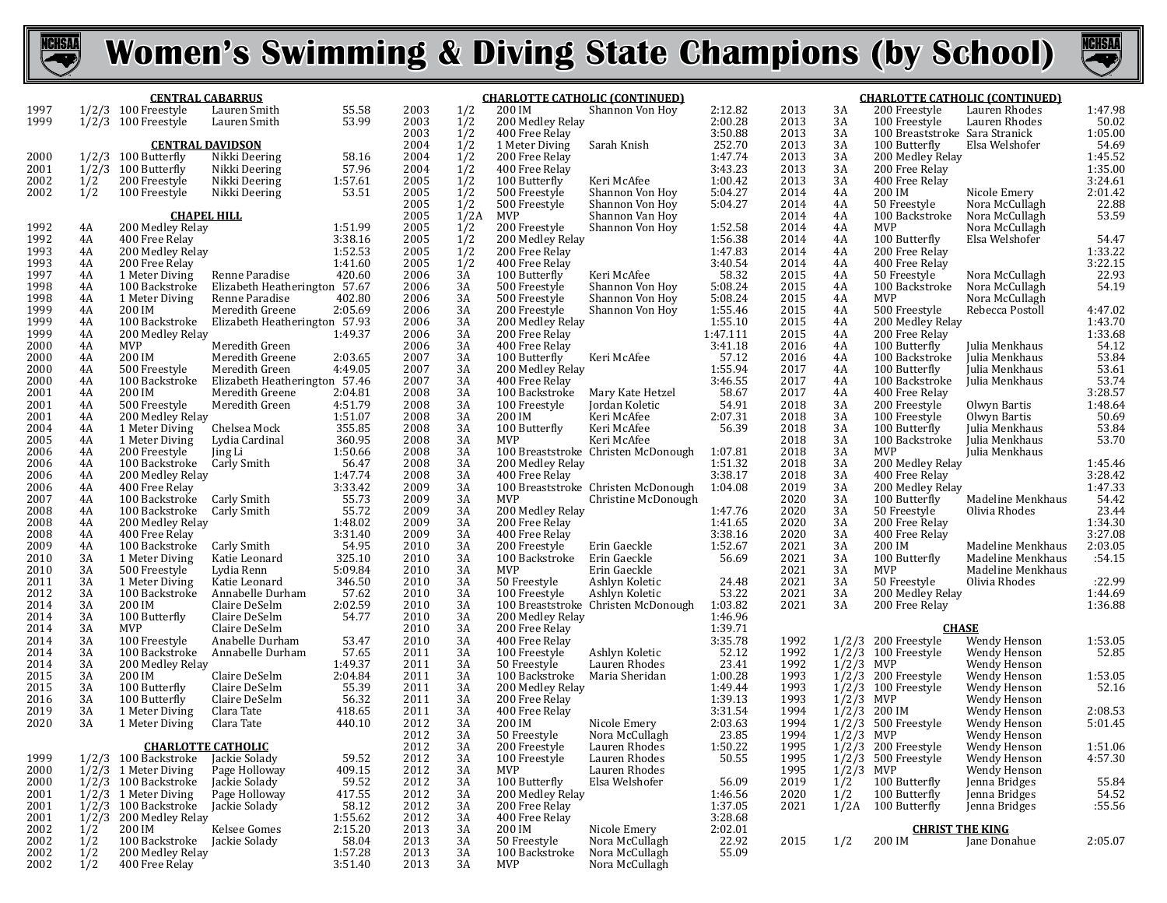



|              |               | <b>CENTRAL CABARRUS</b>                  |                                |                   | <b>CHARLOTTE CATHOLIC (CONTINUED)</b> |            |                                    |                                     |                     |              | <b>CHARLOTTE CATHOLIC (CONTINUED)</b> |                                                 |                                  |                        |  |
|--------------|---------------|------------------------------------------|--------------------------------|-------------------|---------------------------------------|------------|------------------------------------|-------------------------------------|---------------------|--------------|---------------------------------------|-------------------------------------------------|----------------------------------|------------------------|--|
| 1997         |               | $1/2/3$ 100 Freestyle                    | Lauren Smith                   | 55.58             | 2003                                  | 1/2        | 200 IM                             | Shannon Von Hoy                     | 2:12.82             | 2013         | 3A                                    | 200 Freestyle                                   | Lauren Rhodes                    | 1:47.98                |  |
| 1999         |               | $1/2/3$ 100 Freestyle                    | Lauren Smith                   | 53.99             | 2003<br>2003                          | 1/2<br>1/2 | 200 Medley Relay<br>400 Free Relay |                                     | 2:00.28<br>3:50.88  | 2013<br>2013 | 3A<br>3A                              | 100 Freestyle<br>100 Breaststroke Sara Stranick | Lauren Rhodes                    | 50.02<br>1:05.00       |  |
|              |               | <b>CENTRAL DAVIDSON</b>                  |                                |                   | 2004                                  | 1/2        | 1 Meter Diving                     | Sarah Knish                         | 252.70              | 2013         | 3A                                    | 100 Butterfly                                   | Elsa Welshofer                   | 54.69                  |  |
| 2000         |               | $1/2/3$ 100 Butterfly                    | Nikki Deering                  | 58.16             | 2004                                  | 1/2        | 200 Free Relay                     |                                     | 1:47.74             | 2013         | 3A                                    | 200 Medley Relay                                |                                  | 1:45.52                |  |
| 2001         | 1/2/3         | 100 Butterfly                            | Nikki Deering                  | 57.96             | 2004                                  | 1/2        | 400 Free Relay                     |                                     | 3:43.23             | 2013         | 3A                                    | 200 Free Relay                                  |                                  | 1:35.00                |  |
| 2002         | $\frac{1}{2}$ | 200 Freestyle                            | Nikki Deering                  | 1:57.61           | 2005                                  | 1/2        | 100 Butterfly                      | Keri McAfee                         | 1:00.42             | 2013         | 3A                                    | 400 Free Relay                                  |                                  | 3:24.61                |  |
| 2002         |               | 100 Freestyle                            | Nikki Deering                  | 53.51             | 2005                                  | 1/2        | 500 Freestyle                      | Shannon Von Hoy                     | 5:04.27             | 2014         | 4A                                    | 200 IM                                          | Nicole Emery                     | 2:01.42                |  |
|              |               |                                          |                                |                   | 2005                                  | 1/2        | 500 Freestyle                      | Shannon Von Hoy                     | 5:04.27             | 2014         | 4A                                    | 50 Freestyle                                    | Nora McCullagh                   | 22.88<br>53.59         |  |
| 1992         |               | <b>CHAPEL HILL</b>                       |                                | 1:51.99           | 2005<br>2005                          | 1/2A       | MVP<br>200 Freestyle               | Shannon Van Hoy                     |                     | 2014<br>2014 | 4A<br>4A                              | 100 Backstroke<br><b>MVP</b>                    | Nora McCullagh                   |                        |  |
| 1992         | 4A<br>4A      | 200 Medley Relay<br>400 Free Relay       |                                | 3:38.16           | 2005                                  | 1/2<br>1/2 | 200 Medley Relay                   | Shannon Von Hoy                     | 1:52.58<br>1:56.38  | 2014         | 4A                                    | 100 Butterfly                                   | Nora McCullagh<br>Elsa Welshofer | 54.47                  |  |
| 1993         | 4A            | 200 Medley Relay                         |                                | 1:52.53           | 2005                                  | 1/2        | 200 Free Relay                     |                                     | 1:47.83             | 2014         | 4A                                    | 200 Free Relay                                  |                                  |                        |  |
| 1993         | 4A            | 200 Free Relay                           |                                | 1:41.60           | 2005                                  | 1/2        | 400 Free Relay                     |                                     | 3:40.54             | 2014         | 4A                                    | 400 Free Relay                                  |                                  | $1:33.22$<br>$3:22.15$ |  |
| 1997         | 4A            | 1 Meter Diving                           | Renne Paradise                 | 420.60            | 2006                                  | 3A         | 100 Butterfly                      | Keri McAfee                         | 58.32               | 2015         | 4A                                    | 50 Freestyle                                    | Nora McCullagh                   | 22.93<br>54.19         |  |
| 1998         | 4A            | 100 Backstroke                           | Elizabeth Heatherington 57.67  |                   | 2006                                  | 3A         | 500 Freestyle                      | Shannon Von Hoy                     | 5:08.24             | 2015         | 4A                                    | 100 Backstroke                                  | Nora McCullagh                   |                        |  |
| 1998         | 4A            | 1 Meter Diving                           | Renne Paradise                 | 402.80            | 2006                                  | 3A         | 500 Freestyle                      | Shannon Von Hoy                     | 5:08.24             | 2015         | 4A                                    | <b>MVP</b>                                      | Nora McCullagh                   |                        |  |
| 1999         | 4A            | 200 IM                                   | Meredith Greene                | 2:05.69           | 2006                                  | 3A         | 200 Freestyle                      | Shannon Von Hoy                     | 1:55.46             | 2015         | 4A<br>4A                              | 500 Freestyle                                   | Rebecca Postoll                  | 4:47.02                |  |
| 1999<br>1999 | 4A<br>4A      | 100 Backstroke<br>200 Medley Relay       | Elizabeth Heatherington 57.93  | 1:49.37           | 2006<br>2006                          | 3A<br>3A   | 200 Medley Relay<br>200 Free Relay |                                     | 1:55.10<br>1:47.111 | 2015<br>2015 | 4A                                    | 200 Medley Relay<br>200 Free Relay              |                                  | 1:43.70<br>1:33.68     |  |
| 2000         | 4A            | MVP                                      | Meredith Green                 |                   | 2006                                  | 3A         | 400 Free Relay                     |                                     | 3:41.18             | 2016         | 4Α                                    | 100 Butterfly                                   | Julia Menkhaus                   | 54.12                  |  |
| 2000         | 4A            | 200 IM                                   | Meredith Greene                | 2:03.65           | 2007                                  | 3A         | 100 Butterfly                      | Keri McAfee                         | 57.12               | 2016         | 4A                                    | 100 Backstroke                                  | Julia Menkhaus                   | 53.84                  |  |
| 2000         | 4A            | 500 Freestyle                            | Meredith Green                 | 4:49.05           | 2007                                  | 3A         | 200 Medley Relay                   |                                     | 1:55.94             | 2017         | 4A                                    | 100 Butterfly                                   | Julia Menkhaus                   | 53.61                  |  |
| 2000         | 4A            | 100 Backstroke                           | Elizabeth Heatherington 57.46  |                   | 2007                                  | 3A         | 400 Free Relay                     |                                     | 3:46.55             | 2017         | 4A                                    | 100 Backstroke                                  | Julia Menkhaus                   | 53.74                  |  |
| 2001         | 4A            | 200 IM                                   | Meredith Greene                | 2:04.81           | 2008                                  | 3A         | 100 Backstroke                     | Mary Kate Hetzel                    | 58.67               | 2017         | 4A                                    | 400 Free Relay                                  |                                  | 3:28.57                |  |
| 2001         | 4A            | 500 Freestyle                            | Meredith Green                 | 4:51.79           | 2008                                  | 3A         | 100 Freestyle                      | Jordan Koletic                      | 54.91               | 2018         | 3A                                    | 200 Freestyle                                   | Olwyn Bartis                     | 1:48.64                |  |
| 2001         | 4A<br>4A      | 200 Medley Relay<br>1 Meter Diving       | Chelsea Mock                   | 1:51.07<br>355.85 | 2008<br>2008                          | 3A<br>3A   | 200 IM<br>100 Butterfly            | Keri McAfee<br>Keri McAfee          | 2:07.31<br>56.39    | 2018<br>2018 | 3A<br>3A                              | 100 Freestyle<br>100 Butterfly                  | Olwyn Bartis<br>Julia Menkhaus   | 50.69<br>53.84         |  |
| 2004<br>2005 | 4A            | 1 Meter Diving                           | Lydia Cardinal                 | 360.95            | 2008                                  | 3A         | <b>MVP</b>                         | Keri McAfee                         |                     | 2018         | 3A                                    | 100 Backstroke                                  | Julia Menkhaus                   | 53.70                  |  |
| 2006         | 4A            | 200 Freestyle                            | Jing Li                        | 1:50.66           | 2008                                  | 3A         |                                    | 100 Breaststroke Christen McDonough | 1:07.81             | 2018         | 3A                                    | MVP                                             | Julia Menkhaus                   |                        |  |
| 2006         | 4A            | 100 Backstroke                           | Carly Smith                    | 56.47             | 2008                                  | 3A         | 200 Medley Relay                   |                                     | 1:51.32             | 2018         | 3A                                    | 200 Medley Relay                                |                                  | 1:45.46                |  |
| 2006         | 4A            | 200 Medley Relay                         |                                | 1:47.74           | 2008                                  | 3A         | 400 Free Relay                     |                                     | 3:38.17             | 2018         | 3A                                    | 400 Free Relay                                  |                                  | 3:28.42                |  |
| 2006         | 4A            | 400 Free Relay                           |                                | 3:33.42           | 2009                                  | 3A         |                                    | 100 Breaststroke Christen McDonough | 1:04.08             | 2019         | 3A                                    | 200 Medley Relay                                |                                  | 1:47.33                |  |
| 2007         | 4A            | 100 Backstroke                           | Carly Smith                    | 55.73             | 2009                                  | 3A         | MVP                                | Christine McDonough                 |                     | 2020         | 3A                                    | 100 Butterfly                                   | Madeline Menkhaus                | 54.42                  |  |
| 2008<br>2008 | 4A            | 100 Backstroke                           | Carly Smith                    | 55.72<br>1:48.02  | 2009                                  | 3A<br>3A   | 200 Medley Relay                   |                                     | 1:47.76             | 2020<br>2020 | 3A<br>3A                              | 50 Freestyle                                    | Olivia Rhodes                    | 23.44<br>1:34.30       |  |
| 2008         | 4A<br>4A      | 200 Medley Relay<br>400 Free Relay       |                                | 3:31.40           | 2009<br>2009                          | 3A         | 200 Free Relay<br>400 Free Relay   |                                     | 1:41.65<br>3:38.16  | 2020         | 3A                                    | 200 Free Relay<br>400 Free Relay                |                                  | 3:27.08                |  |
| 2009         | 4A            | 100 Backstroke                           | Carly Smith                    | 54.95             | 2010                                  | 3A         | 200 Freestyle                      | Erin Gaeckle                        | 1:52.67             | 2021         | 3A                                    | 200 IM                                          | Madeline Menkhaus                | 2:03.05                |  |
| 2010         | 3A            | 1 Meter Diving                           | Katie Leonard                  | 325.10            | 2010                                  | 3A         | 100 Backstroke                     | Erin Gaeckle                        | 56.69               | 2021         | 3A                                    | 100 Butterfly                                   | Madeline Menkhaus                | :54.15                 |  |
| 2010         | 3A            | 500 Freestyle                            | Lydia Renn                     | 5:09.84           | 2010                                  | 3A         | MVP                                | Erin Gaeckle                        |                     | 2021         | 3A                                    | MVP                                             | Madeline Menkhaus                |                        |  |
| 2011         | 3A            | 1 Meter Diving                           | Katie Leonard                  | 346.50            | 2010                                  | 3A         | 50 Freestyle                       | Ashlyn Koletic                      | 24.48               | 2021         | 3A                                    | 50 Freestyle                                    | Olivia Rhodes                    | :22.99                 |  |
| 2012         | 3A            | 100 Backstroke                           | Annabelle Durham               | 57.62             | 2010                                  | 3A         | 100 Freestyle                      | Ashlyn Koletic                      | 53.22               | 2021         | 3A                                    | 200 Medley Relay                                |                                  | 1:44.69                |  |
| 2014<br>2014 | 3A<br>3A      | 200 IM<br>100 Butterfly                  | Claire DeSelm<br>Claire DeSelm | 2:02.59<br>54.77  | 2010<br>2010                          | 3A<br>3A   | 200 Medley Relay                   | 100 Breaststroke Christen McDonough | 1:03.82<br>1:46.96  | 2021         | 3A                                    | 200 Free Relay                                  |                                  | 1:36.88                |  |
| 2014         | 3A            | MVP                                      | Claire DeSelm                  |                   | 2010                                  | 3A         | 200 Free Relay                     |                                     | 1:39.71             |              |                                       |                                                 | <b>CHASE</b>                     |                        |  |
| 2014         | 3A            | 100 Freestyle                            | Anabelle Durham                | 53.47             | 2010                                  | 3A         | 400 Free Relay                     |                                     | 3:35.78             | 1992         | 1/2/3                                 | 200 Freestyle                                   | Wendy Henson                     | 1:53.05                |  |
| 2014         | 3A            | 100 Backstroke                           | Annabelle Durham               | 57.65             | 2011                                  | 3A         | 100 Freestyle                      | Ashlyn Koletic                      | 52.12               | 1992         |                                       | $1/2/3$ 100 Freestyle                           | Wendy Henson                     | 52.85                  |  |
| 2014         | 3A            | 200 Medley Relay                         |                                | 1:49.37           | 2011                                  | 3A         | 50 Freestyle                       | Lauren Rhodes                       | 23.41               | 1992         | $1/2/3$ MVP                           |                                                 | Wendy Henson                     |                        |  |
| 2015         | 3A            | 200 IM                                   | Claire DeSelm                  | 2:04.84           | 2011                                  | 3A         | 100 Backstroke Maria Sheridan      |                                     | 1:00.28             | 1993         |                                       | $1/2/3$ 200 Freestyle                           | Wendy Henson                     | 1:53.05                |  |
| 2015         | 3A            | 100 Butterfly                            | Claire DeSelm                  | 55.39             | 2011                                  | 3A         | 200 Medley Relay                   |                                     | 1:49.44             | 1993         |                                       | $1/2/3$ 100 Freestyle                           | Wendy Henson                     | 52.16                  |  |
| 2016<br>2019 | 3A<br>3A      | 100 Butterfly<br>1 Meter Diving          | Claire DeSelm<br>Clara Tate    | 56.32<br>418.65   | 2011<br>2011                          | 3A<br>3A   | 200 Free Relay<br>400 Free Relay   |                                     | 1:39.13<br>3:31.54  | 1993<br>1994 | $1/2/3$ MVP<br>1/2/3                  | 200 IM                                          | Wendy Henson<br>Wendy Henson     | 2:08.53                |  |
| 2020         | 3A            | 1 Meter Diving                           | Clara Tate                     | 440.10            | 2012                                  | 3A         | 200 IM                             | Nicole Emery                        | 2:03.63             | 1994         | 1/2/3                                 | 500 Freestyle                                   | Wendy Henson                     | 5:01.45                |  |
|              |               |                                          |                                |                   | 2012                                  | 3A         | 50 Freestyle                       | Nora McCullagh                      | 23.85               | 1994         | $1/2/3$ MVP                           |                                                 | Wendy Henson                     |                        |  |
|              |               | <b>CHARLOTTE CATHOLIC</b>                |                                |                   | 2012                                  | 3A         | 200 Freestyle                      | Lauren Rhodes                       | 1:50.22             | 1995         |                                       | $1/2/3$ 200 Freestyle                           | Wendy Henson                     | 1:51.06                |  |
| 1999         |               | 1/2/3 100 Backstroke                     | Jackie Solady                  | 59.52             | 2012                                  | 3A         | 100 Freestyle                      | Lauren Rhodes                       | 50.55               | 1995         |                                       | $1/2/3$ 500 Freestyle                           | Wendy Henson                     | 4:57.30                |  |
| 2000         |               | $1/2/3$ 1 Meter Diving                   | Page Holloway                  | 409.15            | 2012                                  | 3A         | MVP                                | Lauren Rhodes                       |                     | 1995         | $1/2/3$ MVP                           |                                                 | Wendy Henson                     |                        |  |
| 2000         | 1/2/3         | 100 Backstroke                           | Jackie Solady                  | 59.52             | 2012                                  | 3A         | 100 Butterfly                      | Elsa Welshofer                      | 56.09               | 2019         | 1/2                                   | 100 Butterfly                                   | Jenna Bridges                    | 55.84                  |  |
| 2001         | 1/2/3         | $1/2/3$ 1 Meter Diving<br>100 Backstroke | Page Holloway                  | 417.55            | 2012                                  | 3A         | 200 Medley Relay                   |                                     | 1:46.56             | 2020         | 1/2<br>1/2A                           | 100 Butterfly<br>100 Butterfly                  | Jenna Bridges                    | 54.52<br>:55.56        |  |
| 2001<br>2001 | 1/2/3         | 200 Medley Relay                         | Jackie Solady                  | 58.12<br>1:55.62  | 2012<br>2012                          | 3A<br>3A   | 200 Free Relay<br>400 Free Relay   |                                     | 1:37.05<br>3:28.68  | 2021         |                                       |                                                 | Jenna Bridges                    |                        |  |
| 2002         | 1/2           | 200 IM                                   | Kelsee Gomes                   | 2:15.20           | 2013                                  | 3A         | 200 IM                             | Nicole Emery                        | 2:02.01             |              |                                       | <b>CHRIST THE KING</b>                          |                                  |                        |  |
| 2002         | 1/2           | 100 Backstroke                           | Jackie Solady                  | 58.04             | 2013                                  | 3A         | 50 Freestyle                       | Nora McCullagh                      | 22.92               | 2015         | 1/2                                   | 200 IM                                          | Jane Donahue                     | 2:05.07                |  |
| 2002         | 1/2           | 200 Medley Relay                         |                                | 1:57.28           | 2013                                  | 3A         | 100 Backstroke                     | Nora McCullagh                      | 55.09               |              |                                       |                                                 |                                  |                        |  |
| 2002         | 1/2           | 400 Free Relay                           |                                | 3:51.40           | 2013                                  | 3A         | MVP                                | Nora McCullagh                      |                     |              |                                       |                                                 |                                  |                        |  |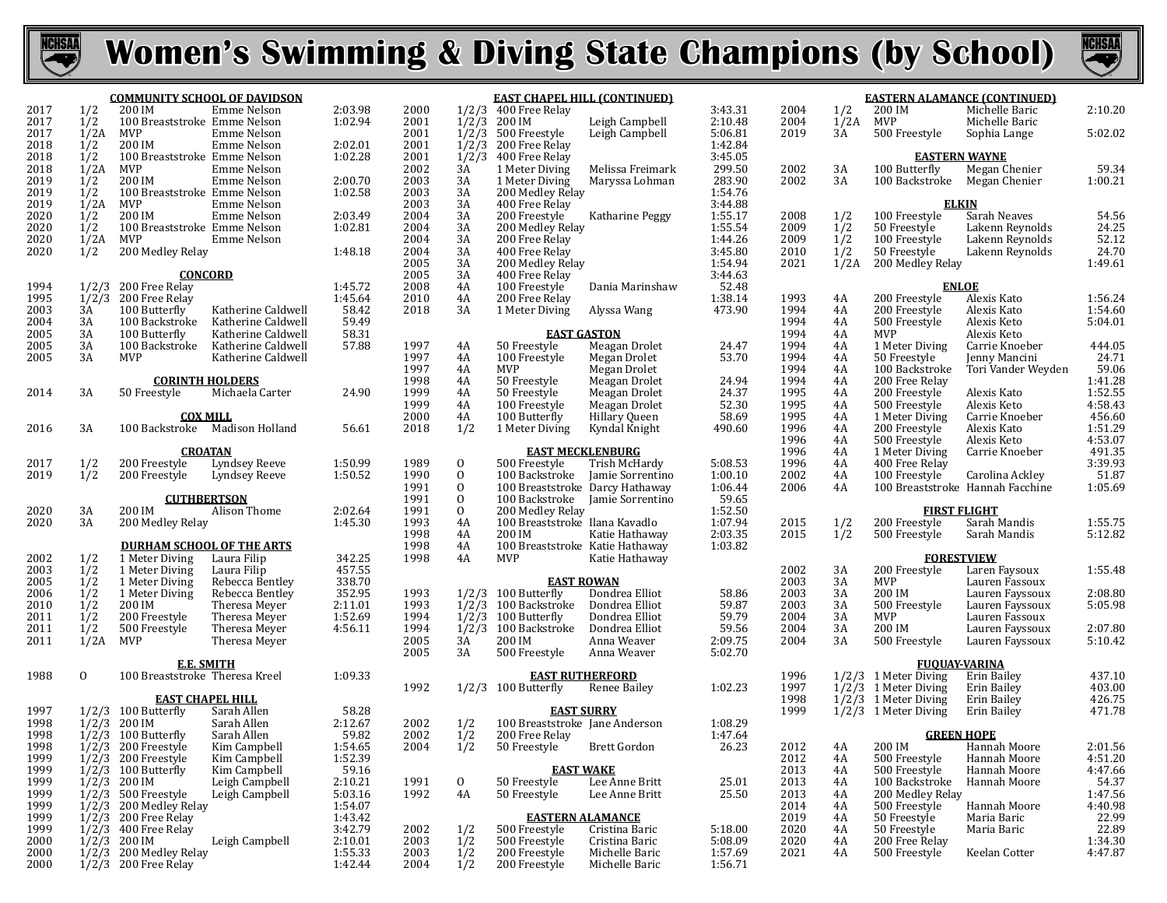



|      |                | <b>COMMUNITY SCHOOL OF DAVIDSON</b> |                    |         |      |                | <b>EAST CHAPEL HILL (CONTINUED)</b> |                     |         |      |
|------|----------------|-------------------------------------|--------------------|---------|------|----------------|-------------------------------------|---------------------|---------|------|
| 2017 | 1/2            | 200 IM                              | Emme Nelson        | 2:03.98 | 2000 |                | $1/2/3$ 400 Free Relay              |                     | 3:43.31 | 2004 |
| 2017 | 1/2            | 100 Breaststroke Emme Nelson        |                    | 1:02.94 | 2001 |                | $1/2/3$ 200 IM                      | Leigh Campbell      | 2:10.48 | 2004 |
| 2017 | 1/2A           | <b>MVP</b>                          | Emme Nelson        |         | 2001 | 1/2/3          | 500 Freestyle                       | Leigh Campbell      | 5:06.81 | 2019 |
| 2018 | 1/2            | 200 IM                              | Emme Nelson        | 2:02.01 | 2001 |                |                                     |                     | 1:42.84 |      |
| 2018 | 1/2            |                                     |                    | 1:02.28 | 2001 | 1/2/3          | 200 Free Relay                      |                     | 3:45.05 |      |
|      |                | 100 Breaststroke Emme Nelson        |                    |         |      |                | $1/2/3$ 400 Free Relay              |                     |         |      |
| 2018 | 1/2A           | <b>MVP</b>                          | Emme Nelson        |         | 2002 | 3A             | 1 Meter Diving                      | Melissa Freimark    | 299.50  | 2002 |
| 2019 | 1/2            | 200 IM                              | Emme Nelson        | 2:00.70 | 2003 | 3A             | 1 Meter Diving                      | Maryssa Lohman      | 283.90  | 2002 |
| 2019 | 1/2            | 100 Breaststroke Emme Nelson        |                    | 1:02.58 | 2003 | 3A             | 200 Medley Relay                    |                     | 1:54.76 |      |
| 2019 | 1/2A           | <b>MVP</b>                          | Emme Nelson        |         | 2003 | 3A             | 400 Free Relay                      |                     | 3:44.88 |      |
| 2020 | 1/2            | 200 IM                              | Emme Nelson        | 2:03.49 | 2004 | 3A             | 200 Freestyle                       | Katharine Peggy     | 1:55.17 | 2008 |
| 2020 | 1/2            | 100 Breaststroke Emme Nelson        |                    | 1:02.81 | 2004 | 3A             | 200 Medley Relay                    |                     | 1:55.54 | 2009 |
| 2020 | 1/2A           | MVP                                 | Emme Nelson        |         | 2004 | 3A             | 200 Free Relay                      |                     | 1:44.26 | 2009 |
| 2020 | 1/2            | 200 Medley Relay                    |                    | 1:48.18 | 2004 | 3A             | 400 Free Relay                      |                     | 3:45.80 | 2010 |
|      |                |                                     |                    |         | 2005 | 3A             | 200 Medley Relay                    |                     | 1:54.94 | 2021 |
|      |                | <b>CONCORD</b>                      |                    |         | 2005 | 3A             | 400 Free Relay                      |                     | 3:44.63 |      |
| 1994 | 1/2/3          | 200 Free Relay                      |                    | 1:45.72 | 2008 | 4A             | 100 Freestyle                       | Dania Marinshaw     | 52.48   |      |
| 1995 | 1/2/3          | 200 Free Relay                      |                    | 1:45.64 | 2010 | 4A             | 200 Free Relay                      |                     | 1:38.14 | 1993 |
| 2003 | 3A             | 100 Butterfly                       | Katherine Caldwell | 58.42   | 2018 | 3A             | 1 Meter Diving                      | Alyssa Wang         | 473.90  | 1994 |
| 2004 | 3A             | 100 Backstroke                      | Katherine Caldwell | 59.49   |      |                |                                     |                     |         | 1994 |
| 2005 | 3A             | 100 Butterfly                       | Katherine Caldwell | 58.31   |      |                | <b>EAST GASTON</b>                  |                     |         | 1994 |
| 2005 | 3A             | 100 Backstroke                      | Katherine Caldwell | 57.88   | 1997 | 4A             | 50 Freestyle                        | Meagan Drolet       | 24.47   | 1994 |
| 2005 | 3A             | <b>MVP</b>                          | Katherine Caldwell |         | 1997 | 4A             | 100 Freestyle                       | Megan Drolet        | 53.70   | 1994 |
|      |                |                                     |                    |         | 1997 | 4A             | <b>MVP</b>                          | Megan Drolet        |         | 1994 |
|      |                | <b>CORINTH HOLDERS</b>              |                    |         | 1998 | 4A             | 50 Freestyle                        | Meagan Drolet       | 24.94   | 1994 |
| 2014 | 3A             | 50 Freestyle                        | Michaela Carter    | 24.90   | 1999 | 4A             | 50 Freestyle                        | Meagan Drolet       | 24.37   | 1995 |
|      |                |                                     |                    |         | 1999 | 4A             | 100 Freestyle                       | Meagan Drolet       | 52.30   | 1995 |
|      |                | <b>COX MILL</b>                     |                    |         | 2000 | 4A             | 100 Butterfly                       | Hillary Queen       | 58.69   | 1995 |
| 2016 | 3A             | 100 Backstroke                      | Madison Holland    | 56.61   | 2018 | 1/2            | 1 Meter Diving                      | Kyndal Knight       | 490.60  | 1996 |
|      |                |                                     |                    |         |      |                |                                     |                     |         | 1996 |
|      |                | <b>CROATAN</b>                      |                    |         |      |                | <b>EAST MECKLENBURG</b>             |                     |         | 1996 |
| 2017 | 1/2            | 200 Freestyle                       | Lyndsey Reeve      | 1:50.99 | 1989 | $\mathbf{0}$   | 500 Freestyle                       | Trish McHardy       | 5:08.53 | 1996 |
| 2019 | 1/2            | 200 Freestyle                       | Lyndsey Reeve      | 1:50.52 | 1990 | $\mathbf{0}$   | 100 Backstroke                      | Jamie Sorrentino    | 1:00.10 | 2002 |
|      |                |                                     |                    |         | 1991 | $\mathbf{0}$   | 100 Breaststroke Darcy Hathaway     |                     | 1:06.44 | 2006 |
|      |                | <b>CUTHBERTSON</b>                  |                    |         | 1991 | 0              | 100 Backstroke                      | Jamie Sorrentino    | 59.65   |      |
| 2020 | 3A             | 200 IM                              | Alison Thome       | 2:02.64 | 1991 | $\overline{0}$ | 200 Medley Relay                    |                     | 1:52.50 |      |
| 2020 | 3A             | 200 Medley Relay                    |                    | 1:45.30 | 1993 | 4A             | 100 Breaststroke Ilana Kavadlo      |                     | 1:07.94 | 2015 |
|      |                |                                     |                    |         | 1998 | 4A             | 200 IM                              | Katie Hathaway      | 2:03.35 | 2015 |
|      |                | <b>DURHAM SCHOOL OF THE ARTS</b>    |                    |         | 1998 | 4A             | 100 Breaststroke Katie Hathaway     |                     | 1:03.82 |      |
| 2002 | 1/2            | 1 Meter Diving                      | Laura Filip        | 342.25  | 1998 | 4A             | <b>MVP</b>                          | Katie Hathaway      |         |      |
| 2003 | 1/2            | 1 Meter Diving                      | Laura Filip        | 457.55  |      |                |                                     |                     |         | 2002 |
| 2005 | 1/2            | 1 Meter Diving                      | Rebecca Bentley    | 338.70  |      |                | <b>EAST ROWAN</b>                   |                     |         | 2003 |
| 2006 | 1/2            | 1 Meter Diving                      | Rebecca Bentley    | 352.95  | 1993 |                | $1/2/3$ 100 Butterfly               | Dondrea Elliot      | 58.86   | 2003 |
| 2010 | 1/2            | 200 IM                              | Theresa Meyer      | 2:11.01 | 1993 |                | $1/2/3$ 100 Backstroke              | Dondrea Elliot      | 59.87   | 2003 |
| 2011 | 1/2            | 200 Freestyle                       | Theresa Meyer      | 1:52.69 | 1994 |                | $1/2/3$ 100 Butterfly               | Dondrea Elliot      | 59.79   | 2004 |
| 2011 | 1/2            | 500 Freestyle                       | Theresa Meyer      | 4:56.11 | 1994 |                | $1/2/3$ 100 Backstroke              | Dondrea Elliot      | 59.56   | 2004 |
| 2011 | 1/2A           | MVP                                 | Theresa Meyer      |         | 2005 | 3A             | 200 IM                              | Anna Weaver         | 2:09.75 | 2004 |
|      |                |                                     |                    |         | 2005 | 3A             | 500 Freestyle                       | Anna Weaver         | 5:02.70 |      |
|      |                | <b>E.E. SMITH</b>                   |                    |         |      |                |                                     |                     |         |      |
| 1988 | $\overline{0}$ | 100 Breaststroke Theresa Kreel      |                    | 1:09.33 |      |                | <b>EAST RUTHERFORD</b>              |                     |         | 1996 |
|      |                |                                     |                    |         | 1992 |                | $1/2/3$ 100 Butterfly               | Renee Bailey        | 1:02.23 | 1997 |
|      |                | <b>EAST CHAPEL HILL</b>             |                    |         |      |                |                                     |                     |         | 1998 |
| 1997 | 1/2/3          | 100 Butterfly                       | Sarah Allen        | 58.28   |      |                | <b>EAST SURRY</b>                   |                     |         | 1999 |
| 1998 | 1/2/3          | 200 IM                              | Sarah Allen        | 2:12.67 | 2002 | 1/2            | 100 Breaststroke Jane Anderson      |                     | 1:08.29 |      |
| 1998 |                | $1/2/3$ 100 Butterfly               | Sarah Allen        | 59.82   | 2002 | 1/2            | 200 Free Relay                      |                     | 1:47.64 |      |
| 1998 |                | 1/2/3 200 Freestyle                 | Kim Campbell       | 1:54.65 | 2004 | 1/2            | 50 Freestyle                        | <b>Brett Gordon</b> | 26.23   | 2012 |
| 1999 |                | $1/2/3$ 200 Freestyle               | Kim Campbell       | 1:52.39 |      |                |                                     |                     |         | 2012 |
| 1999 |                | $1/2/3$ 100 Butterfly               | Kim Campbell       | 59.16   |      |                | <b>EAST WAKE</b>                    |                     |         | 2013 |
| 1999 |                | $1/2/3$ 200 IM                      | Leigh Campbell     | 2:10.21 | 1991 | 0              | 50 Freestyle                        | Lee Anne Britt      | 25.01   | 2013 |
| 1999 |                | $1/2/3$ 500 Freestyle               | Leigh Campbell     | 5:03.16 | 1992 | 4A             | 50 Freestyle                        | Lee Anne Britt      | 25.50   | 2013 |
| 1999 |                | 1/2/3 200 Medley Relay              |                    | 1:54.07 |      |                |                                     |                     |         | 2014 |
| 1999 |                | 1/2/3 200 Free Relay                |                    | 1:43.42 |      |                | <b>EASTERN ALAMANCE</b>             |                     |         | 2019 |
| 1999 |                | $1/2/3$ 400 Free Relay              |                    | 3:42.79 | 2002 | 1/2            | 500 Freestyle                       | Cristina Baric      | 5:18.00 | 2020 |
| 2000 |                | 1/2/3 200 IM                        | Leigh Campbell     | 2:10.01 | 2003 | 1/2            | 500 Freestyle                       | Cristina Baric      | 5:08.09 | 2020 |
| 2000 |                | $1/2/3$ 200 Medley Relay            |                    | 1:55.33 | 2003 | 1/2            | 200 Freestyle                       | Michelle Baric      | 1:57.69 | 2021 |
| 2000 |                | 1/2/3 200 Free Relay                |                    | 1:42.44 | 2004 | 1/2            | 200 Freestyle                       | Michelle Baric      | 1:56.71 |      |

|              | <b>EASTERN ALAMANCE (CONTINUED)</b> |                                  |                              |                    |  |  |  |  |  |  |
|--------------|-------------------------------------|----------------------------------|------------------------------|--------------------|--|--|--|--|--|--|
| 2004         | 1/2                                 | 200 IM                           | Michelle Baric               | 2:10.20            |  |  |  |  |  |  |
| 2004         | 1/2A                                | MVP                              | Michelle Baric               |                    |  |  |  |  |  |  |
| 2019         | 3A                                  | 500 Freestyle                    | Sophia Lange                 | 5:02.02            |  |  |  |  |  |  |
|              |                                     |                                  |                              |                    |  |  |  |  |  |  |
|              |                                     | <u>EASTERN WAYNE</u>             |                              |                    |  |  |  |  |  |  |
| 2002         | 3A                                  | 100 Butterfly                    | Megan Chenier                | 59.34              |  |  |  |  |  |  |
| 2002         | 3A                                  | 100 Backstroke                   | Megan Chenier                | 1:00.21            |  |  |  |  |  |  |
|              |                                     |                                  |                              |                    |  |  |  |  |  |  |
|              |                                     | <b>ELKIN</b>                     |                              |                    |  |  |  |  |  |  |
| 2008         | 1/2                                 | 100 Freestyle                    | Sarah Neaves                 | 54.56              |  |  |  |  |  |  |
| 2009         | 1/2                                 | 50 Freestyle                     | Lakenn Reynolds              | 24.25              |  |  |  |  |  |  |
| 2009         | 1/2                                 | 100 Freestyle                    | Lakenn Reynolds              | 52.12              |  |  |  |  |  |  |
| 2010<br>2021 | 1/2<br>1/2A                         | 50 Freestyle<br>200 Medley Relay | Lakenn Reynolds              | 24.70<br>1:49.61   |  |  |  |  |  |  |
|              |                                     |                                  |                              |                    |  |  |  |  |  |  |
|              |                                     | <b>ENLOE</b>                     |                              |                    |  |  |  |  |  |  |
| 1993         | 4A                                  | 200 Freestyle                    | Alexis Kato                  | 1:56.24            |  |  |  |  |  |  |
| 1994         | 4Α                                  | 200 Freestyle                    | Alexis Kato                  | 1:54.60            |  |  |  |  |  |  |
| 1994         | 4A                                  | 500 Freestyle                    | Alexis Keto                  | 5:04.01            |  |  |  |  |  |  |
| 1994         | 4Α                                  | MVP                              | Alexis Keto                  |                    |  |  |  |  |  |  |
| 1994         | 4A                                  | 1 Meter Diving                   | Carrie Knoeber               | 444.05             |  |  |  |  |  |  |
| 1994         | 4A                                  | 50 Freestyle                     | Jenny Mancini                | 24.71              |  |  |  |  |  |  |
| 1994         | 4Α                                  | 100 Backstroke                   | Tori Vander Weyden           | 59.06              |  |  |  |  |  |  |
| 1994         | 4A                                  | 200 Free Relav                   |                              | 1:41.28            |  |  |  |  |  |  |
| 1995         | 4A                                  | 200 Freestyle                    | Alexis Kato                  | 1:52.55            |  |  |  |  |  |  |
| 1995         | 4Α                                  | 500 Freestyle                    | Alexis Keto                  | 4:58.43            |  |  |  |  |  |  |
| 1995         | 4A                                  | 1 Meter Diving                   | Carrie Knoeber               | 456.60             |  |  |  |  |  |  |
| 1996         | 4A                                  | 200 Freestyle                    | Alexis Kato                  | 1:51.29            |  |  |  |  |  |  |
| 1996         | 4Α                                  | 500 Freestyle                    | Alexis Keto                  | 4:53.07            |  |  |  |  |  |  |
| 1996         | 4A                                  | 1 Meter Diving                   | Carrie Knoeber               | 491.35             |  |  |  |  |  |  |
| 1996         | 4A                                  | 400 Free Relay                   |                              | 3:39.93            |  |  |  |  |  |  |
| 2002         | 4A                                  | 100 Freestyle                    | Carolina Ackley              | 51.87              |  |  |  |  |  |  |
| 2006         | 4A                                  | 100 Breaststroke Hannah Facchine |                              | 1:05.69            |  |  |  |  |  |  |
|              |                                     |                                  |                              |                    |  |  |  |  |  |  |
|              |                                     | <u>FIRST FLIGHT</u>              |                              |                    |  |  |  |  |  |  |
| 2015         | 1/2                                 | 200 Freestyle                    | Sarah Mandis<br>Sarah Mandis | 1:55.75            |  |  |  |  |  |  |
| 2015         | 1/2                                 | 500 Freestyle                    |                              | 5:12.82            |  |  |  |  |  |  |
|              |                                     | <b>FORESTVIEW</b>                |                              |                    |  |  |  |  |  |  |
| 2002         | 3A                                  | 200 Freestyle                    | Laren Faysoux                | 1:55.48            |  |  |  |  |  |  |
| 2003         | 3A                                  | MVP                              | Lauren Fassoux               |                    |  |  |  |  |  |  |
| 2003         | 3A                                  | 200 IM                           | Lauren Fayssoux              | 2:08.80            |  |  |  |  |  |  |
| 2003         | 3A                                  | 500 Freestyle                    | Lauren Fayssoux              | 5:05.98            |  |  |  |  |  |  |
| 2004         | 3A                                  | MVP                              | Lauren Fassoux               |                    |  |  |  |  |  |  |
| 2004         | 3A                                  | 200 IM                           | Lauren Fayssoux              | 2:07.80            |  |  |  |  |  |  |
| 2004         | 3A                                  | 500 Freestyle                    | Lauren Fayssoux              | 5:10.42            |  |  |  |  |  |  |
|              |                                     |                                  |                              |                    |  |  |  |  |  |  |
|              |                                     | <b>FUOUAY-VARINA</b>             |                              |                    |  |  |  |  |  |  |
| 1996         | 1/2/3                               | 1 Meter Diving                   | Erin Bailey                  | 437.10             |  |  |  |  |  |  |
| 1997         | 1/2/3                               | 1 Meter Diving                   | Erin Bailey                  | 403.00             |  |  |  |  |  |  |
| 1998         | 1/2/3                               | 1 Meter Diving                   | Erin Bailey                  | 426.75             |  |  |  |  |  |  |
| 1999         | 1/2/3                               | 1 Meter Diving                   | Erin Bailey                  | 471.78             |  |  |  |  |  |  |
|              |                                     |                                  |                              |                    |  |  |  |  |  |  |
|              |                                     | <b>GREEN HOPE</b>                |                              |                    |  |  |  |  |  |  |
| 2012         | 4A                                  | 200 IM                           | Hannah Moore                 | 2:01.56            |  |  |  |  |  |  |
| 2012         | 4A                                  | 500 Freestyle                    | Hannah Moore                 | 4:51.20            |  |  |  |  |  |  |
| 2013         | 4Α                                  | 500 Freestyle                    | Hannah Moore                 | 4:47.66            |  |  |  |  |  |  |
| 2013         | 4A                                  | 100 Backstroke                   | Hannah Moore                 | 54.37              |  |  |  |  |  |  |
| 2013         | 4Α                                  | 200 Medley Relay                 |                              | 1:47.56            |  |  |  |  |  |  |
| 2014<br>2019 | 4Α<br>4A                            | 500 Freestyle                    | Hannah Moore                 | 4:40.98<br>22.99   |  |  |  |  |  |  |
|              |                                     | 50 Freestyle                     | Maria Baric<br>Maria Baric   | 22.89              |  |  |  |  |  |  |
|              |                                     |                                  |                              |                    |  |  |  |  |  |  |
| 2020         | 4Α                                  | 50 Freestyle                     |                              |                    |  |  |  |  |  |  |
| 2020<br>2021 | 4Α<br>4Α                            | 200 Free Relay<br>500 Freestyle  | Keelan Cotter                | 1:34.30<br>4:47.87 |  |  |  |  |  |  |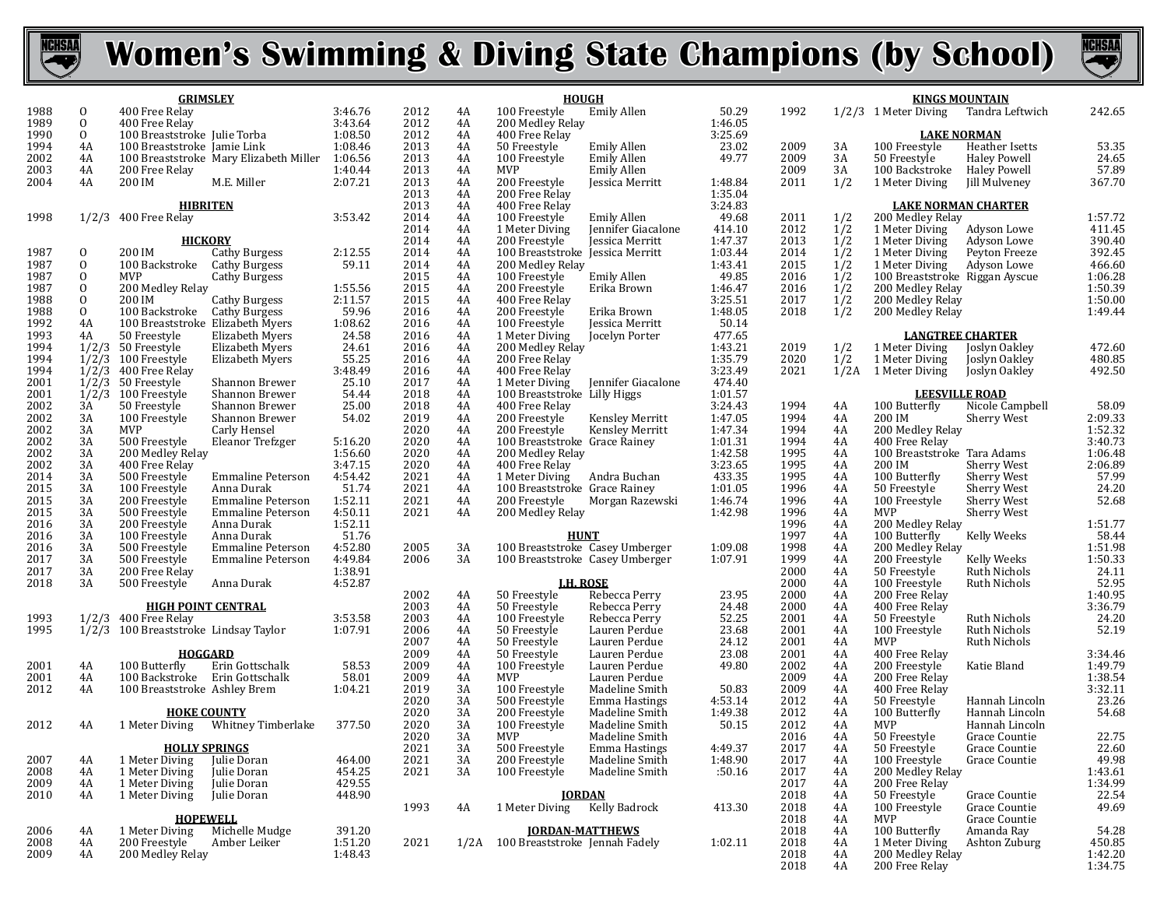



|              |                              | <b>GRIMSLEY</b>                                                   |                    |              |          | <b>HOUGH</b>                                                         |                    | <b>KINGS MOUNTAIN</b> |            |                                                               |                    |  |
|--------------|------------------------------|-------------------------------------------------------------------|--------------------|--------------|----------|----------------------------------------------------------------------|--------------------|-----------------------|------------|---------------------------------------------------------------|--------------------|--|
| 1988         | $\mathbf{0}$                 | 400 Free Relay                                                    | 3:46.76            | 2012         | 4A       | Emily Allen<br>100 Freestyle                                         | 50.29              | 1992                  |            | 1/2/3 1 Meter Diving<br>Tandra Leftwich                       | 242.65             |  |
| 1989<br>1990 | $\mathbf{0}$<br>$\mathbf{0}$ | 400 Free Relay                                                    | 3:43.64<br>1:08.50 | 2012         | 4A       | 200 Medley Relay                                                     | 1:46.05<br>3:25.69 |                       |            |                                                               |                    |  |
| 1994         | 4A                           | 100 Breaststroke Julie Torba<br>100 Breaststroke Jamie Link       | 1:08.46            | 2012<br>2013 | 4A<br>4A | 400 Free Relay<br>Emily Allen<br>50 Freestyle                        | 23.02              | 2009                  | 3A         | <b>LAKE NORMAN</b><br>100 Freestyle<br>Heather Isetts         | 53.35              |  |
| 2002         | 4A                           | 100 Breaststroke Mary Elizabeth Miller 1:06.56                    |                    | 2013         | 4A       | 100 Freestyle<br>Emily Allen                                         | 49.77              | 2009                  | 3A         | <b>Haley Powell</b><br>50 Freestyle                           | 24.65              |  |
| 2003         | 4A                           | 200 Free Relay                                                    | 1:40.44            | 2013         | 4A       | MVP<br><b>Emily Allen</b>                                            |                    | 2009                  | 3A         | 100 Backstroke<br>Haley Powell                                | 57.89              |  |
| 2004         | 4A                           | 200 IM<br>M.E. Miller                                             | 2:07.21            | 2013         | 4A       | 200 Freestyle<br>Jessica Merritt                                     | 1:48.84            | 2011                  | 1/2        | 1 Meter Diving<br>Jill Mulveney                               | 367.70             |  |
|              |                              |                                                                   |                    | 2013         | 4A       | 200 Free Relay                                                       | 1:35.04            |                       |            |                                                               |                    |  |
|              |                              | <b>HIBRITEN</b>                                                   |                    | 2013         | 4A       | 400 Free Relay                                                       | 3:24.83            |                       |            | <b>LAKE NORMAN CHARTER</b>                                    |                    |  |
| 1998         |                              | $1/2/3$ 400 Free Relay                                            | 3:53.42            | 2014<br>2014 | 4A<br>4A | 100 Freestyle<br>Emily Allen<br>1 Meter Diving<br>Jennifer Giacalone | 49.68<br>414.10    | 2011<br>2012          | 1/2<br>1/2 | 200 Medley Relay<br>1 Meter Diving<br>Adyson Lowe             | 1:57.72<br>411.45  |  |
|              |                              | <u>HICKORY</u>                                                    |                    | 2014         | 4A       | 200 Freestyle<br>Jessica Merritt                                     | 1:47.37            | 2013                  | 1/2        | 1 Meter Diving<br>Adyson Lowe                                 | 390.40             |  |
| 1987         | 0                            | 200 IM<br><b>Cathy Burgess</b>                                    | 2:12.55            | 2014         | 4A       | 100 Breaststroke Jessica Merritt                                     | 1:03.44            | 2014                  | 1/2        | Peyton Freeze<br>1 Meter Diving                               | 392.45             |  |
| 1987         | $\mathbf{0}$                 | 100 Backstroke<br><b>Cathy Burgess</b>                            | 59.11              | 2014         | 4A       | 200 Medley Relay                                                     | 1:43.41            | 2015                  | 1/2        | 1 Meter Diving<br>Adyson Lowe                                 | 466.60             |  |
| 1987         | $\mathbf{0}$                 | MVP<br>Cathy Burgess                                              |                    | 2015         | 4A       | 100 Freestyle<br>Emily Allen                                         | 49.85              | 2016                  | 1/2        | 100 Breaststroke Riggan Ayscue                                | 1:06.28            |  |
| 1987         | 0                            | 200 Medlev Relav                                                  | 1:55.56            | 2015         | 4A       | 200 Freestyle<br>Erika Brown                                         | 1:46.47            | 2016                  | 1/2        | 200 Medley Relay                                              | 1:50.39            |  |
| 1988<br>1988 | 0<br>$\mathbf{0}$            | Cathy Burgess<br>200 IM<br>100 Backstroke                         | 2:11.57            | 2015<br>2016 | 4A<br>4A | 400 Free Relay                                                       | 3:25.51<br>1:48.05 | 2017<br>2018          | 1/2<br>1/2 | 200 Medley Relay<br>200 Medley Relay                          | 1:50.00<br>1:49.44 |  |
| 1992         | 4A                           | Cathy Burgess<br>100 Breaststroke Elizabeth Myers                 | 59.96<br>1:08.62   | 2016         | 4A       | 200 Freestyle<br>Erika Brown<br>100 Freestyle<br>Jessica Merritt     | 50.14              |                       |            |                                                               |                    |  |
| 1993         | 4A                           | 50 Freestyle<br>Elizabeth Myers                                   | 24.58              | 2016         | 4A       | 1 Meter Diving<br>Jocelyn Porter                                     | 477.65             |                       |            | <b>LANGTREE CHARTER</b>                                       |                    |  |
| 1994         |                              | $1/2/3$ 50 Freestyle<br>Elizabeth Myers                           | 24.61              | 2016         | 4A       | 200 Medley Relay                                                     | 1:43.21            | 2019                  | 1/2        | 1 Meter Diving<br>Joslyn Oakley                               | 472.60             |  |
| 1994         |                              | $1/2/3$ 100 Freestyle<br>Elizabeth Myers                          | 55.25              | 2016         | 4A       | 200 Free Relay                                                       | 1:35.79            | 2020                  | 1/2        | 1 Meter Diving<br>Joslyn Oakley                               | 480.85             |  |
| 1994         |                              | $1/2/3$ 400 Free Relay                                            | 3:48.49            | 2016         | 4A       | 400 Free Relay                                                       | 3:23.49            | 2021                  | 1/2A       | 1 Meter Diving<br>Joslyn Oakley                               | 492.50             |  |
| 2001         |                              | $1/2/3$ 50 Freestyle<br>Shannon Brewer                            | 25.10              | 2017         | 4A       | 1 Meter Diving<br>Jennifer Giacalone                                 | 474.40             |                       |            |                                                               |                    |  |
| 2001         |                              | 1/2/3 100 Freestyle<br>Shannon Brewer                             | 54.44              | 2018         | 4A       | 100 Breaststroke Lilly Higgs                                         | 1:01.57            |                       |            | <b>LEESVILLE ROAD</b>                                         |                    |  |
| 2002<br>2002 | 3A<br>3A                     | 50 Freestyle<br>Shannon Brewer<br>100 Freestyle<br>Shannon Brewer | 25.00<br>54.02     | 2018<br>2019 | 4A<br>4A | 400 Free Relay<br>200 Freestyle<br>Kensley Merritt                   | 3:24.43<br>1:47.05 | 1994<br>1994          | 4A<br>4A   | 100 Butterfly<br>Nicole Campbell<br>200 IM<br>Sherry West     | 58.09<br>2:09.33   |  |
| 2002         | 3A                           | <b>MVP</b><br>Carly Hensel                                        |                    | 2020         | 4A       | 200 Freestyle<br>Kensley Merritt                                     | 1:47.34            | 1994                  | 4A         | 200 Medley Relay                                              | 1:52.32            |  |
| 2002         | 3A                           | 500 Freestyle<br>Eleanor Trefzger                                 | 5:16.20            | 2020         | 4A       | 100 Breaststroke Grace Rainey                                        | 1:01.31            | 1994                  | 4A         | 400 Free Relay                                                | 3:40.73            |  |
| 2002         | 3A                           | 200 Medley Relay                                                  | 1:56.60            | 2020         | 4A       | 200 Medley Relay                                                     | 1:42.58            | 1995                  | 4A         | 100 Breaststroke Tara Adams                                   | 1:06.48            |  |
| 2002         | 3A                           | 400 Free Relay                                                    | 3:47.15            | 2020         | 4A       | 400 Free Relay                                                       | 3:23.65            | 1995                  | 4A         | 200 IM<br>Sherry West                                         | 2:06.89            |  |
| 2014         | 3A                           | 500 Freestyle<br><b>Emmaline Peterson</b>                         | 4:54.42            | 2021         | 4A       | 1 Meter Diving<br>Andra Buchan                                       | 433.35             | 1995                  | 4A         | 100 Butterfly<br>Sherry West                                  | 57.99              |  |
| 2015         | 3A                           | 100 Freestyle<br>Anna Durak                                       | 51.74              | 2021         | 4A       | 100 Breaststroke Grace Rainey                                        | 1:01.05            | 1996                  | 4A         | 50 Freestyle<br>Sherry West                                   | 24.20              |  |
| 2015         | 3A                           | 200 Freestyle<br>Emmaline Peterson                                | 1:52.11            | 2021         | 4A       | 200 Freestyle<br>Morgan Razewski                                     | 1:46.74            | 1996                  | 4A         | 100 Freestyle<br><b>Sherry West</b>                           | 52.68              |  |
| 2015<br>2016 | 3A<br>3A                     | 500 Freestyle<br>Emmaline Peterson<br>200 Freestyle<br>Anna Durak | 4:50.11<br>1:52.11 | 2021         | 4A       | 200 Medley Relay                                                     | 1:42.98            | 1996<br>1996          | 4A<br>4A   | MVP<br><b>Sherry West</b><br>200 Medley Relay                 | 1:51.77            |  |
| 2016         | 3A                           | 100 Freestyle<br>Anna Durak                                       | 51.76              |              |          | <b>HUNT</b>                                                          |                    | 1997                  | 4A         | 100 Butterfly<br>Kelly Weeks                                  | 58.44              |  |
| 2016         | 3A                           | 500 Freestyle<br>Emmaline Peterson                                | 4:52.80            | 2005         | 3A       | 100 Breaststroke Casey Umberger                                      | 1:09.08            | 1998                  | 4A         | 200 Medley Relay                                              | 1:51.98            |  |
| 2017         | 3A                           | 500 Freestyle<br><b>Emmaline Peterson</b>                         | 4:49.84            | 2006         | 3A       | 100 Breaststroke Casey Umberger                                      | 1:07.91            | 1999                  | 4A         | 200 Freestyle<br>Kelly Weeks                                  | 1:50.33            |  |
| 2017         | 3A                           | 200 Free Relay                                                    | 1:38.91            |              |          |                                                                      |                    | 2000                  | 4A         | 50 Freestyle<br>Ruth Nichols                                  | 24.11              |  |
| 2018         | 3A                           | 500 Freestyle<br>Anna Durak                                       | 4:52.87            |              |          | <b>LH. ROSE</b>                                                      |                    | 2000                  | 4A         | 100 Freestyle<br>Ruth Nichols                                 | 52.95              |  |
|              |                              |                                                                   |                    | 2002         | 4A       | Rebecca Perry<br>50 Freestyle                                        | 23.95              | 2000                  | 4A         | 200 Free Relay                                                | 1:40.95            |  |
|              |                              | <b>HIGH POINT CENTRAL</b>                                         |                    | 2003<br>2003 | 4A       | 50 Freestyle<br>Rebecca Perry                                        | 24.48<br>52.25     | 2000<br>2001          | 4A         | 400 Free Relay                                                | 3:36.79<br>24.20   |  |
| 1993<br>1995 |                              | $1/2/3$ 400 Free Relay<br>1/2/3 100 Breaststroke Lindsay Taylor   | 3:53.58<br>1:07.91 | 2006         | 4A<br>4A | 100 Freestyle<br>Rebecca Perry<br>50 Freestyle<br>Lauren Perdue      | 23.68              | 2001                  | 4A<br>4A   | Ruth Nichols<br>50 Freestyle<br>Ruth Nichols<br>100 Freestyle | 52.19              |  |
|              |                              |                                                                   |                    | 2007         | 4A       | 50 Freestyle<br>Lauren Perdue                                        | 24.12              | 2001                  | 4A         | <b>MVP</b><br>Ruth Nichols                                    |                    |  |
|              |                              | <b>HOGGARD</b>                                                    |                    | 2009         | 4A       | 50 Freestyle<br>Lauren Perdue                                        | 23.08              | 2001                  | 4A         | 400 Free Relay                                                | 3:34.46            |  |
| 2001         | 4A                           | 100 Butterfly<br>Erin Gottschalk                                  | 58.53              | 2009         | 4A       | 100 Freestyle<br>Lauren Perdue                                       | 49.80              | 2002                  | 4A         | 200 Freestyle<br>Katie Bland                                  | 1:49.79            |  |
| 2001         | 4A                           | 100 Backstroke Erin Gottschalk                                    | 58.01              | 2009         | 4A       | MVP<br>Lauren Perdue                                                 |                    | 2009                  | 4A         | 200 Free Relay                                                | 1:38.54            |  |
| 2012         | 4A                           | 100 Breaststroke Ashley Brem                                      | 1:04.21            | 2019         | 3A       | 100 Freestyle<br>Madeline Smith                                      | 50.83              | 2009                  | 4A         | 400 Free Relay                                                | 3:32.11            |  |
|              |                              |                                                                   |                    | 2020         | 3A       | 500 Freestyle<br><b>Emma Hastings</b>                                | 4:53.14            | 2012                  | 4A         | 50 Freestyle<br>Hannah Lincoln                                | 23.26              |  |
| 2012         | 4A                           | <b>HOKE COUNTY</b><br>Whitney Timberlake<br>1 Meter Diving        | 377.50             | 2020<br>2020 | 3A<br>3A | 200 Freestyle<br>Madeline Smith<br>100 Freestyle<br>Madeline Smith   | 1:49.38<br>50.15   | 2012<br>2012          | 4A<br>4A   | 100 Butterfly<br>Hannah Lincoln<br>MVP<br>Hannah Lincoln      | 54.68              |  |
|              |                              |                                                                   |                    | 2020         | 3A       | MVP<br>Madeline Smith                                                |                    | 2016                  | 4A         | 50 Freestyle<br>Grace Countie                                 | 22.75              |  |
|              |                              | <b>HOLLY SPRINGS</b>                                              |                    | 2021         | 3A       | 500 Freestyle<br>Emma Hastings                                       | 4:49.37            | 2017                  | 4A         | 50 Freestyle<br>Grace Countie                                 | 22.60              |  |
| 2007         | 4A                           | 1 Meter Diving<br>Julie Doran                                     | 464.00             | 2021         | 3A       | 200 Freestyle<br>Madeline Smith                                      | 1:48.90            | 2017                  | 4A         | 100 Freestyle<br>Grace Countie                                | 49.98              |  |
| 2008         | 4A                           | 1 Meter Diving<br>Julie Doran                                     | 454.25             | 2021         | 3A       | 100 Freestyle<br>Madeline Smith                                      | :50.16             | 2017                  | 4A         | 200 Medley Relay                                              | 1:43.61            |  |
| 2009         | 4A                           | 1 Meter Diving<br>Julie Doran                                     | 429.55             |              |          |                                                                      |                    | 2017                  | 4A         | 200 Free Relay                                                | 1:34.99            |  |
| 2010         | 4A                           | 1 Meter Diving<br>Julie Doran                                     | 448.90             |              |          | <b>IORDAN</b>                                                        |                    | 2018                  | 4A         | 50 Freestyle<br>Grace Countie                                 | 22.54              |  |
|              |                              | <b>HOPEWELL</b>                                                   |                    | 1993         | 4A       | 1 Meter Diving Kelly Badrock                                         | 413.30             | 2018<br>2018          | 4A<br>4A   | 100 Freestyle<br>Grace Countie<br>Grace Countie<br><b>MVP</b> | 49.69              |  |
| 2006         | 4A                           | Michelle Mudge<br>1 Meter Diving                                  | 391.20             |              |          | <b>IORDAN-MATTHEWS</b>                                               |                    | 2018                  | 4A         | 100 Butterfly<br>Amanda Ray                                   | 54.28              |  |
| 2008         | 4A                           | 200 Freestyle<br>Amber Leiker                                     | 1:51.20            | 2021         |          | 1/2A 100 Breaststroke Jennah Fadely                                  | 1:02.11            | 2018                  | 4A         | 1 Meter Diving<br>Ashton Zuburg                               | 450.85             |  |
| 2009         | 4A                           | 200 Medley Relay                                                  | 1:48.43            |              |          |                                                                      |                    | 2018                  | 4A         | 200 Medley Relay                                              | 1:42.20            |  |
|              |                              |                                                                   |                    |              |          |                                                                      |                    | 2018                  | 4A         | 200 Free Relay                                                | 1:34.75            |  |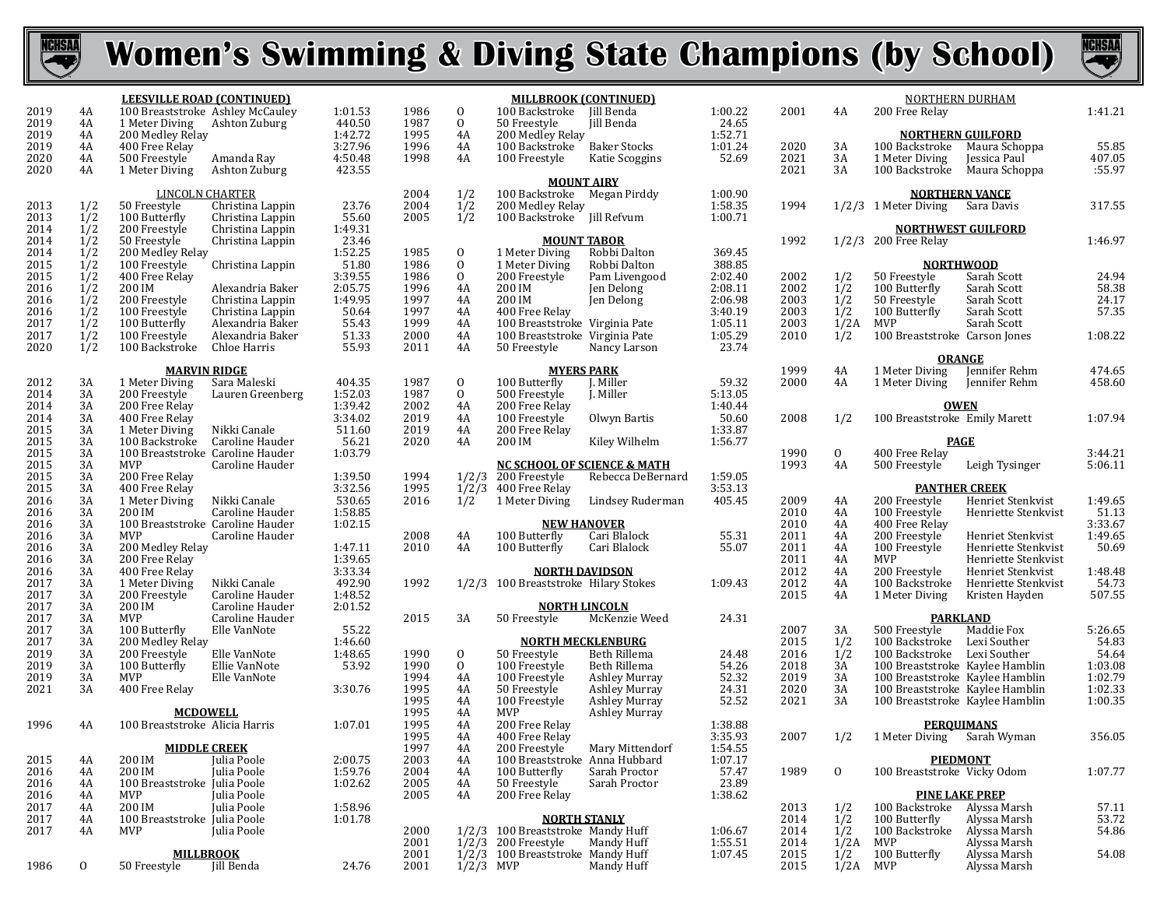



|              |            | <b>LEESVILLE ROAD (CONTINUED)</b>                  |                  |                    |              |                             | <b>MILLBROOK (CONTINUED)</b>                            | Iill Benda                    |                    |      |              |                                  | <b>NORTHERN DURHAM</b>   |
|--------------|------------|----------------------------------------------------|------------------|--------------------|--------------|-----------------------------|---------------------------------------------------------|-------------------------------|--------------------|------|--------------|----------------------------------|--------------------------|
| 2019<br>2019 | 4A<br>4A   | 100 Breaststroke Ashley McCauley<br>1 Meter Diving | Ashton Zuburg    | 1:01.53<br>440.50  | 1986<br>1987 | $\mathbf 0$<br>$\mathbf{0}$ | 100 Backstroke<br>50 Freestyle                          | Jill Benda                    | 1:00.22<br>24.65   | 2001 | 4A           | 200 Free Relay                   |                          |
| 2019         | 4A         | 200 Medley Relay                                   |                  | 1:42.72            | 1995         | 4A                          | 200 Medley Relay                                        |                               | 1:52.71            |      |              |                                  | <b>NORTHERN GUILFORD</b> |
| 2019         | 4A         | 400 Free Relay                                     |                  | 3:27.96            | 1996         | 4A                          | 100 Backstroke                                          | <b>Baker Stocks</b>           | 1:01.24            | 2020 | 3A           | 100 Backstroke                   | Maura Schop              |
| 2020         | 4A         | 500 Freestyle                                      | Amanda Ray       | 4:50.48            | 1998         | 4A                          | 100 Freestyle                                           | Katie Scoggins                | 52.69              | 2021 | 3A           | 1 Meter Diving                   | Jessica Paul             |
| 2020         | 4A         | 1 Meter Diving                                     | Ashton Zuburg    | 423.55             |              |                             |                                                         |                               |                    | 2021 | 3A           | 100 Backstroke                   | Maura Schop              |
|              |            |                                                    |                  |                    |              |                             | <b>MOUNT AIRY</b>                                       |                               |                    |      |              |                                  |                          |
|              |            | <b>LINCOLN CHARTER</b>                             |                  |                    | 2004         | 1/2                         | 100 Backstroke                                          | Megan Pirddy                  | 1:00.90            |      |              |                                  | <b>NORTHERN VANCE</b>    |
| 2013         | 1/2        | 50 Freestyle                                       | Christina Lappin | 23.76              | 2004         | 1/2                         | 200 Medley Relay                                        |                               | 1:58.35            | 1994 |              | 1/2/3 1 Meter Diving Sara Davis  |                          |
| 2013         | 1/2        | 100 Butterfly                                      | Christina Lappin | 55.60              | 2005         | 1/2                         | 100 Backstroke Jill Refvum                              |                               | 1:00.71            |      |              |                                  |                          |
| 2014         | 1/2        | 200 Freestyle                                      | Christina Lappin | 1:49.31            |              |                             |                                                         |                               |                    |      |              | <b>NORTHWEST GUILFORD</b>        |                          |
| 2014         | 1/2        | 50 Freestyle                                       | Christina Lappin | 23.46              |              |                             | <b>MOUNT TABOR</b>                                      |                               |                    | 1992 |              | 1/2/3 200 Free Relay             |                          |
| 2014<br>2015 | 1/2<br>1/2 | 200 Medley Relay                                   |                  | 1:52.25<br>51.80   | 1985<br>1986 | $\mathbf 0$<br>$\mathbf{0}$ | 1 Meter Diving                                          | Robbi Dalton                  | 369.45<br>388.85   |      |              |                                  |                          |
| 2015         | 1/2        | 100 Freestyle<br>400 Free Relay                    | Christina Lappin | 3:39.55            | 1986         | $\mathbf{0}$                | 1 Meter Diving<br>200 Freestyle                         | Robbi Dalton<br>Pam Livengood | 2:02.40            | 2002 | 1/2          | <b>NORTHWOOD</b><br>50 Freestyle | Sarah Scott              |
| 2016         | 1/2        | 200 IM                                             | Alexandria Baker | 2:05.75            | 1996         | 4A                          | 200 IM                                                  | Jen Delong                    | 2:08.11            | 2002 | 1/2          | 100 Butterfly                    | Sarah Scott              |
| 2016         | 1/2        | 200 Freestyle                                      | Christina Lappin | 1:49.95            | 1997         | 4A                          | 200 IM                                                  | Jen Delong                    | 2:06.98            | 2003 | 1/2          | 50 Freestyle                     | Sarah Scott              |
| 2016         | 1/2        | 100 Freestyle                                      | Christina Lappin | 50.64              | 1997         | 4A                          | 400 Free Relay                                          |                               | 3:40.19            | 2003 | 1/2          | 100 Butterfly                    | Sarah Scott              |
| 2017         | 1/2        | 100 Butterfly                                      | Alexandria Baker | 55.43              | 1999         | 4A                          | 100 Breaststroke Virginia Pate                          |                               | 1:05.11            | 2003 | 1/2A         | MVP                              | Sarah Scott              |
| 2017         | 1/2        | 100 Freestyle                                      | Alexandria Baker | 51.33              | 2000         | 4A                          | 100 Breaststroke Virginia Pate                          |                               | 1:05.29            | 2010 | 1/2          | 100 Breaststroke Carson Jones    |                          |
| 2020         | 1/2        | 100 Backstroke                                     | Chloe Harris     | 55.93              | 2011         | 4A                          | 50 Freestyle                                            | Nancy Larson                  | 23.74              |      |              |                                  |                          |
|              |            |                                                    |                  |                    |              |                             |                                                         |                               |                    |      |              | <b>ORANGE</b>                    |                          |
|              |            | <b>MARVIN RIDGE</b>                                |                  |                    |              |                             | <b>MYERS PARK</b>                                       |                               |                    | 1999 | 4A           | 1 Meter Diving                   | Jennifer Rehr            |
| 2012         | 3A         | 1 Meter Diving                                     | Sara Maleski     | 404.35             | 1987         | $\mathbf{0}$                | 100 Butterfly                                           | J. Miller                     | 59.32              | 2000 | 4A           | 1 Meter Diving                   | Jennifer Rehr            |
| 2014         | 3A         | 200 Freestyle                                      | Lauren Greenberg | 1:52.03            | 1987         | $\mathbf 0$                 | 500 Freestyle                                           | J. Miller                     | 5:13.05            |      |              |                                  |                          |
| 2014         | 3A         | 200 Free Relay                                     |                  | 1:39.42            | 2002         | 4A                          | 200 Free Relay                                          |                               | 1:40.44            |      |              | <b>OWEN</b>                      |                          |
| 2014         | 3A         | 400 Free Relay                                     |                  | 3:34.02            | 2019         | 4A                          | 100 Freestyle                                           | Olwyn Bartis                  | 50.60              | 2008 | 1/2          | 100 Breaststroke Emily Marett    |                          |
| 2015         | 3A         | 1 Meter Diving                                     | Nikki Canale     | 511.60             | 2019         | 4A                          | 200 Free Relay                                          |                               | 1:33.87            |      |              |                                  |                          |
| 2015         | 3A         | 100 Backstroke                                     | Caroline Hauder  | 56.21              | 2020         | 4A                          | 200 IM                                                  | Kiley Wilhelm                 | 1:56.77            |      |              | <b>PAGE</b>                      |                          |
| 2015         | 3A         | 100 Breaststroke Caroline Hauder                   |                  | 1:03.79            |              |                             |                                                         |                               |                    | 1990 | $\mathbf{O}$ | 400 Free Relay                   |                          |
| 2015<br>2015 | 3A         | <b>MVP</b><br>200 Free Relay                       | Caroline Hauder  |                    | 1994         |                             | <b>NC SCHOOL OF SCIENCE &amp; MATH</b><br>200 Freestyle | Rebecca DeBernard             |                    | 1993 | 4A           | 500 Freestyle                    | Leigh Tysing             |
| 2015         | 3A<br>3A   | 400 Free Relay                                     |                  | 1:39.50<br>3:32.56 | 1995         | 1/2/3<br>1/2/3              | 400 Free Relay                                          |                               | 1:59.05<br>3:53.13 |      |              | <b>PANTHER CREEK</b>             |                          |
| 2016         | 3A         | 1 Meter Diving                                     | Nikki Canale     | 530.65             | 2016         | 1/2                         | 1 Meter Diving                                          | Lindsey Ruderman              | 405.45             | 2009 | 4A           | 200 Freestyle                    | Henriet Stenl            |
| 2016         | 3A         | 200 IM                                             | Caroline Hauder  | 1:58.85            |              |                             |                                                         |                               |                    | 2010 | 4A           | 100 Freestyle                    | Henriette Ste            |
| 2016         | 3A         | 100 Breaststroke Caroline Hauder                   |                  | 1:02.15            |              |                             |                                                         | <b>NEW HANOVER</b>            |                    | 2010 | 4A           | 400 Free Relay                   |                          |
| 2016         | 3A         | <b>MVP</b>                                         | Caroline Hauder  |                    | 2008         | 4A                          | 100 Butterfly                                           | Cari Blalock                  | 55.31              | 2011 | 4A           | 200 Freestyle                    | Henriet Stenl            |
| 2016         | 3A         | 200 Medley Relay                                   |                  | 1:47.11            | 2010         | 4A                          | 100 Butterfly                                           | Cari Blalock                  | 55.07              | 2011 | 4A           | 100 Freestyle                    | Henriette Ste            |
| 2016         | 3A         | 200 Free Relay                                     |                  | 1:39.65            |              |                             |                                                         |                               |                    | 2011 | 4A           | <b>MVP</b>                       | Henriette Ste            |
| 2016         | 3A         | 400 Free Relay                                     |                  | 3:33.34            |              |                             | <b>NORTH DAVIDSON</b>                                   |                               |                    | 2012 | 4A           | 200 Freestyle                    | Henriet Stenl            |
| 2017         | 3A         | 1 Meter Diving                                     | Nikki Canale     | 492.90             | 1992         | 1/2/3                       | 100 Breaststroke Hilary Stokes                          |                               | 1:09.43            | 2012 | 4A           | 100 Backstroke                   | Henriette Ste            |
| 2017         | 3A         | 200 Freestyle                                      | Caroline Hauder  | 1:48.52            |              |                             |                                                         |                               |                    | 2015 | 4A           | 1 Meter Diving                   | Kristen Hayd             |
| 2017         | 3A         | 200 IM                                             | Caroline Hauder  | 2:01.52            |              |                             | <b>NORTH LINCOLN</b>                                    |                               |                    |      |              |                                  |                          |
| 2017         | 3A         | <b>MVP</b>                                         | Caroline Hauder  |                    | 2015         | 3A                          | 50 Freestyle                                            | McKenzie Weed                 | 24.31              |      |              |                                  | <b>PARKLAND</b>          |
| 2017         | 3A         | 100 Butterfly                                      | Elle VanNote     | 55.22              |              |                             |                                                         |                               |                    | 2007 | 3A           | 500 Freestyle                    | Maddie Fox               |
| 2017         | 3A         | 200 Medley Relay                                   |                  | 1:46.60            |              |                             | <b>NORTH MECKLENBURG</b>                                |                               |                    | 2015 | 1/2          | 100 Backstroke                   | Lexi Souther             |
| 2019         | 3A         | 200 Freestyle                                      | Elle VanNote     | 1:48.65            | 1990         | $\mathbf 0$                 | 50 Freestyle                                            | Beth Rillema                  | 24.48              | 2016 | 1/2          | 100 Backstroke                   | Lexi Souther             |
| 2019         | 3A         | 100 Butterfly                                      | Ellie VanNote    | 53.92              | 1990         | $\mathbf{0}$                | 100 Freestyle                                           | Beth Rillema                  | 54.26              | 2018 | 3A           | 100 Breaststroke Kaylee Hamb     |                          |
| 2019         | 3A         | <b>MVP</b>                                         | Elle VanNote     |                    | 1994         | 4A                          | 100 Freestyle                                           | <b>Ashley Murray</b>          | 52.32              | 2019 | 3A           | 100 Breaststroke Kaylee Hamb     |                          |
| 2021         | 3A         | 400 Free Relay                                     |                  | 3:30.76            | 1995         | 4A                          | 50 Freestyle                                            | <b>Ashley Murray</b>          | 24.31              | 2020 | 3A           | 100 Breaststroke Kaylee Hamb     |                          |
|              |            |                                                    |                  |                    | 1995         | 4A                          | 100 Freestyle                                           | Ashley Murray                 | 52.52              | 2021 | 3A           | 100 Breaststroke Kaylee Hamb     |                          |
| 1996         | 4A         | <b>MCDOWELL</b><br>100 Breaststroke Alicia Harris  |                  |                    | 1995<br>1995 | 4A<br>4A                    | MVP<br>200 Free Relay                                   | <b>Ashley Murray</b>          |                    |      |              |                                  | <b>PEROUIMANS</b>        |
|              |            |                                                    |                  | 1:07.01            | 1995         | 4A                          | 400 Free Relay                                          |                               | 1:38.88<br>3:35.93 | 2007 | 1/2          | 1 Meter Diving Sarah Wymar       |                          |
|              |            | <b>MIDDLE CREEK</b>                                |                  |                    | 1997         | 4A                          | 200 Freestyle                                           | Mary Mittendorf               | 1:54.55            |      |              |                                  |                          |
| 2015         | 4A         | 200 IM                                             | Julia Poole      | 2:00.75            | 2003         | 4A                          | 100 Breaststroke Anna Hubbard                           |                               | 1:07.17            |      |              | <b>PIEDMONT</b>                  |                          |
| 2016         | 4A         | 200 IM                                             | Julia Poole      | 1:59.76            | 2004         | 4A                          | 100 Butterfly                                           | Sarah Proctor                 | 57.47              | 1989 | $\mathbf{0}$ | 100 Breaststroke Vicky Odom      |                          |
| 2016         | 4A         | 100 Breaststroke Julia Poole                       |                  | 1:02.62            | 2005         | 4A                          | 50 Freestyle                                            | Sarah Proctor                 | 23.89              |      |              |                                  |                          |
| 2016         | 4A         | MVP                                                | Julia Poole      |                    | 2005         | 4A                          | 200 Free Relay                                          |                               | 1:38.62            |      |              |                                  | <b>PINE LAKE PREP</b>    |
| 2017         | 4A         | 200 IM                                             | Julia Poole      | 1:58.96            |              |                             |                                                         |                               |                    | 2013 | 1/2          | 100 Backstroke Alyssa Marsh      |                          |
| 2017         | 4A         | 100 Breaststroke Julia Poole                       |                  | 1:01.78            |              |                             | <b>NORTH STANLY</b>                                     |                               |                    | 2014 | 1/2          | 100 Butterfly                    | Alyssa Marsh             |
| 2017         | 4A         | MVP                                                | Julia Poole      |                    | 2000         |                             | 1/2/3 100 Breaststroke Mandy Huff                       |                               | 1:06.67            | 2014 | 1/2          | 100 Backstroke                   | Alyssa Marsh             |
|              |            |                                                    |                  |                    | 2001         |                             | $1/2/3$ 200 Freestyle                                   | Mandy Huff                    | 1:55.51            | 2014 | 1/2A         | MVP                              | Alyssa Marsh             |
|              |            | <b>MILLBROOK</b>                                   |                  |                    | 2001         |                             | 1/2/3 100 Breaststroke Mandy Huff                       |                               | 1:07.45            | 2015 | 1/2          | 100 Butterfly                    | Alyssa Marsh             |
| 1986         | 0          | 50 Freestyle                                       | Jill Benda       | 24.76              | 2001         | $1/2/3$ MVP                 |                                                         | Mandy Huff                    |                    | 2015 | 1/2A         | MVP                              | Alyssa Marsh             |
|              |            |                                                    |                  |                    |              |                             |                                                         |                               |                    |      |              |                                  |                          |

|      |       | <b>NORTHERN DURHAM</b>                     |                     |         |
|------|-------|--------------------------------------------|---------------------|---------|
| 2001 | 4Α    | 200 Free Relay                             |                     | 1:41.21 |
|      |       |                                            |                     |         |
| 2020 | 3A    | <b>NORTHERN GUILFORD</b><br>100 Backstroke | Maura Schoppa       | 55.85   |
| 2021 | 3A    | 1 Meter Diving                             | Jessica Paul        | 407.05  |
| 2021 | 3A    | 100 Backstroke                             | Maura Schoppa       | :55.97  |
|      |       |                                            |                     |         |
|      |       | <b>NORTHERN VANCE</b>                      |                     |         |
| 1994 | 1/2/3 | 1 Meter Diving Sara Davis                  |                     | 317.55  |
|      |       | <b>NORTHWEST GUILFORD</b>                  |                     |         |
| 1992 | 1/2/3 | 200 Free Relay                             |                     | 1:46.97 |
|      |       |                                            |                     |         |
| 2002 | 1/2   | <b>NORTHWOOD</b><br>50 Freestyle           | Sarah Scott         | 24.94   |
| 2002 | 1/2   | 100 Butterfly                              | Sarah Scott         | 58.38   |
| 2003 | 1/2   | $50$ Freestyle                             | Sarah Scott         | 24.17   |
| 2003 | 1/2   | 100 Butterfly                              | Sarah Scott         | 57.35   |
| 2003 | 1/2A  | <b>MVP</b>                                 | Sarah Scott         |         |
| 2010 | 1/2   | 100 Breaststroke Carson Jones              |                     | 1:08.22 |
|      |       |                                            |                     |         |
|      |       | <b>ORANGE</b>                              |                     |         |
| 1999 | 4A    | 1 Meter Diving                             | Jennifer Rehm       | 474.65  |
| 2000 | 4A    | 1 Meter Diving                             | Jennifer Rehm       | 458.60  |
|      |       | <b>OWEN</b>                                |                     |         |
| 2008 | 1/2   | 100 Breaststroke Emily Marett              |                     | 1:07.94 |
|      |       |                                            |                     |         |
| 1990 | 0     | <b>PAGE</b><br>400 Free Relay              |                     | 3:44.21 |
| 1993 | 4A    | 500 Freestyle                              | Leigh Tysinger      | 5:06.11 |
|      |       |                                            |                     |         |
|      |       | <b>PANTHER CREEK</b>                       |                     |         |
| 2009 | 4A    | 200 Freestyle                              | Henriet Stenkvist   | 1:49.65 |
| 2010 | 4A    | 100 Freestyle                              | Henriette Stenkvist | 51.13   |
| 2010 | 4Α    | 400 Free Relay                             |                     | 3:33.67 |
| 2011 | 4A    | 200 Freestyle                              | Henriet Stenkvist   | 1:49.65 |
| 2011 | 4A    | 100 Freestyle<br>M <sup>VD</sup>           | Henriette Stenkvist | 50.69   |
| 2011 | 4A    | <b>MVP</b>                                 | Henriette Stenkvist |         |
| 2012 | 4A    | 200 Freestyle                              | Henriet Stenkvist   | 1:48.48 |
| 2012 | 4A    | 100 Backstroke                             | Henriette Stenkvist | 54.73   |
| 2015 | 4A    | 1 Meter Diving                             | Kristen Hayden      | 507.55  |
|      |       | <b>PARKLAND</b>                            |                     |         |
| 2007 | 3A    | 500 Freestyle                              | Maddie Fox          | 5:26.65 |
| 2015 | 1/2   | 500 Freestyle<br>100 Backstroke            | Lexi Souther        | 54.83   |
| 2016 | 1/2   | 100 Backstroke                             | Lexi Souther        | 54.64   |
| 2018 | 3A    | 100 Breaststroke Kaylee Hamblin            |                     | 1:03.08 |
| 2019 | 3A    | 100 Breaststroke Kaylee Hamblin            |                     | 1:02.79 |
| 2020 | 3A    | 100 Breaststroke Kaylee Hamblin            |                     | 1:02.33 |
| 2021 | 3A    | 100 Breaststroke Kaylee Hamblin            |                     | 1:00.35 |
|      |       | <b>PEROUIMANS</b>                          |                     |         |
| 2007 | 1/2   | 1 Meter Diving                             | Sarah Wyman         | 356.05  |
|      |       |                                            |                     |         |
|      |       | <b>PIEDMONT</b>                            |                     |         |
| 1989 | 0     | 100 Breaststroke Vicky Odom                |                     | 1:07.77 |
|      |       | <b>PINE LAKE PREP</b>                      |                     |         |
| 2013 | 1/2   | 100 Backstroke Alyssa Marsh                |                     | 57.11   |
| 2014 | 1/2   | 100 Butterfly                              | Alyssa Marsh        | 53.72   |
| 2014 | 1/2   | 100 Backstroke                             | Alyssa Marsh        | 54.86   |
| 2014 | 1/2A  | <b>MVP</b>                                 | Alyssa Marsh        |         |
| 2015 | 1/2   | 100 Butterfly                              | Alyssa Marsh        | 54.08   |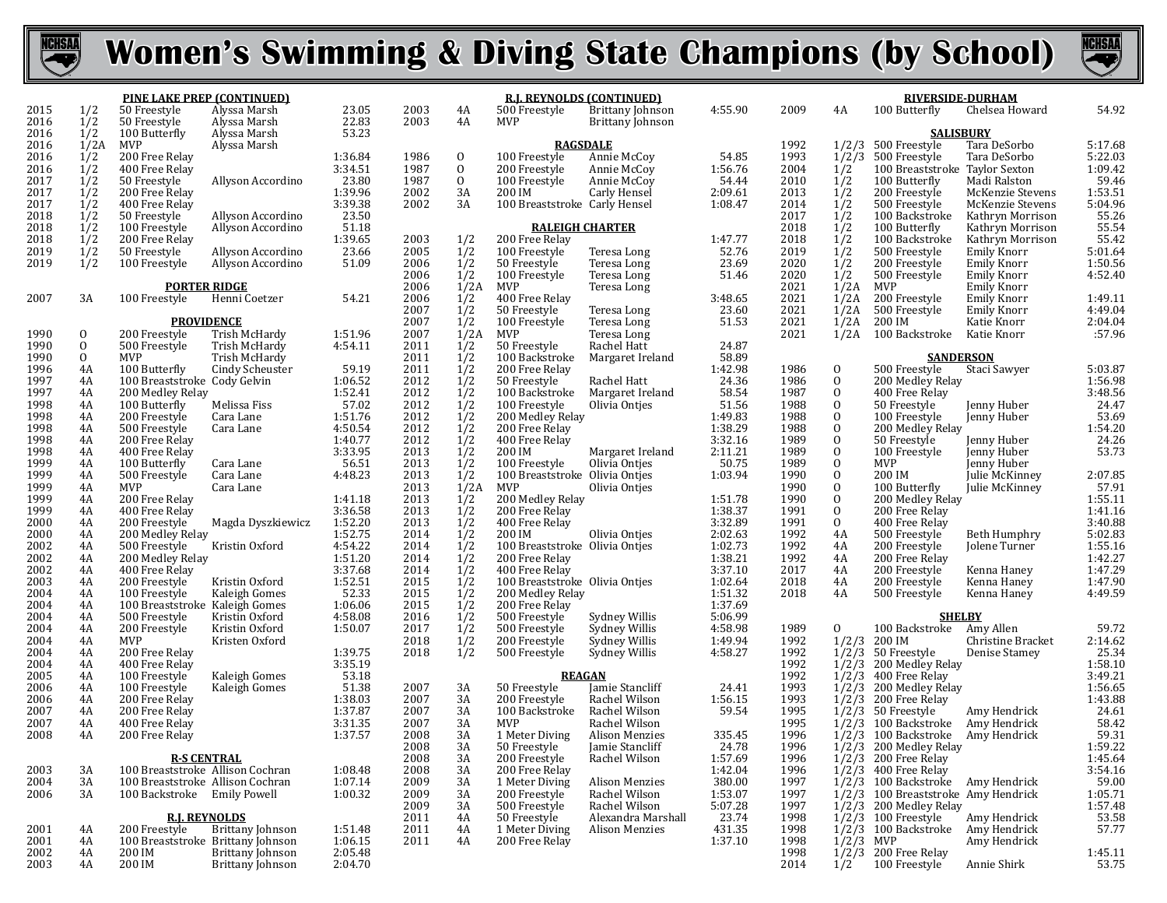



| 2015<br>50 Freestyle<br>Alyssa Marsh<br>2003<br>500 Freestyle<br>4:55.90<br>2009<br>Chelsea Howard<br>4A<br>4A<br>1/2<br>22.83<br>2016<br>2003<br>4A<br>50 Freestyle<br>Alyssa Marsh<br><b>MVP</b><br>Brittany Johnson<br>2016<br>1/2<br>53.23<br><b>SALISBURY</b><br>100 Butterfly<br>Alyssa Marsh<br>2016<br>1/2A<br>MVP<br>Alyssa Marsh<br><b>RAGSDALE</b><br>1992<br>1/2/3<br>500 Freestyle<br>Tara DeSorbo<br>5:17.68<br>2016<br>1/2<br>200 Free Relay<br>1986<br>$\mathbf{0}$<br>54.85<br>1993<br>1/2/3<br>Tara DeSorbo<br>5:22.03<br>1:36.84<br>100 Freestyle<br>Annie McCoy<br>500 Freestyle<br>1/2<br>$\mathbf{0}$<br>1:09.42<br>2016<br>400 Free Relay<br>3:34.51<br>1987<br>1:56.76<br>2004<br>1/2<br>200 Freestyle<br>Annie McCoy<br>100 Breaststroke Taylor Sexton<br>$\mathbf{0}$<br>59.46<br>2017<br>1/2<br>23.80<br>1987<br>50 Freestyle<br>Allyson Accordino<br>100 Freestyle<br>Annie McCoy<br>54.44<br>2010<br>1/2<br>100 Butterfly<br>Madi Ralston<br>2017<br>1/2<br>200 Free Relay<br>1:39.96<br>2002<br>3A<br>2:09.61<br>2013<br>1/2<br>1:53.51<br>200 IM<br>Carly Hensel<br>200 Freestyle<br>McKenzie Stevens<br>2017<br>1/2<br>1/2<br>5:04.96<br>3:39.38<br>2002<br>3A<br>1:08.47<br>400 Free Relay<br>100 Breaststroke Carly Hensel<br>2014<br>500 Freestyle<br>McKenzie Stevens<br>55.26<br>55.54<br>2018<br>1/2<br>23.50<br>1/2<br>50 Freestyle<br>Allyson Accordino<br>2017<br>100 Backstroke<br>Kathryn Morrison<br>1/2<br>2018<br>51.18<br>2018<br>1/2<br>100 Freestyle<br><b>RALEIGH CHARTER</b><br>100 Butterfly<br>Allyson Accordino<br>Kathryn Morrison<br>55.42<br>2018<br>1/2<br>1/2<br>1:39.65<br>2003<br>1/2<br>200 Free Relay<br>1:47.77<br>2018<br>200 Free Relay<br>100 Backstroke<br>Kathryn Morrison<br>5:01.64<br>1/2<br>2019<br>2005<br>1/2<br>1/2<br>50 Freestyle<br>Allyson Accordino<br>23.66<br>100 Freestyle<br>Teresa Long<br>52.76<br>2019<br>500 Freestyle<br><b>Emily Knorr</b><br>1/2<br>1:50.56<br>2019<br>1/2<br>51.09<br>2006<br>23.69<br>2020<br>1/2<br>100 Freestyle<br>50 Freestyle<br>200 Freestyle<br><b>Emily Knorr</b><br>Allyson Accordino<br>Teresa Long<br>1/2<br>4:52.40<br>2006<br>51.46<br>2020<br>1/2<br>Emily Knorr<br>100 Freestyle<br>500 Freestyle<br>Teresa Long<br>1/2A<br>1/2A<br><b>PORTER RIDGE</b><br>2006<br>MVP<br>Teresa Long<br>2021<br>MVP<br><b>Emily Knorr</b><br>2007<br>54.21<br>2006<br>1/2<br>400 Free Relay<br>3:48.65<br>2021<br>200 Freestyle<br>3A<br>100 Freestyle<br>1/2A<br><b>Emily Knorr</b><br>1:49.11<br>Henni Coetzer<br>1/2<br>23.60<br>4:49.04<br>2007<br>50 Freestyle<br>2021<br>1/2A<br>500 Freestyle<br>Emily Knorr<br>Teresa Long<br>2:04.04<br>2007<br>1/2<br>51.53<br><b>PROVIDENCE</b><br>100 Freestyle<br>Teresa Long<br>2021<br>1/2A<br>200 IM<br>Katie Knorr<br>1990<br>2007<br>1/2A<br><b>MVP</b><br>2021<br>:57.96<br>0<br>200 Freestyle<br>Trish McHardy<br>1:51.96<br>Teresa Long<br>1/2A<br>100 Backstroke<br>Katie Knorr<br>1/2<br>1990<br>$\overline{0}$<br>2011<br>500 Freestyle<br>Trish McHardy<br>4:54.11<br>50 Freestyle<br>Rachel Hatt<br>24.87<br>1/2<br>1990<br>2011<br>$\mathbf{O}$<br><b>MVP</b><br>Trish McHardy<br>100 Backstroke<br>Margaret Ireland<br>58.89<br><b>SANDERSON</b><br>1/2<br>1996<br>59.19<br>2011<br>1:42.98<br>1986<br>$\mathbf{0}$<br>5:03.87<br>100 Butterfly<br>Cindy Scheuster<br>200 Free Relay<br>500 Freestyle<br>Staci Sawyer<br>4A<br>1997<br>2012<br>1/2<br>$\mathbf{0}$<br>1:56.98<br>1:06.52<br>24.36<br>1986<br>100 Breaststroke Cody Gelvin<br>50 Freestyle<br>Rachel Hatt<br>200 Medley Relay<br>4A<br>3:48.56<br>24.47<br>$\frac{1}{2}$<br>$\mathbf{0}$<br>1997<br>1:52.41<br>2012<br>100 Backstroke<br>4A<br>200 Medley Relay<br>Margaret Ireland<br>58.54<br>1987<br>400 Free Relay<br>$\mathbf{0}$<br>1998<br>57.02<br>2012<br>51.56<br>1988<br>4A<br>100 Butterfly<br>Melissa Fiss<br>100 Freestyle<br>Olivia Ontjes<br>50 Freestyle<br>Jenny Huber<br>2012<br>1/2<br>$\mathbf{0}$<br>$53.69$<br>$1:54.20$<br>$24.26$<br>1998<br>1:51.76<br>200 Medley Relay<br>1:49.83<br>1988<br>200 Freestyle<br>Cara Lane<br>100 Freestyle<br>Jenny Huber<br>4A<br>$\frac{1}{2}$<br>$\mathbf{0}$<br>1998<br>4:50.54<br>2012<br>1:38.29<br>4A<br>500 Freestyle<br>Cara Lane<br>200 Free Relay<br>1988<br>200 Medley Relay<br>$\mathbf{0}$<br>1998<br>1:40.77<br>2012<br>3:32.16<br>1989<br>4A<br>200 Free Relay<br>400 Free Relay<br>50 Freestyle<br>Jenny Huber<br>53.73<br>1/2<br>$\mathbf{0}$<br>1998<br>3:33.95<br>2013<br>200 IM<br>2:11.21<br>1989<br>400 Free Relay<br>100 Freestyle<br>Jenny Huber<br>4A<br>Margaret Ireland<br>$\mathbf{0}$<br>1999<br>56.51<br>2013<br>$\frac{1}{2}$<br>4A<br>100 Butterfly<br>100 Freestyle<br>Olivia Onties<br>50.75<br>1989<br>MVP<br>Jenny Huber<br>Cara Lane<br>$\mathbf{0}$<br>1999<br>4:48.23<br>2013<br>100 Breaststroke Olivia Ontjes<br>1:03.94<br>1990<br>200 IM<br>2:07.85<br>4A<br>500 Freestyle<br>Julie McKinney<br>Cara Lane<br>57.91<br>1999<br>1/2A<br>$\mathbf{0}$<br>2013<br>1990<br>100 Butterfly<br>4A<br>MVP<br>MVP<br>Olivia Ontjes<br>Cara Lane<br>Julie McKinney<br>1:55.11<br>$\mathbf{0}$<br>1999<br>2013<br>$\frac{1/2}{1/2}$<br>200 Medley Relay<br>200 Medley Relay<br>4A<br>200 Free Relay<br>1:41.18<br>1:51.78<br>1990<br>$\mathbf{0}$<br>1999<br>3:36.58<br>2013<br>1:38.37<br>1991<br>1:41.16<br>4A<br>400 Free Relay<br>200 Free Relay<br>200 Free Relay<br>2000<br>1:52.20<br>2013<br>1/2<br>3:32.89<br>$\mathbf{0}$<br>3:40.88<br>1991<br>4A<br>200 Freestyle<br>Magda Dyszkiewicz<br>400 Free Relay<br>400 Free Relay<br>5:02.83<br>$\frac{1}{2}$<br>4A<br>2000<br>1:52.75<br>2014<br>200 IM<br>Olivia Ontjes<br>2:02.63<br>4A<br>200 Medley Relay<br>1992<br>500 Freestyle<br>Beth Humphry<br>2002<br>4:54.22<br>2014<br>1:02.73<br>1992<br>1:55.16<br>4A<br>500 Freestyle<br>Kristin Oxford<br>100 Breaststroke Olivia Ontjes<br>4A<br>200 Freestyle<br>Jolene Turner<br>1:42.27<br>2002<br>1/2<br>1:51.20<br>2014<br>200 Free Relay<br>1:38.21<br>1992<br>4A<br>200 Medley Relay<br>4A<br>200 Free Relay<br>1:47.29<br>$\frac{1}{2}$<br>$\frac{1}{2}$<br>2002<br>3:37.68<br>2014<br>3:37.10<br>4A<br>4A<br>400 Free Relay<br>400 Free Relay<br>2017<br>200 Freestyle<br>Kenna Haney<br>1:52.51<br>1:47.90<br>2003<br>2015<br>1:02.64<br>2018<br>4A<br>200 Freestyle<br>Kristin Oxford<br>100 Breaststroke Olivia Ontjes<br>4A<br>200 Freestyle<br>Kenna Haney<br>52.33<br>1/2<br>1:51.32<br>4:49.59<br>2004<br>2015<br>100 Freestyle<br>Kaleigh Gomes<br>200 Medley Relay<br>2018<br>4A<br>4A<br>500 Freestyle<br>Kenna Haney<br>$\frac{1}{2}$<br>2004<br>1:06.06<br>2015<br>1:37.69<br>4A<br>100 Breaststroke Kaleigh Gomes<br>200 Free Relay<br>2004<br>4:58.08<br>2016<br>5:06.99<br>4A<br>500 Freestyle<br>500 Freestyle<br>Sydney Willis<br><b>SHELBY</b><br>Kristin Oxford<br>1/2<br>4:58.98<br>$\mathbf{0}$<br>100 Backstroke Amy Allen<br>2004<br>2017<br>1989<br>59.72<br>2:14.62<br>4A<br>200 Freestyle<br>1:50.07<br>500 Freestyle<br>Sydney Willis<br>Kristin Oxford<br>1/2/3<br>2004<br>2018<br>1/2<br>1:49.94<br>4A<br>MVP<br>Kristen Oxford<br>200 Freestyle<br>Sydney Willis<br>1992<br>200 IM<br>Christine Bracket<br>1/2<br>25.34<br>2004<br>2018<br>4:58.27<br>1992<br>1/2/3<br>4A<br>200 Free Relay<br>1:39.75<br>500 Freestyle<br>50 Freestyle<br>Denise Stamey<br>Sydney Willis<br>3:35.19<br>1:58.10<br>2004<br>400 Free Relay<br>1992<br>$1/2/3$ 200 Medley Relay<br>4A<br>3:49.21<br>53.18<br>2005<br>4A<br>100 Freestyle<br>Kaleigh Gomes<br><b>REAGAN</b><br>1992<br>1/2/3<br>400 Free Relay<br>2006<br>51.38<br>2007<br>3A<br>Jamie Stancliff<br>1993<br>$1/2/3$ 200 Medley Relay<br>1:56.65<br>4A<br>50 Freestyle<br>24.41<br>100 Freestyle<br>Kaleigh Gomes<br>1993<br>1:43.88<br>2006<br>1:38.03<br>2007<br>3A<br>1:56.15<br>$1/2/3$ 200 Free Relay<br>4A<br>200 Free Relay<br>200 Freestyle<br>Rachel Wilson<br>24.61<br>59.54<br>1:37.87<br>3A<br>2007<br>4A<br>200 Free Relay<br>2007<br>100 Backstroke<br>Rachel Wilson<br>1995<br>$1/2/3$ 50 Freestyle<br>Amy Hendrick<br>3:31.35<br>58.42<br>2007<br>2007<br>3A<br><b>MVP</b><br>1995<br>4A<br>Rachel Wilson<br>$1/2/3$ 100 Backstroke<br>Amy Hendrick<br>400 Free Relay<br>59.31<br>1996<br>2008<br>2008<br>3A<br>1/2/3 100 Backstroke Amy Hendrick<br>1:37.57<br>1 Meter Diving<br>Alison Menzies<br>335.45<br>4A<br>200 Free Relay<br>1:59.22<br>2008<br>3A<br>24.78<br>1996<br>1/2/3 200 Medley Relay<br>50 Freestyle<br>Jamie Stancliff<br><b>R-S CENTRAL</b><br>$1/2/3$ 200 Free Relay<br>2008<br>3A<br>200 Freestyle<br>Rachel Wilson<br>1:57.69<br>1996<br>1:45.64<br>3:54.16<br>100 Breaststroke Allison Cochran<br>2008<br>1:42.04<br>2003<br>3A<br>1:08.48<br>200 Free Relay<br>1996<br>1/2/3 400 Free Relay<br>3A<br>1 Meter Diving<br>380.00<br>$1/2/3$ 100 Backstroke Amy Hendrick<br>59.00<br>2004<br>3A<br>100 Breaststroke Allison Cochran<br>1:07.14<br>2009<br>3A<br>1997<br>Alison Menzies<br>2006<br>1:00.32<br>2009<br>200 Freestyle<br>1:53.07<br>$1/2/3$ 100 Breaststroke Amy Hendrick<br>1:05.71<br>3A<br>100 Backstroke<br>Emily Powell<br>3A<br>Rachel Wilson<br>1997<br>1:57.48<br>2009<br>500 Freestyle<br>5:07.28<br>$1/2/3$ 200 Medley Relay<br>3A<br>Rachel Wilson<br>1997<br>50 Freestyle<br>Alexandra Marshall<br>53.58<br><b>R.I. REYNOLDS</b><br>2011<br>4A<br>23.74<br>1998<br>$1/2/3$ 100 Freestyle<br>Amy Hendrick<br>Brittany Johnson<br>431.35<br>$1/2/3$ 100 Backstroke<br>57.77<br>2001<br>200 Freestyle<br>1:51.48<br>2011<br>4A<br>1 Meter Diving<br>Alison Menzies<br>1998<br>Amy Hendrick<br>4A<br>2001<br>100 Breaststroke Brittany Johnson<br>2011<br>200 Free Relay<br>1:37.10<br>$1/2/3$ MVP<br>Amy Hendrick<br>1:06.15<br>1998<br>4A<br>4A<br>$1/2/3$ 200 Free Relay<br>2002<br>Brittany Johnson<br>2:05.48<br>1998<br>$\begin{array}{c} 1:45.11 \\ 53.75 \end{array}$<br>4A<br>200 IM<br>2003<br>200 IM<br>2014<br>4A<br>Brittany Johnson<br>2:04.70<br>1/2<br>100 Freestyle<br>Annie Shirk |  | <b>PINE LAKE PREP (CONTINUED)</b> |  | <b>R.I. REYNOLDS (CONTINUED)</b> |  |  |  |                         |  | <b>RIVERSIDE-DURHAM</b> |               |  |       |
|---------------------------------------------------------------------------------------------------------------------------------------------------------------------------------------------------------------------------------------------------------------------------------------------------------------------------------------------------------------------------------------------------------------------------------------------------------------------------------------------------------------------------------------------------------------------------------------------------------------------------------------------------------------------------------------------------------------------------------------------------------------------------------------------------------------------------------------------------------------------------------------------------------------------------------------------------------------------------------------------------------------------------------------------------------------------------------------------------------------------------------------------------------------------------------------------------------------------------------------------------------------------------------------------------------------------------------------------------------------------------------------------------------------------------------------------------------------------------------------------------------------------------------------------------------------------------------------------------------------------------------------------------------------------------------------------------------------------------------------------------------------------------------------------------------------------------------------------------------------------------------------------------------------------------------------------------------------------------------------------------------------------------------------------------------------------------------------------------------------------------------------------------------------------------------------------------------------------------------------------------------------------------------------------------------------------------------------------------------------------------------------------------------------------------------------------------------------------------------------------------------------------------------------------------------------------------------------------------------------------------------------------------------------------------------------------------------------------------------------------------------------------------------------------------------------------------------------------------------------------------------------------------------------------------------------------------------------------------------------------------------------------------------------------------------------------------------------------------------------------------------------------------------------------------------------------------------------------------------------------------------------------------------------------------------------------------------------------------------------------------------------------------------------------------------------------------------------------------------------------------------------------------------------------------------------------------------------------------------------------------------------------------------------------------------------------------------------------------------------------------------------------------------------------------------------------------------------------------------------------------------------------------------------------------------------------------------------------------------------------------------------------------------------------------------------------------------------------------------------------------------------------------------------------------------------------------------------------------------------------------------------------------------------------------------------------------------------------------------------------------------------------------------------------------------------------------------------------------------------------------------------------------------------------------------------------------------------------------------------------------------------------------------------------------------------------------------------------------------------------------------------------------------------------------------------------------------------------------------------------------------------------------------------------------------------------------------------------------------------------------------------------------------------------------------------------------------------------------------------------------------------------------------------------------------------------------------------------------------------------------------------------------------------------------------------------------------------------------------------------------------------------------------------------------------------------------------------------------------------------------------------------------------------------------------------------------------------------------------------------------------------------------------------------------------------------------------------------------------------------------------------------------------------------------------------------------------------------------------------------------------------------------------------------------------------------------------------------------------------------------------------------------------------------------------------------------------------------------------------------------------------------------------------------------------------------------------------------------------------------------------------------------------------------------------------------------------------------------------------------------------------------------------------------------------------------------------------------------------------------------------------------------------------------------------------------------------------------------------------------------------------------------------------------------------------------------------------------------------------------------------------------------------------------------------------------------------------------------------------------------------------------------------------------------------------------------------------------------------------------------------------------------------------------------------------------------------------------------------------------------------------------------------------------------------------------------------------------------------------------------------------------------------------------------------------------------------------------------------------------------------------------------------------------------------------------------------------------------------------------------------------------------------------------------------------------------------------------------------------------------------------------------------------------------------------------------------------------------------------------------------------------------------------------------------------------------------------------------------------------------------------------------------------------------------------------------------------------------------------------------------------------------------------------------------------------------------------------------------------------------------------------------------------------------------------------------------------------------------------------------------------------------------------------------------------------------------------------------------------------------------------------------------------------------------------------------------------------------------------------------------------------------------------------------------------------------------------------------------------------------------------------------------------------------------------------------------------------------------------------------------------------------------------------------------------------------------------------------------------------------------------------------------------------------------------------------------------------------------------------------------------------------------------------------------------------------------------------------------------------------------------------------------------------------------------------------------------------------------------------------------------------------------------------------------------------------------------------------------------------------------------------------------------------------------------------------------------------------------------------------------------------------------------------------------------------------------------------------------------------------------------------------------------------------------------------------------------------------------------------------------------------------------------------------------------------------------------------------------------------------------------------------------------------------------------------------------------------------------------------|--|-----------------------------------|--|----------------------------------|--|--|--|-------------------------|--|-------------------------|---------------|--|-------|
|                                                                                                                                                                                                                                                                                                                                                                                                                                                                                                                                                                                                                                                                                                                                                                                                                                                                                                                                                                                                                                                                                                                                                                                                                                                                                                                                                                                                                                                                                                                                                                                                                                                                                                                                                                                                                                                                                                                                                                                                                                                                                                                                                                                                                                                                                                                                                                                                                                                                                                                                                                                                                                                                                                                                                                                                                                                                                                                                                                                                                                                                                                                                                                                                                                                                                                                                                                                                                                                                                                                                                                                                                                                                                                                                                                                                                                                                                                                                                                                                                                                                                                                                                                                                                                                                                                                                                                                                                                                                                                                                                                                                                                                                                                                                                                                                                                                                                                                                                                                                                                                                                                                                                                                                                                                                                                                                                                                                                                                                                                                                                                                                                                                                                                                                                                                                                                                                                                                                                                                                                                                                                                                                                                                                                                                                                                                                                                                                                                                                                                                                                                                                                                                                                                                                                                                                                                                                                                                                                                                                                                                                                                                                                                                                                                                                                                                                                                                                                                                                                                                                                                                                                                                                                                                                                                                                                                                                                                                                                                                                                                                                                                                                                                                                                                                                                                                                                                                                                                                                                                                                                                                                                                                                                                                                                                                                                                                                                                                                                                                                                                                                                                                                                                                                                                                                                                                                                                                                                                                                                                                                                                                                                                                                                                                                                                                                                                                                                                                                                                                             |  | 1/2                               |  | 23.05                            |  |  |  | <b>Brittany Johnson</b> |  |                         | 100 Butterfly |  | 54.92 |
|                                                                                                                                                                                                                                                                                                                                                                                                                                                                                                                                                                                                                                                                                                                                                                                                                                                                                                                                                                                                                                                                                                                                                                                                                                                                                                                                                                                                                                                                                                                                                                                                                                                                                                                                                                                                                                                                                                                                                                                                                                                                                                                                                                                                                                                                                                                                                                                                                                                                                                                                                                                                                                                                                                                                                                                                                                                                                                                                                                                                                                                                                                                                                                                                                                                                                                                                                                                                                                                                                                                                                                                                                                                                                                                                                                                                                                                                                                                                                                                                                                                                                                                                                                                                                                                                                                                                                                                                                                                                                                                                                                                                                                                                                                                                                                                                                                                                                                                                                                                                                                                                                                                                                                                                                                                                                                                                                                                                                                                                                                                                                                                                                                                                                                                                                                                                                                                                                                                                                                                                                                                                                                                                                                                                                                                                                                                                                                                                                                                                                                                                                                                                                                                                                                                                                                                                                                                                                                                                                                                                                                                                                                                                                                                                                                                                                                                                                                                                                                                                                                                                                                                                                                                                                                                                                                                                                                                                                                                                                                                                                                                                                                                                                                                                                                                                                                                                                                                                                                                                                                                                                                                                                                                                                                                                                                                                                                                                                                                                                                                                                                                                                                                                                                                                                                                                                                                                                                                                                                                                                                                                                                                                                                                                                                                                                                                                                                                                                                                                                                                             |  |                                   |  |                                  |  |  |  |                         |  |                         |               |  |       |
|                                                                                                                                                                                                                                                                                                                                                                                                                                                                                                                                                                                                                                                                                                                                                                                                                                                                                                                                                                                                                                                                                                                                                                                                                                                                                                                                                                                                                                                                                                                                                                                                                                                                                                                                                                                                                                                                                                                                                                                                                                                                                                                                                                                                                                                                                                                                                                                                                                                                                                                                                                                                                                                                                                                                                                                                                                                                                                                                                                                                                                                                                                                                                                                                                                                                                                                                                                                                                                                                                                                                                                                                                                                                                                                                                                                                                                                                                                                                                                                                                                                                                                                                                                                                                                                                                                                                                                                                                                                                                                                                                                                                                                                                                                                                                                                                                                                                                                                                                                                                                                                                                                                                                                                                                                                                                                                                                                                                                                                                                                                                                                                                                                                                                                                                                                                                                                                                                                                                                                                                                                                                                                                                                                                                                                                                                                                                                                                                                                                                                                                                                                                                                                                                                                                                                                                                                                                                                                                                                                                                                                                                                                                                                                                                                                                                                                                                                                                                                                                                                                                                                                                                                                                                                                                                                                                                                                                                                                                                                                                                                                                                                                                                                                                                                                                                                                                                                                                                                                                                                                                                                                                                                                                                                                                                                                                                                                                                                                                                                                                                                                                                                                                                                                                                                                                                                                                                                                                                                                                                                                                                                                                                                                                                                                                                                                                                                                                                                                                                                                                             |  |                                   |  |                                  |  |  |  |                         |  |                         |               |  |       |
|                                                                                                                                                                                                                                                                                                                                                                                                                                                                                                                                                                                                                                                                                                                                                                                                                                                                                                                                                                                                                                                                                                                                                                                                                                                                                                                                                                                                                                                                                                                                                                                                                                                                                                                                                                                                                                                                                                                                                                                                                                                                                                                                                                                                                                                                                                                                                                                                                                                                                                                                                                                                                                                                                                                                                                                                                                                                                                                                                                                                                                                                                                                                                                                                                                                                                                                                                                                                                                                                                                                                                                                                                                                                                                                                                                                                                                                                                                                                                                                                                                                                                                                                                                                                                                                                                                                                                                                                                                                                                                                                                                                                                                                                                                                                                                                                                                                                                                                                                                                                                                                                                                                                                                                                                                                                                                                                                                                                                                                                                                                                                                                                                                                                                                                                                                                                                                                                                                                                                                                                                                                                                                                                                                                                                                                                                                                                                                                                                                                                                                                                                                                                                                                                                                                                                                                                                                                                                                                                                                                                                                                                                                                                                                                                                                                                                                                                                                                                                                                                                                                                                                                                                                                                                                                                                                                                                                                                                                                                                                                                                                                                                                                                                                                                                                                                                                                                                                                                                                                                                                                                                                                                                                                                                                                                                                                                                                                                                                                                                                                                                                                                                                                                                                                                                                                                                                                                                                                                                                                                                                                                                                                                                                                                                                                                                                                                                                                                                                                                                                                             |  |                                   |  |                                  |  |  |  |                         |  |                         |               |  |       |
|                                                                                                                                                                                                                                                                                                                                                                                                                                                                                                                                                                                                                                                                                                                                                                                                                                                                                                                                                                                                                                                                                                                                                                                                                                                                                                                                                                                                                                                                                                                                                                                                                                                                                                                                                                                                                                                                                                                                                                                                                                                                                                                                                                                                                                                                                                                                                                                                                                                                                                                                                                                                                                                                                                                                                                                                                                                                                                                                                                                                                                                                                                                                                                                                                                                                                                                                                                                                                                                                                                                                                                                                                                                                                                                                                                                                                                                                                                                                                                                                                                                                                                                                                                                                                                                                                                                                                                                                                                                                                                                                                                                                                                                                                                                                                                                                                                                                                                                                                                                                                                                                                                                                                                                                                                                                                                                                                                                                                                                                                                                                                                                                                                                                                                                                                                                                                                                                                                                                                                                                                                                                                                                                                                                                                                                                                                                                                                                                                                                                                                                                                                                                                                                                                                                                                                                                                                                                                                                                                                                                                                                                                                                                                                                                                                                                                                                                                                                                                                                                                                                                                                                                                                                                                                                                                                                                                                                                                                                                                                                                                                                                                                                                                                                                                                                                                                                                                                                                                                                                                                                                                                                                                                                                                                                                                                                                                                                                                                                                                                                                                                                                                                                                                                                                                                                                                                                                                                                                                                                                                                                                                                                                                                                                                                                                                                                                                                                                                                                                                                                             |  |                                   |  |                                  |  |  |  |                         |  |                         |               |  |       |
|                                                                                                                                                                                                                                                                                                                                                                                                                                                                                                                                                                                                                                                                                                                                                                                                                                                                                                                                                                                                                                                                                                                                                                                                                                                                                                                                                                                                                                                                                                                                                                                                                                                                                                                                                                                                                                                                                                                                                                                                                                                                                                                                                                                                                                                                                                                                                                                                                                                                                                                                                                                                                                                                                                                                                                                                                                                                                                                                                                                                                                                                                                                                                                                                                                                                                                                                                                                                                                                                                                                                                                                                                                                                                                                                                                                                                                                                                                                                                                                                                                                                                                                                                                                                                                                                                                                                                                                                                                                                                                                                                                                                                                                                                                                                                                                                                                                                                                                                                                                                                                                                                                                                                                                                                                                                                                                                                                                                                                                                                                                                                                                                                                                                                                                                                                                                                                                                                                                                                                                                                                                                                                                                                                                                                                                                                                                                                                                                                                                                                                                                                                                                                                                                                                                                                                                                                                                                                                                                                                                                                                                                                                                                                                                                                                                                                                                                                                                                                                                                                                                                                                                                                                                                                                                                                                                                                                                                                                                                                                                                                                                                                                                                                                                                                                                                                                                                                                                                                                                                                                                                                                                                                                                                                                                                                                                                                                                                                                                                                                                                                                                                                                                                                                                                                                                                                                                                                                                                                                                                                                                                                                                                                                                                                                                                                                                                                                                                                                                                                                                             |  |                                   |  |                                  |  |  |  |                         |  |                         |               |  |       |
|                                                                                                                                                                                                                                                                                                                                                                                                                                                                                                                                                                                                                                                                                                                                                                                                                                                                                                                                                                                                                                                                                                                                                                                                                                                                                                                                                                                                                                                                                                                                                                                                                                                                                                                                                                                                                                                                                                                                                                                                                                                                                                                                                                                                                                                                                                                                                                                                                                                                                                                                                                                                                                                                                                                                                                                                                                                                                                                                                                                                                                                                                                                                                                                                                                                                                                                                                                                                                                                                                                                                                                                                                                                                                                                                                                                                                                                                                                                                                                                                                                                                                                                                                                                                                                                                                                                                                                                                                                                                                                                                                                                                                                                                                                                                                                                                                                                                                                                                                                                                                                                                                                                                                                                                                                                                                                                                                                                                                                                                                                                                                                                                                                                                                                                                                                                                                                                                                                                                                                                                                                                                                                                                                                                                                                                                                                                                                                                                                                                                                                                                                                                                                                                                                                                                                                                                                                                                                                                                                                                                                                                                                                                                                                                                                                                                                                                                                                                                                                                                                                                                                                                                                                                                                                                                                                                                                                                                                                                                                                                                                                                                                                                                                                                                                                                                                                                                                                                                                                                                                                                                                                                                                                                                                                                                                                                                                                                                                                                                                                                                                                                                                                                                                                                                                                                                                                                                                                                                                                                                                                                                                                                                                                                                                                                                                                                                                                                                                                                                                                                             |  |                                   |  |                                  |  |  |  |                         |  |                         |               |  |       |
|                                                                                                                                                                                                                                                                                                                                                                                                                                                                                                                                                                                                                                                                                                                                                                                                                                                                                                                                                                                                                                                                                                                                                                                                                                                                                                                                                                                                                                                                                                                                                                                                                                                                                                                                                                                                                                                                                                                                                                                                                                                                                                                                                                                                                                                                                                                                                                                                                                                                                                                                                                                                                                                                                                                                                                                                                                                                                                                                                                                                                                                                                                                                                                                                                                                                                                                                                                                                                                                                                                                                                                                                                                                                                                                                                                                                                                                                                                                                                                                                                                                                                                                                                                                                                                                                                                                                                                                                                                                                                                                                                                                                                                                                                                                                                                                                                                                                                                                                                                                                                                                                                                                                                                                                                                                                                                                                                                                                                                                                                                                                                                                                                                                                                                                                                                                                                                                                                                                                                                                                                                                                                                                                                                                                                                                                                                                                                                                                                                                                                                                                                                                                                                                                                                                                                                                                                                                                                                                                                                                                                                                                                                                                                                                                                                                                                                                                                                                                                                                                                                                                                                                                                                                                                                                                                                                                                                                                                                                                                                                                                                                                                                                                                                                                                                                                                                                                                                                                                                                                                                                                                                                                                                                                                                                                                                                                                                                                                                                                                                                                                                                                                                                                                                                                                                                                                                                                                                                                                                                                                                                                                                                                                                                                                                                                                                                                                                                                                                                                                                                             |  |                                   |  |                                  |  |  |  |                         |  |                         |               |  |       |
|                                                                                                                                                                                                                                                                                                                                                                                                                                                                                                                                                                                                                                                                                                                                                                                                                                                                                                                                                                                                                                                                                                                                                                                                                                                                                                                                                                                                                                                                                                                                                                                                                                                                                                                                                                                                                                                                                                                                                                                                                                                                                                                                                                                                                                                                                                                                                                                                                                                                                                                                                                                                                                                                                                                                                                                                                                                                                                                                                                                                                                                                                                                                                                                                                                                                                                                                                                                                                                                                                                                                                                                                                                                                                                                                                                                                                                                                                                                                                                                                                                                                                                                                                                                                                                                                                                                                                                                                                                                                                                                                                                                                                                                                                                                                                                                                                                                                                                                                                                                                                                                                                                                                                                                                                                                                                                                                                                                                                                                                                                                                                                                                                                                                                                                                                                                                                                                                                                                                                                                                                                                                                                                                                                                                                                                                                                                                                                                                                                                                                                                                                                                                                                                                                                                                                                                                                                                                                                                                                                                                                                                                                                                                                                                                                                                                                                                                                                                                                                                                                                                                                                                                                                                                                                                                                                                                                                                                                                                                                                                                                                                                                                                                                                                                                                                                                                                                                                                                                                                                                                                                                                                                                                                                                                                                                                                                                                                                                                                                                                                                                                                                                                                                                                                                                                                                                                                                                                                                                                                                                                                                                                                                                                                                                                                                                                                                                                                                                                                                                                                             |  |                                   |  |                                  |  |  |  |                         |  |                         |               |  |       |
|                                                                                                                                                                                                                                                                                                                                                                                                                                                                                                                                                                                                                                                                                                                                                                                                                                                                                                                                                                                                                                                                                                                                                                                                                                                                                                                                                                                                                                                                                                                                                                                                                                                                                                                                                                                                                                                                                                                                                                                                                                                                                                                                                                                                                                                                                                                                                                                                                                                                                                                                                                                                                                                                                                                                                                                                                                                                                                                                                                                                                                                                                                                                                                                                                                                                                                                                                                                                                                                                                                                                                                                                                                                                                                                                                                                                                                                                                                                                                                                                                                                                                                                                                                                                                                                                                                                                                                                                                                                                                                                                                                                                                                                                                                                                                                                                                                                                                                                                                                                                                                                                                                                                                                                                                                                                                                                                                                                                                                                                                                                                                                                                                                                                                                                                                                                                                                                                                                                                                                                                                                                                                                                                                                                                                                                                                                                                                                                                                                                                                                                                                                                                                                                                                                                                                                                                                                                                                                                                                                                                                                                                                                                                                                                                                                                                                                                                                                                                                                                                                                                                                                                                                                                                                                                                                                                                                                                                                                                                                                                                                                                                                                                                                                                                                                                                                                                                                                                                                                                                                                                                                                                                                                                                                                                                                                                                                                                                                                                                                                                                                                                                                                                                                                                                                                                                                                                                                                                                                                                                                                                                                                                                                                                                                                                                                                                                                                                                                                                                                                                             |  |                                   |  |                                  |  |  |  |                         |  |                         |               |  |       |
|                                                                                                                                                                                                                                                                                                                                                                                                                                                                                                                                                                                                                                                                                                                                                                                                                                                                                                                                                                                                                                                                                                                                                                                                                                                                                                                                                                                                                                                                                                                                                                                                                                                                                                                                                                                                                                                                                                                                                                                                                                                                                                                                                                                                                                                                                                                                                                                                                                                                                                                                                                                                                                                                                                                                                                                                                                                                                                                                                                                                                                                                                                                                                                                                                                                                                                                                                                                                                                                                                                                                                                                                                                                                                                                                                                                                                                                                                                                                                                                                                                                                                                                                                                                                                                                                                                                                                                                                                                                                                                                                                                                                                                                                                                                                                                                                                                                                                                                                                                                                                                                                                                                                                                                                                                                                                                                                                                                                                                                                                                                                                                                                                                                                                                                                                                                                                                                                                                                                                                                                                                                                                                                                                                                                                                                                                                                                                                                                                                                                                                                                                                                                                                                                                                                                                                                                                                                                                                                                                                                                                                                                                                                                                                                                                                                                                                                                                                                                                                                                                                                                                                                                                                                                                                                                                                                                                                                                                                                                                                                                                                                                                                                                                                                                                                                                                                                                                                                                                                                                                                                                                                                                                                                                                                                                                                                                                                                                                                                                                                                                                                                                                                                                                                                                                                                                                                                                                                                                                                                                                                                                                                                                                                                                                                                                                                                                                                                                                                                                                                                             |  |                                   |  |                                  |  |  |  |                         |  |                         |               |  |       |
|                                                                                                                                                                                                                                                                                                                                                                                                                                                                                                                                                                                                                                                                                                                                                                                                                                                                                                                                                                                                                                                                                                                                                                                                                                                                                                                                                                                                                                                                                                                                                                                                                                                                                                                                                                                                                                                                                                                                                                                                                                                                                                                                                                                                                                                                                                                                                                                                                                                                                                                                                                                                                                                                                                                                                                                                                                                                                                                                                                                                                                                                                                                                                                                                                                                                                                                                                                                                                                                                                                                                                                                                                                                                                                                                                                                                                                                                                                                                                                                                                                                                                                                                                                                                                                                                                                                                                                                                                                                                                                                                                                                                                                                                                                                                                                                                                                                                                                                                                                                                                                                                                                                                                                                                                                                                                                                                                                                                                                                                                                                                                                                                                                                                                                                                                                                                                                                                                                                                                                                                                                                                                                                                                                                                                                                                                                                                                                                                                                                                                                                                                                                                                                                                                                                                                                                                                                                                                                                                                                                                                                                                                                                                                                                                                                                                                                                                                                                                                                                                                                                                                                                                                                                                                                                                                                                                                                                                                                                                                                                                                                                                                                                                                                                                                                                                                                                                                                                                                                                                                                                                                                                                                                                                                                                                                                                                                                                                                                                                                                                                                                                                                                                                                                                                                                                                                                                                                                                                                                                                                                                                                                                                                                                                                                                                                                                                                                                                                                                                                                                             |  |                                   |  |                                  |  |  |  |                         |  |                         |               |  |       |
|                                                                                                                                                                                                                                                                                                                                                                                                                                                                                                                                                                                                                                                                                                                                                                                                                                                                                                                                                                                                                                                                                                                                                                                                                                                                                                                                                                                                                                                                                                                                                                                                                                                                                                                                                                                                                                                                                                                                                                                                                                                                                                                                                                                                                                                                                                                                                                                                                                                                                                                                                                                                                                                                                                                                                                                                                                                                                                                                                                                                                                                                                                                                                                                                                                                                                                                                                                                                                                                                                                                                                                                                                                                                                                                                                                                                                                                                                                                                                                                                                                                                                                                                                                                                                                                                                                                                                                                                                                                                                                                                                                                                                                                                                                                                                                                                                                                                                                                                                                                                                                                                                                                                                                                                                                                                                                                                                                                                                                                                                                                                                                                                                                                                                                                                                                                                                                                                                                                                                                                                                                                                                                                                                                                                                                                                                                                                                                                                                                                                                                                                                                                                                                                                                                                                                                                                                                                                                                                                                                                                                                                                                                                                                                                                                                                                                                                                                                                                                                                                                                                                                                                                                                                                                                                                                                                                                                                                                                                                                                                                                                                                                                                                                                                                                                                                                                                                                                                                                                                                                                                                                                                                                                                                                                                                                                                                                                                                                                                                                                                                                                                                                                                                                                                                                                                                                                                                                                                                                                                                                                                                                                                                                                                                                                                                                                                                                                                                                                                                                                                             |  |                                   |  |                                  |  |  |  |                         |  |                         |               |  |       |
|                                                                                                                                                                                                                                                                                                                                                                                                                                                                                                                                                                                                                                                                                                                                                                                                                                                                                                                                                                                                                                                                                                                                                                                                                                                                                                                                                                                                                                                                                                                                                                                                                                                                                                                                                                                                                                                                                                                                                                                                                                                                                                                                                                                                                                                                                                                                                                                                                                                                                                                                                                                                                                                                                                                                                                                                                                                                                                                                                                                                                                                                                                                                                                                                                                                                                                                                                                                                                                                                                                                                                                                                                                                                                                                                                                                                                                                                                                                                                                                                                                                                                                                                                                                                                                                                                                                                                                                                                                                                                                                                                                                                                                                                                                                                                                                                                                                                                                                                                                                                                                                                                                                                                                                                                                                                                                                                                                                                                                                                                                                                                                                                                                                                                                                                                                                                                                                                                                                                                                                                                                                                                                                                                                                                                                                                                                                                                                                                                                                                                                                                                                                                                                                                                                                                                                                                                                                                                                                                                                                                                                                                                                                                                                                                                                                                                                                                                                                                                                                                                                                                                                                                                                                                                                                                                                                                                                                                                                                                                                                                                                                                                                                                                                                                                                                                                                                                                                                                                                                                                                                                                                                                                                                                                                                                                                                                                                                                                                                                                                                                                                                                                                                                                                                                                                                                                                                                                                                                                                                                                                                                                                                                                                                                                                                                                                                                                                                                                                                                                                                             |  |                                   |  |                                  |  |  |  |                         |  |                         |               |  |       |
|                                                                                                                                                                                                                                                                                                                                                                                                                                                                                                                                                                                                                                                                                                                                                                                                                                                                                                                                                                                                                                                                                                                                                                                                                                                                                                                                                                                                                                                                                                                                                                                                                                                                                                                                                                                                                                                                                                                                                                                                                                                                                                                                                                                                                                                                                                                                                                                                                                                                                                                                                                                                                                                                                                                                                                                                                                                                                                                                                                                                                                                                                                                                                                                                                                                                                                                                                                                                                                                                                                                                                                                                                                                                                                                                                                                                                                                                                                                                                                                                                                                                                                                                                                                                                                                                                                                                                                                                                                                                                                                                                                                                                                                                                                                                                                                                                                                                                                                                                                                                                                                                                                                                                                                                                                                                                                                                                                                                                                                                                                                                                                                                                                                                                                                                                                                                                                                                                                                                                                                                                                                                                                                                                                                                                                                                                                                                                                                                                                                                                                                                                                                                                                                                                                                                                                                                                                                                                                                                                                                                                                                                                                                                                                                                                                                                                                                                                                                                                                                                                                                                                                                                                                                                                                                                                                                                                                                                                                                                                                                                                                                                                                                                                                                                                                                                                                                                                                                                                                                                                                                                                                                                                                                                                                                                                                                                                                                                                                                                                                                                                                                                                                                                                                                                                                                                                                                                                                                                                                                                                                                                                                                                                                                                                                                                                                                                                                                                                                                                                                                             |  |                                   |  |                                  |  |  |  |                         |  |                         |               |  |       |
|                                                                                                                                                                                                                                                                                                                                                                                                                                                                                                                                                                                                                                                                                                                                                                                                                                                                                                                                                                                                                                                                                                                                                                                                                                                                                                                                                                                                                                                                                                                                                                                                                                                                                                                                                                                                                                                                                                                                                                                                                                                                                                                                                                                                                                                                                                                                                                                                                                                                                                                                                                                                                                                                                                                                                                                                                                                                                                                                                                                                                                                                                                                                                                                                                                                                                                                                                                                                                                                                                                                                                                                                                                                                                                                                                                                                                                                                                                                                                                                                                                                                                                                                                                                                                                                                                                                                                                                                                                                                                                                                                                                                                                                                                                                                                                                                                                                                                                                                                                                                                                                                                                                                                                                                                                                                                                                                                                                                                                                                                                                                                                                                                                                                                                                                                                                                                                                                                                                                                                                                                                                                                                                                                                                                                                                                                                                                                                                                                                                                                                                                                                                                                                                                                                                                                                                                                                                                                                                                                                                                                                                                                                                                                                                                                                                                                                                                                                                                                                                                                                                                                                                                                                                                                                                                                                                                                                                                                                                                                                                                                                                                                                                                                                                                                                                                                                                                                                                                                                                                                                                                                                                                                                                                                                                                                                                                                                                                                                                                                                                                                                                                                                                                                                                                                                                                                                                                                                                                                                                                                                                                                                                                                                                                                                                                                                                                                                                                                                                                                                                             |  |                                   |  |                                  |  |  |  |                         |  |                         |               |  |       |
|                                                                                                                                                                                                                                                                                                                                                                                                                                                                                                                                                                                                                                                                                                                                                                                                                                                                                                                                                                                                                                                                                                                                                                                                                                                                                                                                                                                                                                                                                                                                                                                                                                                                                                                                                                                                                                                                                                                                                                                                                                                                                                                                                                                                                                                                                                                                                                                                                                                                                                                                                                                                                                                                                                                                                                                                                                                                                                                                                                                                                                                                                                                                                                                                                                                                                                                                                                                                                                                                                                                                                                                                                                                                                                                                                                                                                                                                                                                                                                                                                                                                                                                                                                                                                                                                                                                                                                                                                                                                                                                                                                                                                                                                                                                                                                                                                                                                                                                                                                                                                                                                                                                                                                                                                                                                                                                                                                                                                                                                                                                                                                                                                                                                                                                                                                                                                                                                                                                                                                                                                                                                                                                                                                                                                                                                                                                                                                                                                                                                                                                                                                                                                                                                                                                                                                                                                                                                                                                                                                                                                                                                                                                                                                                                                                                                                                                                                                                                                                                                                                                                                                                                                                                                                                                                                                                                                                                                                                                                                                                                                                                                                                                                                                                                                                                                                                                                                                                                                                                                                                                                                                                                                                                                                                                                                                                                                                                                                                                                                                                                                                                                                                                                                                                                                                                                                                                                                                                                                                                                                                                                                                                                                                                                                                                                                                                                                                                                                                                                                                                             |  |                                   |  |                                  |  |  |  |                         |  |                         |               |  |       |
|                                                                                                                                                                                                                                                                                                                                                                                                                                                                                                                                                                                                                                                                                                                                                                                                                                                                                                                                                                                                                                                                                                                                                                                                                                                                                                                                                                                                                                                                                                                                                                                                                                                                                                                                                                                                                                                                                                                                                                                                                                                                                                                                                                                                                                                                                                                                                                                                                                                                                                                                                                                                                                                                                                                                                                                                                                                                                                                                                                                                                                                                                                                                                                                                                                                                                                                                                                                                                                                                                                                                                                                                                                                                                                                                                                                                                                                                                                                                                                                                                                                                                                                                                                                                                                                                                                                                                                                                                                                                                                                                                                                                                                                                                                                                                                                                                                                                                                                                                                                                                                                                                                                                                                                                                                                                                                                                                                                                                                                                                                                                                                                                                                                                                                                                                                                                                                                                                                                                                                                                                                                                                                                                                                                                                                                                                                                                                                                                                                                                                                                                                                                                                                                                                                                                                                                                                                                                                                                                                                                                                                                                                                                                                                                                                                                                                                                                                                                                                                                                                                                                                                                                                                                                                                                                                                                                                                                                                                                                                                                                                                                                                                                                                                                                                                                                                                                                                                                                                                                                                                                                                                                                                                                                                                                                                                                                                                                                                                                                                                                                                                                                                                                                                                                                                                                                                                                                                                                                                                                                                                                                                                                                                                                                                                                                                                                                                                                                                                                                                                                             |  |                                   |  |                                  |  |  |  |                         |  |                         |               |  |       |
|                                                                                                                                                                                                                                                                                                                                                                                                                                                                                                                                                                                                                                                                                                                                                                                                                                                                                                                                                                                                                                                                                                                                                                                                                                                                                                                                                                                                                                                                                                                                                                                                                                                                                                                                                                                                                                                                                                                                                                                                                                                                                                                                                                                                                                                                                                                                                                                                                                                                                                                                                                                                                                                                                                                                                                                                                                                                                                                                                                                                                                                                                                                                                                                                                                                                                                                                                                                                                                                                                                                                                                                                                                                                                                                                                                                                                                                                                                                                                                                                                                                                                                                                                                                                                                                                                                                                                                                                                                                                                                                                                                                                                                                                                                                                                                                                                                                                                                                                                                                                                                                                                                                                                                                                                                                                                                                                                                                                                                                                                                                                                                                                                                                                                                                                                                                                                                                                                                                                                                                                                                                                                                                                                                                                                                                                                                                                                                                                                                                                                                                                                                                                                                                                                                                                                                                                                                                                                                                                                                                                                                                                                                                                                                                                                                                                                                                                                                                                                                                                                                                                                                                                                                                                                                                                                                                                                                                                                                                                                                                                                                                                                                                                                                                                                                                                                                                                                                                                                                                                                                                                                                                                                                                                                                                                                                                                                                                                                                                                                                                                                                                                                                                                                                                                                                                                                                                                                                                                                                                                                                                                                                                                                                                                                                                                                                                                                                                                                                                                                                                             |  |                                   |  |                                  |  |  |  |                         |  |                         |               |  |       |
|                                                                                                                                                                                                                                                                                                                                                                                                                                                                                                                                                                                                                                                                                                                                                                                                                                                                                                                                                                                                                                                                                                                                                                                                                                                                                                                                                                                                                                                                                                                                                                                                                                                                                                                                                                                                                                                                                                                                                                                                                                                                                                                                                                                                                                                                                                                                                                                                                                                                                                                                                                                                                                                                                                                                                                                                                                                                                                                                                                                                                                                                                                                                                                                                                                                                                                                                                                                                                                                                                                                                                                                                                                                                                                                                                                                                                                                                                                                                                                                                                                                                                                                                                                                                                                                                                                                                                                                                                                                                                                                                                                                                                                                                                                                                                                                                                                                                                                                                                                                                                                                                                                                                                                                                                                                                                                                                                                                                                                                                                                                                                                                                                                                                                                                                                                                                                                                                                                                                                                                                                                                                                                                                                                                                                                                                                                                                                                                                                                                                                                                                                                                                                                                                                                                                                                                                                                                                                                                                                                                                                                                                                                                                                                                                                                                                                                                                                                                                                                                                                                                                                                                                                                                                                                                                                                                                                                                                                                                                                                                                                                                                                                                                                                                                                                                                                                                                                                                                                                                                                                                                                                                                                                                                                                                                                                                                                                                                                                                                                                                                                                                                                                                                                                                                                                                                                                                                                                                                                                                                                                                                                                                                                                                                                                                                                                                                                                                                                                                                                                                             |  |                                   |  |                                  |  |  |  |                         |  |                         |               |  |       |
|                                                                                                                                                                                                                                                                                                                                                                                                                                                                                                                                                                                                                                                                                                                                                                                                                                                                                                                                                                                                                                                                                                                                                                                                                                                                                                                                                                                                                                                                                                                                                                                                                                                                                                                                                                                                                                                                                                                                                                                                                                                                                                                                                                                                                                                                                                                                                                                                                                                                                                                                                                                                                                                                                                                                                                                                                                                                                                                                                                                                                                                                                                                                                                                                                                                                                                                                                                                                                                                                                                                                                                                                                                                                                                                                                                                                                                                                                                                                                                                                                                                                                                                                                                                                                                                                                                                                                                                                                                                                                                                                                                                                                                                                                                                                                                                                                                                                                                                                                                                                                                                                                                                                                                                                                                                                                                                                                                                                                                                                                                                                                                                                                                                                                                                                                                                                                                                                                                                                                                                                                                                                                                                                                                                                                                                                                                                                                                                                                                                                                                                                                                                                                                                                                                                                                                                                                                                                                                                                                                                                                                                                                                                                                                                                                                                                                                                                                                                                                                                                                                                                                                                                                                                                                                                                                                                                                                                                                                                                                                                                                                                                                                                                                                                                                                                                                                                                                                                                                                                                                                                                                                                                                                                                                                                                                                                                                                                                                                                                                                                                                                                                                                                                                                                                                                                                                                                                                                                                                                                                                                                                                                                                                                                                                                                                                                                                                                                                                                                                                                                             |  |                                   |  |                                  |  |  |  |                         |  |                         |               |  |       |
|                                                                                                                                                                                                                                                                                                                                                                                                                                                                                                                                                                                                                                                                                                                                                                                                                                                                                                                                                                                                                                                                                                                                                                                                                                                                                                                                                                                                                                                                                                                                                                                                                                                                                                                                                                                                                                                                                                                                                                                                                                                                                                                                                                                                                                                                                                                                                                                                                                                                                                                                                                                                                                                                                                                                                                                                                                                                                                                                                                                                                                                                                                                                                                                                                                                                                                                                                                                                                                                                                                                                                                                                                                                                                                                                                                                                                                                                                                                                                                                                                                                                                                                                                                                                                                                                                                                                                                                                                                                                                                                                                                                                                                                                                                                                                                                                                                                                                                                                                                                                                                                                                                                                                                                                                                                                                                                                                                                                                                                                                                                                                                                                                                                                                                                                                                                                                                                                                                                                                                                                                                                                                                                                                                                                                                                                                                                                                                                                                                                                                                                                                                                                                                                                                                                                                                                                                                                                                                                                                                                                                                                                                                                                                                                                                                                                                                                                                                                                                                                                                                                                                                                                                                                                                                                                                                                                                                                                                                                                                                                                                                                                                                                                                                                                                                                                                                                                                                                                                                                                                                                                                                                                                                                                                                                                                                                                                                                                                                                                                                                                                                                                                                                                                                                                                                                                                                                                                                                                                                                                                                                                                                                                                                                                                                                                                                                                                                                                                                                                                                                             |  |                                   |  |                                  |  |  |  |                         |  |                         |               |  |       |
|                                                                                                                                                                                                                                                                                                                                                                                                                                                                                                                                                                                                                                                                                                                                                                                                                                                                                                                                                                                                                                                                                                                                                                                                                                                                                                                                                                                                                                                                                                                                                                                                                                                                                                                                                                                                                                                                                                                                                                                                                                                                                                                                                                                                                                                                                                                                                                                                                                                                                                                                                                                                                                                                                                                                                                                                                                                                                                                                                                                                                                                                                                                                                                                                                                                                                                                                                                                                                                                                                                                                                                                                                                                                                                                                                                                                                                                                                                                                                                                                                                                                                                                                                                                                                                                                                                                                                                                                                                                                                                                                                                                                                                                                                                                                                                                                                                                                                                                                                                                                                                                                                                                                                                                                                                                                                                                                                                                                                                                                                                                                                                                                                                                                                                                                                                                                                                                                                                                                                                                                                                                                                                                                                                                                                                                                                                                                                                                                                                                                                                                                                                                                                                                                                                                                                                                                                                                                                                                                                                                                                                                                                                                                                                                                                                                                                                                                                                                                                                                                                                                                                                                                                                                                                                                                                                                                                                                                                                                                                                                                                                                                                                                                                                                                                                                                                                                                                                                                                                                                                                                                                                                                                                                                                                                                                                                                                                                                                                                                                                                                                                                                                                                                                                                                                                                                                                                                                                                                                                                                                                                                                                                                                                                                                                                                                                                                                                                                                                                                                                                             |  |                                   |  |                                  |  |  |  |                         |  |                         |               |  |       |
|                                                                                                                                                                                                                                                                                                                                                                                                                                                                                                                                                                                                                                                                                                                                                                                                                                                                                                                                                                                                                                                                                                                                                                                                                                                                                                                                                                                                                                                                                                                                                                                                                                                                                                                                                                                                                                                                                                                                                                                                                                                                                                                                                                                                                                                                                                                                                                                                                                                                                                                                                                                                                                                                                                                                                                                                                                                                                                                                                                                                                                                                                                                                                                                                                                                                                                                                                                                                                                                                                                                                                                                                                                                                                                                                                                                                                                                                                                                                                                                                                                                                                                                                                                                                                                                                                                                                                                                                                                                                                                                                                                                                                                                                                                                                                                                                                                                                                                                                                                                                                                                                                                                                                                                                                                                                                                                                                                                                                                                                                                                                                                                                                                                                                                                                                                                                                                                                                                                                                                                                                                                                                                                                                                                                                                                                                                                                                                                                                                                                                                                                                                                                                                                                                                                                                                                                                                                                                                                                                                                                                                                                                                                                                                                                                                                                                                                                                                                                                                                                                                                                                                                                                                                                                                                                                                                                                                                                                                                                                                                                                                                                                                                                                                                                                                                                                                                                                                                                                                                                                                                                                                                                                                                                                                                                                                                                                                                                                                                                                                                                                                                                                                                                                                                                                                                                                                                                                                                                                                                                                                                                                                                                                                                                                                                                                                                                                                                                                                                                                                                             |  |                                   |  |                                  |  |  |  |                         |  |                         |               |  |       |
|                                                                                                                                                                                                                                                                                                                                                                                                                                                                                                                                                                                                                                                                                                                                                                                                                                                                                                                                                                                                                                                                                                                                                                                                                                                                                                                                                                                                                                                                                                                                                                                                                                                                                                                                                                                                                                                                                                                                                                                                                                                                                                                                                                                                                                                                                                                                                                                                                                                                                                                                                                                                                                                                                                                                                                                                                                                                                                                                                                                                                                                                                                                                                                                                                                                                                                                                                                                                                                                                                                                                                                                                                                                                                                                                                                                                                                                                                                                                                                                                                                                                                                                                                                                                                                                                                                                                                                                                                                                                                                                                                                                                                                                                                                                                                                                                                                                                                                                                                                                                                                                                                                                                                                                                                                                                                                                                                                                                                                                                                                                                                                                                                                                                                                                                                                                                                                                                                                                                                                                                                                                                                                                                                                                                                                                                                                                                                                                                                                                                                                                                                                                                                                                                                                                                                                                                                                                                                                                                                                                                                                                                                                                                                                                                                                                                                                                                                                                                                                                                                                                                                                                                                                                                                                                                                                                                                                                                                                                                                                                                                                                                                                                                                                                                                                                                                                                                                                                                                                                                                                                                                                                                                                                                                                                                                                                                                                                                                                                                                                                                                                                                                                                                                                                                                                                                                                                                                                                                                                                                                                                                                                                                                                                                                                                                                                                                                                                                                                                                                                                             |  |                                   |  |                                  |  |  |  |                         |  |                         |               |  |       |
|                                                                                                                                                                                                                                                                                                                                                                                                                                                                                                                                                                                                                                                                                                                                                                                                                                                                                                                                                                                                                                                                                                                                                                                                                                                                                                                                                                                                                                                                                                                                                                                                                                                                                                                                                                                                                                                                                                                                                                                                                                                                                                                                                                                                                                                                                                                                                                                                                                                                                                                                                                                                                                                                                                                                                                                                                                                                                                                                                                                                                                                                                                                                                                                                                                                                                                                                                                                                                                                                                                                                                                                                                                                                                                                                                                                                                                                                                                                                                                                                                                                                                                                                                                                                                                                                                                                                                                                                                                                                                                                                                                                                                                                                                                                                                                                                                                                                                                                                                                                                                                                                                                                                                                                                                                                                                                                                                                                                                                                                                                                                                                                                                                                                                                                                                                                                                                                                                                                                                                                                                                                                                                                                                                                                                                                                                                                                                                                                                                                                                                                                                                                                                                                                                                                                                                                                                                                                                                                                                                                                                                                                                                                                                                                                                                                                                                                                                                                                                                                                                                                                                                                                                                                                                                                                                                                                                                                                                                                                                                                                                                                                                                                                                                                                                                                                                                                                                                                                                                                                                                                                                                                                                                                                                                                                                                                                                                                                                                                                                                                                                                                                                                                                                                                                                                                                                                                                                                                                                                                                                                                                                                                                                                                                                                                                                                                                                                                                                                                                                                                             |  |                                   |  |                                  |  |  |  |                         |  |                         |               |  |       |
|                                                                                                                                                                                                                                                                                                                                                                                                                                                                                                                                                                                                                                                                                                                                                                                                                                                                                                                                                                                                                                                                                                                                                                                                                                                                                                                                                                                                                                                                                                                                                                                                                                                                                                                                                                                                                                                                                                                                                                                                                                                                                                                                                                                                                                                                                                                                                                                                                                                                                                                                                                                                                                                                                                                                                                                                                                                                                                                                                                                                                                                                                                                                                                                                                                                                                                                                                                                                                                                                                                                                                                                                                                                                                                                                                                                                                                                                                                                                                                                                                                                                                                                                                                                                                                                                                                                                                                                                                                                                                                                                                                                                                                                                                                                                                                                                                                                                                                                                                                                                                                                                                                                                                                                                                                                                                                                                                                                                                                                                                                                                                                                                                                                                                                                                                                                                                                                                                                                                                                                                                                                                                                                                                                                                                                                                                                                                                                                                                                                                                                                                                                                                                                                                                                                                                                                                                                                                                                                                                                                                                                                                                                                                                                                                                                                                                                                                                                                                                                                                                                                                                                                                                                                                                                                                                                                                                                                                                                                                                                                                                                                                                                                                                                                                                                                                                                                                                                                                                                                                                                                                                                                                                                                                                                                                                                                                                                                                                                                                                                                                                                                                                                                                                                                                                                                                                                                                                                                                                                                                                                                                                                                                                                                                                                                                                                                                                                                                                                                                                                                             |  |                                   |  |                                  |  |  |  |                         |  |                         |               |  |       |
|                                                                                                                                                                                                                                                                                                                                                                                                                                                                                                                                                                                                                                                                                                                                                                                                                                                                                                                                                                                                                                                                                                                                                                                                                                                                                                                                                                                                                                                                                                                                                                                                                                                                                                                                                                                                                                                                                                                                                                                                                                                                                                                                                                                                                                                                                                                                                                                                                                                                                                                                                                                                                                                                                                                                                                                                                                                                                                                                                                                                                                                                                                                                                                                                                                                                                                                                                                                                                                                                                                                                                                                                                                                                                                                                                                                                                                                                                                                                                                                                                                                                                                                                                                                                                                                                                                                                                                                                                                                                                                                                                                                                                                                                                                                                                                                                                                                                                                                                                                                                                                                                                                                                                                                                                                                                                                                                                                                                                                                                                                                                                                                                                                                                                                                                                                                                                                                                                                                                                                                                                                                                                                                                                                                                                                                                                                                                                                                                                                                                                                                                                                                                                                                                                                                                                                                                                                                                                                                                                                                                                                                                                                                                                                                                                                                                                                                                                                                                                                                                                                                                                                                                                                                                                                                                                                                                                                                                                                                                                                                                                                                                                                                                                                                                                                                                                                                                                                                                                                                                                                                                                                                                                                                                                                                                                                                                                                                                                                                                                                                                                                                                                                                                                                                                                                                                                                                                                                                                                                                                                                                                                                                                                                                                                                                                                                                                                                                                                                                                                                                             |  |                                   |  |                                  |  |  |  |                         |  |                         |               |  |       |
|                                                                                                                                                                                                                                                                                                                                                                                                                                                                                                                                                                                                                                                                                                                                                                                                                                                                                                                                                                                                                                                                                                                                                                                                                                                                                                                                                                                                                                                                                                                                                                                                                                                                                                                                                                                                                                                                                                                                                                                                                                                                                                                                                                                                                                                                                                                                                                                                                                                                                                                                                                                                                                                                                                                                                                                                                                                                                                                                                                                                                                                                                                                                                                                                                                                                                                                                                                                                                                                                                                                                                                                                                                                                                                                                                                                                                                                                                                                                                                                                                                                                                                                                                                                                                                                                                                                                                                                                                                                                                                                                                                                                                                                                                                                                                                                                                                                                                                                                                                                                                                                                                                                                                                                                                                                                                                                                                                                                                                                                                                                                                                                                                                                                                                                                                                                                                                                                                                                                                                                                                                                                                                                                                                                                                                                                                                                                                                                                                                                                                                                                                                                                                                                                                                                                                                                                                                                                                                                                                                                                                                                                                                                                                                                                                                                                                                                                                                                                                                                                                                                                                                                                                                                                                                                                                                                                                                                                                                                                                                                                                                                                                                                                                                                                                                                                                                                                                                                                                                                                                                                                                                                                                                                                                                                                                                                                                                                                                                                                                                                                                                                                                                                                                                                                                                                                                                                                                                                                                                                                                                                                                                                                                                                                                                                                                                                                                                                                                                                                                                                             |  |                                   |  |                                  |  |  |  |                         |  |                         |               |  |       |
|                                                                                                                                                                                                                                                                                                                                                                                                                                                                                                                                                                                                                                                                                                                                                                                                                                                                                                                                                                                                                                                                                                                                                                                                                                                                                                                                                                                                                                                                                                                                                                                                                                                                                                                                                                                                                                                                                                                                                                                                                                                                                                                                                                                                                                                                                                                                                                                                                                                                                                                                                                                                                                                                                                                                                                                                                                                                                                                                                                                                                                                                                                                                                                                                                                                                                                                                                                                                                                                                                                                                                                                                                                                                                                                                                                                                                                                                                                                                                                                                                                                                                                                                                                                                                                                                                                                                                                                                                                                                                                                                                                                                                                                                                                                                                                                                                                                                                                                                                                                                                                                                                                                                                                                                                                                                                                                                                                                                                                                                                                                                                                                                                                                                                                                                                                                                                                                                                                                                                                                                                                                                                                                                                                                                                                                                                                                                                                                                                                                                                                                                                                                                                                                                                                                                                                                                                                                                                                                                                                                                                                                                                                                                                                                                                                                                                                                                                                                                                                                                                                                                                                                                                                                                                                                                                                                                                                                                                                                                                                                                                                                                                                                                                                                                                                                                                                                                                                                                                                                                                                                                                                                                                                                                                                                                                                                                                                                                                                                                                                                                                                                                                                                                                                                                                                                                                                                                                                                                                                                                                                                                                                                                                                                                                                                                                                                                                                                                                                                                                                                             |  |                                   |  |                                  |  |  |  |                         |  |                         |               |  |       |
|                                                                                                                                                                                                                                                                                                                                                                                                                                                                                                                                                                                                                                                                                                                                                                                                                                                                                                                                                                                                                                                                                                                                                                                                                                                                                                                                                                                                                                                                                                                                                                                                                                                                                                                                                                                                                                                                                                                                                                                                                                                                                                                                                                                                                                                                                                                                                                                                                                                                                                                                                                                                                                                                                                                                                                                                                                                                                                                                                                                                                                                                                                                                                                                                                                                                                                                                                                                                                                                                                                                                                                                                                                                                                                                                                                                                                                                                                                                                                                                                                                                                                                                                                                                                                                                                                                                                                                                                                                                                                                                                                                                                                                                                                                                                                                                                                                                                                                                                                                                                                                                                                                                                                                                                                                                                                                                                                                                                                                                                                                                                                                                                                                                                                                                                                                                                                                                                                                                                                                                                                                                                                                                                                                                                                                                                                                                                                                                                                                                                                                                                                                                                                                                                                                                                                                                                                                                                                                                                                                                                                                                                                                                                                                                                                                                                                                                                                                                                                                                                                                                                                                                                                                                                                                                                                                                                                                                                                                                                                                                                                                                                                                                                                                                                                                                                                                                                                                                                                                                                                                                                                                                                                                                                                                                                                                                                                                                                                                                                                                                                                                                                                                                                                                                                                                                                                                                                                                                                                                                                                                                                                                                                                                                                                                                                                                                                                                                                                                                                                                                             |  |                                   |  |                                  |  |  |  |                         |  |                         |               |  |       |
|                                                                                                                                                                                                                                                                                                                                                                                                                                                                                                                                                                                                                                                                                                                                                                                                                                                                                                                                                                                                                                                                                                                                                                                                                                                                                                                                                                                                                                                                                                                                                                                                                                                                                                                                                                                                                                                                                                                                                                                                                                                                                                                                                                                                                                                                                                                                                                                                                                                                                                                                                                                                                                                                                                                                                                                                                                                                                                                                                                                                                                                                                                                                                                                                                                                                                                                                                                                                                                                                                                                                                                                                                                                                                                                                                                                                                                                                                                                                                                                                                                                                                                                                                                                                                                                                                                                                                                                                                                                                                                                                                                                                                                                                                                                                                                                                                                                                                                                                                                                                                                                                                                                                                                                                                                                                                                                                                                                                                                                                                                                                                                                                                                                                                                                                                                                                                                                                                                                                                                                                                                                                                                                                                                                                                                                                                                                                                                                                                                                                                                                                                                                                                                                                                                                                                                                                                                                                                                                                                                                                                                                                                                                                                                                                                                                                                                                                                                                                                                                                                                                                                                                                                                                                                                                                                                                                                                                                                                                                                                                                                                                                                                                                                                                                                                                                                                                                                                                                                                                                                                                                                                                                                                                                                                                                                                                                                                                                                                                                                                                                                                                                                                                                                                                                                                                                                                                                                                                                                                                                                                                                                                                                                                                                                                                                                                                                                                                                                                                                                                                             |  |                                   |  |                                  |  |  |  |                         |  |                         |               |  |       |
|                                                                                                                                                                                                                                                                                                                                                                                                                                                                                                                                                                                                                                                                                                                                                                                                                                                                                                                                                                                                                                                                                                                                                                                                                                                                                                                                                                                                                                                                                                                                                                                                                                                                                                                                                                                                                                                                                                                                                                                                                                                                                                                                                                                                                                                                                                                                                                                                                                                                                                                                                                                                                                                                                                                                                                                                                                                                                                                                                                                                                                                                                                                                                                                                                                                                                                                                                                                                                                                                                                                                                                                                                                                                                                                                                                                                                                                                                                                                                                                                                                                                                                                                                                                                                                                                                                                                                                                                                                                                                                                                                                                                                                                                                                                                                                                                                                                                                                                                                                                                                                                                                                                                                                                                                                                                                                                                                                                                                                                                                                                                                                                                                                                                                                                                                                                                                                                                                                                                                                                                                                                                                                                                                                                                                                                                                                                                                                                                                                                                                                                                                                                                                                                                                                                                                                                                                                                                                                                                                                                                                                                                                                                                                                                                                                                                                                                                                                                                                                                                                                                                                                                                                                                                                                                                                                                                                                                                                                                                                                                                                                                                                                                                                                                                                                                                                                                                                                                                                                                                                                                                                                                                                                                                                                                                                                                                                                                                                                                                                                                                                                                                                                                                                                                                                                                                                                                                                                                                                                                                                                                                                                                                                                                                                                                                                                                                                                                                                                                                                                                             |  |                                   |  |                                  |  |  |  |                         |  |                         |               |  |       |
|                                                                                                                                                                                                                                                                                                                                                                                                                                                                                                                                                                                                                                                                                                                                                                                                                                                                                                                                                                                                                                                                                                                                                                                                                                                                                                                                                                                                                                                                                                                                                                                                                                                                                                                                                                                                                                                                                                                                                                                                                                                                                                                                                                                                                                                                                                                                                                                                                                                                                                                                                                                                                                                                                                                                                                                                                                                                                                                                                                                                                                                                                                                                                                                                                                                                                                                                                                                                                                                                                                                                                                                                                                                                                                                                                                                                                                                                                                                                                                                                                                                                                                                                                                                                                                                                                                                                                                                                                                                                                                                                                                                                                                                                                                                                                                                                                                                                                                                                                                                                                                                                                                                                                                                                                                                                                                                                                                                                                                                                                                                                                                                                                                                                                                                                                                                                                                                                                                                                                                                                                                                                                                                                                                                                                                                                                                                                                                                                                                                                                                                                                                                                                                                                                                                                                                                                                                                                                                                                                                                                                                                                                                                                                                                                                                                                                                                                                                                                                                                                                                                                                                                                                                                                                                                                                                                                                                                                                                                                                                                                                                                                                                                                                                                                                                                                                                                                                                                                                                                                                                                                                                                                                                                                                                                                                                                                                                                                                                                                                                                                                                                                                                                                                                                                                                                                                                                                                                                                                                                                                                                                                                                                                                                                                                                                                                                                                                                                                                                                                                                             |  |                                   |  |                                  |  |  |  |                         |  |                         |               |  |       |
|                                                                                                                                                                                                                                                                                                                                                                                                                                                                                                                                                                                                                                                                                                                                                                                                                                                                                                                                                                                                                                                                                                                                                                                                                                                                                                                                                                                                                                                                                                                                                                                                                                                                                                                                                                                                                                                                                                                                                                                                                                                                                                                                                                                                                                                                                                                                                                                                                                                                                                                                                                                                                                                                                                                                                                                                                                                                                                                                                                                                                                                                                                                                                                                                                                                                                                                                                                                                                                                                                                                                                                                                                                                                                                                                                                                                                                                                                                                                                                                                                                                                                                                                                                                                                                                                                                                                                                                                                                                                                                                                                                                                                                                                                                                                                                                                                                                                                                                                                                                                                                                                                                                                                                                                                                                                                                                                                                                                                                                                                                                                                                                                                                                                                                                                                                                                                                                                                                                                                                                                                                                                                                                                                                                                                                                                                                                                                                                                                                                                                                                                                                                                                                                                                                                                                                                                                                                                                                                                                                                                                                                                                                                                                                                                                                                                                                                                                                                                                                                                                                                                                                                                                                                                                                                                                                                                                                                                                                                                                                                                                                                                                                                                                                                                                                                                                                                                                                                                                                                                                                                                                                                                                                                                                                                                                                                                                                                                                                                                                                                                                                                                                                                                                                                                                                                                                                                                                                                                                                                                                                                                                                                                                                                                                                                                                                                                                                                                                                                                                                                             |  |                                   |  |                                  |  |  |  |                         |  |                         |               |  |       |
|                                                                                                                                                                                                                                                                                                                                                                                                                                                                                                                                                                                                                                                                                                                                                                                                                                                                                                                                                                                                                                                                                                                                                                                                                                                                                                                                                                                                                                                                                                                                                                                                                                                                                                                                                                                                                                                                                                                                                                                                                                                                                                                                                                                                                                                                                                                                                                                                                                                                                                                                                                                                                                                                                                                                                                                                                                                                                                                                                                                                                                                                                                                                                                                                                                                                                                                                                                                                                                                                                                                                                                                                                                                                                                                                                                                                                                                                                                                                                                                                                                                                                                                                                                                                                                                                                                                                                                                                                                                                                                                                                                                                                                                                                                                                                                                                                                                                                                                                                                                                                                                                                                                                                                                                                                                                                                                                                                                                                                                                                                                                                                                                                                                                                                                                                                                                                                                                                                                                                                                                                                                                                                                                                                                                                                                                                                                                                                                                                                                                                                                                                                                                                                                                                                                                                                                                                                                                                                                                                                                                                                                                                                                                                                                                                                                                                                                                                                                                                                                                                                                                                                                                                                                                                                                                                                                                                                                                                                                                                                                                                                                                                                                                                                                                                                                                                                                                                                                                                                                                                                                                                                                                                                                                                                                                                                                                                                                                                                                                                                                                                                                                                                                                                                                                                                                                                                                                                                                                                                                                                                                                                                                                                                                                                                                                                                                                                                                                                                                                                                                             |  |                                   |  |                                  |  |  |  |                         |  |                         |               |  |       |
|                                                                                                                                                                                                                                                                                                                                                                                                                                                                                                                                                                                                                                                                                                                                                                                                                                                                                                                                                                                                                                                                                                                                                                                                                                                                                                                                                                                                                                                                                                                                                                                                                                                                                                                                                                                                                                                                                                                                                                                                                                                                                                                                                                                                                                                                                                                                                                                                                                                                                                                                                                                                                                                                                                                                                                                                                                                                                                                                                                                                                                                                                                                                                                                                                                                                                                                                                                                                                                                                                                                                                                                                                                                                                                                                                                                                                                                                                                                                                                                                                                                                                                                                                                                                                                                                                                                                                                                                                                                                                                                                                                                                                                                                                                                                                                                                                                                                                                                                                                                                                                                                                                                                                                                                                                                                                                                                                                                                                                                                                                                                                                                                                                                                                                                                                                                                                                                                                                                                                                                                                                                                                                                                                                                                                                                                                                                                                                                                                                                                                                                                                                                                                                                                                                                                                                                                                                                                                                                                                                                                                                                                                                                                                                                                                                                                                                                                                                                                                                                                                                                                                                                                                                                                                                                                                                                                                                                                                                                                                                                                                                                                                                                                                                                                                                                                                                                                                                                                                                                                                                                                                                                                                                                                                                                                                                                                                                                                                                                                                                                                                                                                                                                                                                                                                                                                                                                                                                                                                                                                                                                                                                                                                                                                                                                                                                                                                                                                                                                                                                                             |  |                                   |  |                                  |  |  |  |                         |  |                         |               |  |       |
|                                                                                                                                                                                                                                                                                                                                                                                                                                                                                                                                                                                                                                                                                                                                                                                                                                                                                                                                                                                                                                                                                                                                                                                                                                                                                                                                                                                                                                                                                                                                                                                                                                                                                                                                                                                                                                                                                                                                                                                                                                                                                                                                                                                                                                                                                                                                                                                                                                                                                                                                                                                                                                                                                                                                                                                                                                                                                                                                                                                                                                                                                                                                                                                                                                                                                                                                                                                                                                                                                                                                                                                                                                                                                                                                                                                                                                                                                                                                                                                                                                                                                                                                                                                                                                                                                                                                                                                                                                                                                                                                                                                                                                                                                                                                                                                                                                                                                                                                                                                                                                                                                                                                                                                                                                                                                                                                                                                                                                                                                                                                                                                                                                                                                                                                                                                                                                                                                                                                                                                                                                                                                                                                                                                                                                                                                                                                                                                                                                                                                                                                                                                                                                                                                                                                                                                                                                                                                                                                                                                                                                                                                                                                                                                                                                                                                                                                                                                                                                                                                                                                                                                                                                                                                                                                                                                                                                                                                                                                                                                                                                                                                                                                                                                                                                                                                                                                                                                                                                                                                                                                                                                                                                                                                                                                                                                                                                                                                                                                                                                                                                                                                                                                                                                                                                                                                                                                                                                                                                                                                                                                                                                                                                                                                                                                                                                                                                                                                                                                                                                             |  |                                   |  |                                  |  |  |  |                         |  |                         |               |  |       |
|                                                                                                                                                                                                                                                                                                                                                                                                                                                                                                                                                                                                                                                                                                                                                                                                                                                                                                                                                                                                                                                                                                                                                                                                                                                                                                                                                                                                                                                                                                                                                                                                                                                                                                                                                                                                                                                                                                                                                                                                                                                                                                                                                                                                                                                                                                                                                                                                                                                                                                                                                                                                                                                                                                                                                                                                                                                                                                                                                                                                                                                                                                                                                                                                                                                                                                                                                                                                                                                                                                                                                                                                                                                                                                                                                                                                                                                                                                                                                                                                                                                                                                                                                                                                                                                                                                                                                                                                                                                                                                                                                                                                                                                                                                                                                                                                                                                                                                                                                                                                                                                                                                                                                                                                                                                                                                                                                                                                                                                                                                                                                                                                                                                                                                                                                                                                                                                                                                                                                                                                                                                                                                                                                                                                                                                                                                                                                                                                                                                                                                                                                                                                                                                                                                                                                                                                                                                                                                                                                                                                                                                                                                                                                                                                                                                                                                                                                                                                                                                                                                                                                                                                                                                                                                                                                                                                                                                                                                                                                                                                                                                                                                                                                                                                                                                                                                                                                                                                                                                                                                                                                                                                                                                                                                                                                                                                                                                                                                                                                                                                                                                                                                                                                                                                                                                                                                                                                                                                                                                                                                                                                                                                                                                                                                                                                                                                                                                                                                                                                                                             |  |                                   |  |                                  |  |  |  |                         |  |                         |               |  |       |
|                                                                                                                                                                                                                                                                                                                                                                                                                                                                                                                                                                                                                                                                                                                                                                                                                                                                                                                                                                                                                                                                                                                                                                                                                                                                                                                                                                                                                                                                                                                                                                                                                                                                                                                                                                                                                                                                                                                                                                                                                                                                                                                                                                                                                                                                                                                                                                                                                                                                                                                                                                                                                                                                                                                                                                                                                                                                                                                                                                                                                                                                                                                                                                                                                                                                                                                                                                                                                                                                                                                                                                                                                                                                                                                                                                                                                                                                                                                                                                                                                                                                                                                                                                                                                                                                                                                                                                                                                                                                                                                                                                                                                                                                                                                                                                                                                                                                                                                                                                                                                                                                                                                                                                                                                                                                                                                                                                                                                                                                                                                                                                                                                                                                                                                                                                                                                                                                                                                                                                                                                                                                                                                                                                                                                                                                                                                                                                                                                                                                                                                                                                                                                                                                                                                                                                                                                                                                                                                                                                                                                                                                                                                                                                                                                                                                                                                                                                                                                                                                                                                                                                                                                                                                                                                                                                                                                                                                                                                                                                                                                                                                                                                                                                                                                                                                                                                                                                                                                                                                                                                                                                                                                                                                                                                                                                                                                                                                                                                                                                                                                                                                                                                                                                                                                                                                                                                                                                                                                                                                                                                                                                                                                                                                                                                                                                                                                                                                                                                                                                                             |  |                                   |  |                                  |  |  |  |                         |  |                         |               |  |       |
|                                                                                                                                                                                                                                                                                                                                                                                                                                                                                                                                                                                                                                                                                                                                                                                                                                                                                                                                                                                                                                                                                                                                                                                                                                                                                                                                                                                                                                                                                                                                                                                                                                                                                                                                                                                                                                                                                                                                                                                                                                                                                                                                                                                                                                                                                                                                                                                                                                                                                                                                                                                                                                                                                                                                                                                                                                                                                                                                                                                                                                                                                                                                                                                                                                                                                                                                                                                                                                                                                                                                                                                                                                                                                                                                                                                                                                                                                                                                                                                                                                                                                                                                                                                                                                                                                                                                                                                                                                                                                                                                                                                                                                                                                                                                                                                                                                                                                                                                                                                                                                                                                                                                                                                                                                                                                                                                                                                                                                                                                                                                                                                                                                                                                                                                                                                                                                                                                                                                                                                                                                                                                                                                                                                                                                                                                                                                                                                                                                                                                                                                                                                                                                                                                                                                                                                                                                                                                                                                                                                                                                                                                                                                                                                                                                                                                                                                                                                                                                                                                                                                                                                                                                                                                                                                                                                                                                                                                                                                                                                                                                                                                                                                                                                                                                                                                                                                                                                                                                                                                                                                                                                                                                                                                                                                                                                                                                                                                                                                                                                                                                                                                                                                                                                                                                                                                                                                                                                                                                                                                                                                                                                                                                                                                                                                                                                                                                                                                                                                                                                             |  |                                   |  |                                  |  |  |  |                         |  |                         |               |  |       |
|                                                                                                                                                                                                                                                                                                                                                                                                                                                                                                                                                                                                                                                                                                                                                                                                                                                                                                                                                                                                                                                                                                                                                                                                                                                                                                                                                                                                                                                                                                                                                                                                                                                                                                                                                                                                                                                                                                                                                                                                                                                                                                                                                                                                                                                                                                                                                                                                                                                                                                                                                                                                                                                                                                                                                                                                                                                                                                                                                                                                                                                                                                                                                                                                                                                                                                                                                                                                                                                                                                                                                                                                                                                                                                                                                                                                                                                                                                                                                                                                                                                                                                                                                                                                                                                                                                                                                                                                                                                                                                                                                                                                                                                                                                                                                                                                                                                                                                                                                                                                                                                                                                                                                                                                                                                                                                                                                                                                                                                                                                                                                                                                                                                                                                                                                                                                                                                                                                                                                                                                                                                                                                                                                                                                                                                                                                                                                                                                                                                                                                                                                                                                                                                                                                                                                                                                                                                                                                                                                                                                                                                                                                                                                                                                                                                                                                                                                                                                                                                                                                                                                                                                                                                                                                                                                                                                                                                                                                                                                                                                                                                                                                                                                                                                                                                                                                                                                                                                                                                                                                                                                                                                                                                                                                                                                                                                                                                                                                                                                                                                                                                                                                                                                                                                                                                                                                                                                                                                                                                                                                                                                                                                                                                                                                                                                                                                                                                                                                                                                                                             |  |                                   |  |                                  |  |  |  |                         |  |                         |               |  |       |
|                                                                                                                                                                                                                                                                                                                                                                                                                                                                                                                                                                                                                                                                                                                                                                                                                                                                                                                                                                                                                                                                                                                                                                                                                                                                                                                                                                                                                                                                                                                                                                                                                                                                                                                                                                                                                                                                                                                                                                                                                                                                                                                                                                                                                                                                                                                                                                                                                                                                                                                                                                                                                                                                                                                                                                                                                                                                                                                                                                                                                                                                                                                                                                                                                                                                                                                                                                                                                                                                                                                                                                                                                                                                                                                                                                                                                                                                                                                                                                                                                                                                                                                                                                                                                                                                                                                                                                                                                                                                                                                                                                                                                                                                                                                                                                                                                                                                                                                                                                                                                                                                                                                                                                                                                                                                                                                                                                                                                                                                                                                                                                                                                                                                                                                                                                                                                                                                                                                                                                                                                                                                                                                                                                                                                                                                                                                                                                                                                                                                                                                                                                                                                                                                                                                                                                                                                                                                                                                                                                                                                                                                                                                                                                                                                                                                                                                                                                                                                                                                                                                                                                                                                                                                                                                                                                                                                                                                                                                                                                                                                                                                                                                                                                                                                                                                                                                                                                                                                                                                                                                                                                                                                                                                                                                                                                                                                                                                                                                                                                                                                                                                                                                                                                                                                                                                                                                                                                                                                                                                                                                                                                                                                                                                                                                                                                                                                                                                                                                                                                                             |  |                                   |  |                                  |  |  |  |                         |  |                         |               |  |       |
|                                                                                                                                                                                                                                                                                                                                                                                                                                                                                                                                                                                                                                                                                                                                                                                                                                                                                                                                                                                                                                                                                                                                                                                                                                                                                                                                                                                                                                                                                                                                                                                                                                                                                                                                                                                                                                                                                                                                                                                                                                                                                                                                                                                                                                                                                                                                                                                                                                                                                                                                                                                                                                                                                                                                                                                                                                                                                                                                                                                                                                                                                                                                                                                                                                                                                                                                                                                                                                                                                                                                                                                                                                                                                                                                                                                                                                                                                                                                                                                                                                                                                                                                                                                                                                                                                                                                                                                                                                                                                                                                                                                                                                                                                                                                                                                                                                                                                                                                                                                                                                                                                                                                                                                                                                                                                                                                                                                                                                                                                                                                                                                                                                                                                                                                                                                                                                                                                                                                                                                                                                                                                                                                                                                                                                                                                                                                                                                                                                                                                                                                                                                                                                                                                                                                                                                                                                                                                                                                                                                                                                                                                                                                                                                                                                                                                                                                                                                                                                                                                                                                                                                                                                                                                                                                                                                                                                                                                                                                                                                                                                                                                                                                                                                                                                                                                                                                                                                                                                                                                                                                                                                                                                                                                                                                                                                                                                                                                                                                                                                                                                                                                                                                                                                                                                                                                                                                                                                                                                                                                                                                                                                                                                                                                                                                                                                                                                                                                                                                                                                             |  |                                   |  |                                  |  |  |  |                         |  |                         |               |  |       |
|                                                                                                                                                                                                                                                                                                                                                                                                                                                                                                                                                                                                                                                                                                                                                                                                                                                                                                                                                                                                                                                                                                                                                                                                                                                                                                                                                                                                                                                                                                                                                                                                                                                                                                                                                                                                                                                                                                                                                                                                                                                                                                                                                                                                                                                                                                                                                                                                                                                                                                                                                                                                                                                                                                                                                                                                                                                                                                                                                                                                                                                                                                                                                                                                                                                                                                                                                                                                                                                                                                                                                                                                                                                                                                                                                                                                                                                                                                                                                                                                                                                                                                                                                                                                                                                                                                                                                                                                                                                                                                                                                                                                                                                                                                                                                                                                                                                                                                                                                                                                                                                                                                                                                                                                                                                                                                                                                                                                                                                                                                                                                                                                                                                                                                                                                                                                                                                                                                                                                                                                                                                                                                                                                                                                                                                                                                                                                                                                                                                                                                                                                                                                                                                                                                                                                                                                                                                                                                                                                                                                                                                                                                                                                                                                                                                                                                                                                                                                                                                                                                                                                                                                                                                                                                                                                                                                                                                                                                                                                                                                                                                                                                                                                                                                                                                                                                                                                                                                                                                                                                                                                                                                                                                                                                                                                                                                                                                                                                                                                                                                                                                                                                                                                                                                                                                                                                                                                                                                                                                                                                                                                                                                                                                                                                                                                                                                                                                                                                                                                                                             |  |                                   |  |                                  |  |  |  |                         |  |                         |               |  |       |
|                                                                                                                                                                                                                                                                                                                                                                                                                                                                                                                                                                                                                                                                                                                                                                                                                                                                                                                                                                                                                                                                                                                                                                                                                                                                                                                                                                                                                                                                                                                                                                                                                                                                                                                                                                                                                                                                                                                                                                                                                                                                                                                                                                                                                                                                                                                                                                                                                                                                                                                                                                                                                                                                                                                                                                                                                                                                                                                                                                                                                                                                                                                                                                                                                                                                                                                                                                                                                                                                                                                                                                                                                                                                                                                                                                                                                                                                                                                                                                                                                                                                                                                                                                                                                                                                                                                                                                                                                                                                                                                                                                                                                                                                                                                                                                                                                                                                                                                                                                                                                                                                                                                                                                                                                                                                                                                                                                                                                                                                                                                                                                                                                                                                                                                                                                                                                                                                                                                                                                                                                                                                                                                                                                                                                                                                                                                                                                                                                                                                                                                                                                                                                                                                                                                                                                                                                                                                                                                                                                                                                                                                                                                                                                                                                                                                                                                                                                                                                                                                                                                                                                                                                                                                                                                                                                                                                                                                                                                                                                                                                                                                                                                                                                                                                                                                                                                                                                                                                                                                                                                                                                                                                                                                                                                                                                                                                                                                                                                                                                                                                                                                                                                                                                                                                                                                                                                                                                                                                                                                                                                                                                                                                                                                                                                                                                                                                                                                                                                                                                                             |  |                                   |  |                                  |  |  |  |                         |  |                         |               |  |       |
|                                                                                                                                                                                                                                                                                                                                                                                                                                                                                                                                                                                                                                                                                                                                                                                                                                                                                                                                                                                                                                                                                                                                                                                                                                                                                                                                                                                                                                                                                                                                                                                                                                                                                                                                                                                                                                                                                                                                                                                                                                                                                                                                                                                                                                                                                                                                                                                                                                                                                                                                                                                                                                                                                                                                                                                                                                                                                                                                                                                                                                                                                                                                                                                                                                                                                                                                                                                                                                                                                                                                                                                                                                                                                                                                                                                                                                                                                                                                                                                                                                                                                                                                                                                                                                                                                                                                                                                                                                                                                                                                                                                                                                                                                                                                                                                                                                                                                                                                                                                                                                                                                                                                                                                                                                                                                                                                                                                                                                                                                                                                                                                                                                                                                                                                                                                                                                                                                                                                                                                                                                                                                                                                                                                                                                                                                                                                                                                                                                                                                                                                                                                                                                                                                                                                                                                                                                                                                                                                                                                                                                                                                                                                                                                                                                                                                                                                                                                                                                                                                                                                                                                                                                                                                                                                                                                                                                                                                                                                                                                                                                                                                                                                                                                                                                                                                                                                                                                                                                                                                                                                                                                                                                                                                                                                                                                                                                                                                                                                                                                                                                                                                                                                                                                                                                                                                                                                                                                                                                                                                                                                                                                                                                                                                                                                                                                                                                                                                                                                                                                             |  |                                   |  |                                  |  |  |  |                         |  |                         |               |  |       |
|                                                                                                                                                                                                                                                                                                                                                                                                                                                                                                                                                                                                                                                                                                                                                                                                                                                                                                                                                                                                                                                                                                                                                                                                                                                                                                                                                                                                                                                                                                                                                                                                                                                                                                                                                                                                                                                                                                                                                                                                                                                                                                                                                                                                                                                                                                                                                                                                                                                                                                                                                                                                                                                                                                                                                                                                                                                                                                                                                                                                                                                                                                                                                                                                                                                                                                                                                                                                                                                                                                                                                                                                                                                                                                                                                                                                                                                                                                                                                                                                                                                                                                                                                                                                                                                                                                                                                                                                                                                                                                                                                                                                                                                                                                                                                                                                                                                                                                                                                                                                                                                                                                                                                                                                                                                                                                                                                                                                                                                                                                                                                                                                                                                                                                                                                                                                                                                                                                                                                                                                                                                                                                                                                                                                                                                                                                                                                                                                                                                                                                                                                                                                                                                                                                                                                                                                                                                                                                                                                                                                                                                                                                                                                                                                                                                                                                                                                                                                                                                                                                                                                                                                                                                                                                                                                                                                                                                                                                                                                                                                                                                                                                                                                                                                                                                                                                                                                                                                                                                                                                                                                                                                                                                                                                                                                                                                                                                                                                                                                                                                                                                                                                                                                                                                                                                                                                                                                                                                                                                                                                                                                                                                                                                                                                                                                                                                                                                                                                                                                                                             |  |                                   |  |                                  |  |  |  |                         |  |                         |               |  |       |
|                                                                                                                                                                                                                                                                                                                                                                                                                                                                                                                                                                                                                                                                                                                                                                                                                                                                                                                                                                                                                                                                                                                                                                                                                                                                                                                                                                                                                                                                                                                                                                                                                                                                                                                                                                                                                                                                                                                                                                                                                                                                                                                                                                                                                                                                                                                                                                                                                                                                                                                                                                                                                                                                                                                                                                                                                                                                                                                                                                                                                                                                                                                                                                                                                                                                                                                                                                                                                                                                                                                                                                                                                                                                                                                                                                                                                                                                                                                                                                                                                                                                                                                                                                                                                                                                                                                                                                                                                                                                                                                                                                                                                                                                                                                                                                                                                                                                                                                                                                                                                                                                                                                                                                                                                                                                                                                                                                                                                                                                                                                                                                                                                                                                                                                                                                                                                                                                                                                                                                                                                                                                                                                                                                                                                                                                                                                                                                                                                                                                                                                                                                                                                                                                                                                                                                                                                                                                                                                                                                                                                                                                                                                                                                                                                                                                                                                                                                                                                                                                                                                                                                                                                                                                                                                                                                                                                                                                                                                                                                                                                                                                                                                                                                                                                                                                                                                                                                                                                                                                                                                                                                                                                                                                                                                                                                                                                                                                                                                                                                                                                                                                                                                                                                                                                                                                                                                                                                                                                                                                                                                                                                                                                                                                                                                                                                                                                                                                                                                                                                                             |  |                                   |  |                                  |  |  |  |                         |  |                         |               |  |       |
|                                                                                                                                                                                                                                                                                                                                                                                                                                                                                                                                                                                                                                                                                                                                                                                                                                                                                                                                                                                                                                                                                                                                                                                                                                                                                                                                                                                                                                                                                                                                                                                                                                                                                                                                                                                                                                                                                                                                                                                                                                                                                                                                                                                                                                                                                                                                                                                                                                                                                                                                                                                                                                                                                                                                                                                                                                                                                                                                                                                                                                                                                                                                                                                                                                                                                                                                                                                                                                                                                                                                                                                                                                                                                                                                                                                                                                                                                                                                                                                                                                                                                                                                                                                                                                                                                                                                                                                                                                                                                                                                                                                                                                                                                                                                                                                                                                                                                                                                                                                                                                                                                                                                                                                                                                                                                                                                                                                                                                                                                                                                                                                                                                                                                                                                                                                                                                                                                                                                                                                                                                                                                                                                                                                                                                                                                                                                                                                                                                                                                                                                                                                                                                                                                                                                                                                                                                                                                                                                                                                                                                                                                                                                                                                                                                                                                                                                                                                                                                                                                                                                                                                                                                                                                                                                                                                                                                                                                                                                                                                                                                                                                                                                                                                                                                                                                                                                                                                                                                                                                                                                                                                                                                                                                                                                                                                                                                                                                                                                                                                                                                                                                                                                                                                                                                                                                                                                                                                                                                                                                                                                                                                                                                                                                                                                                                                                                                                                                                                                                                                             |  |                                   |  |                                  |  |  |  |                         |  |                         |               |  |       |
|                                                                                                                                                                                                                                                                                                                                                                                                                                                                                                                                                                                                                                                                                                                                                                                                                                                                                                                                                                                                                                                                                                                                                                                                                                                                                                                                                                                                                                                                                                                                                                                                                                                                                                                                                                                                                                                                                                                                                                                                                                                                                                                                                                                                                                                                                                                                                                                                                                                                                                                                                                                                                                                                                                                                                                                                                                                                                                                                                                                                                                                                                                                                                                                                                                                                                                                                                                                                                                                                                                                                                                                                                                                                                                                                                                                                                                                                                                                                                                                                                                                                                                                                                                                                                                                                                                                                                                                                                                                                                                                                                                                                                                                                                                                                                                                                                                                                                                                                                                                                                                                                                                                                                                                                                                                                                                                                                                                                                                                                                                                                                                                                                                                                                                                                                                                                                                                                                                                                                                                                                                                                                                                                                                                                                                                                                                                                                                                                                                                                                                                                                                                                                                                                                                                                                                                                                                                                                                                                                                                                                                                                                                                                                                                                                                                                                                                                                                                                                                                                                                                                                                                                                                                                                                                                                                                                                                                                                                                                                                                                                                                                                                                                                                                                                                                                                                                                                                                                                                                                                                                                                                                                                                                                                                                                                                                                                                                                                                                                                                                                                                                                                                                                                                                                                                                                                                                                                                                                                                                                                                                                                                                                                                                                                                                                                                                                                                                                                                                                                                                             |  |                                   |  |                                  |  |  |  |                         |  |                         |               |  |       |
|                                                                                                                                                                                                                                                                                                                                                                                                                                                                                                                                                                                                                                                                                                                                                                                                                                                                                                                                                                                                                                                                                                                                                                                                                                                                                                                                                                                                                                                                                                                                                                                                                                                                                                                                                                                                                                                                                                                                                                                                                                                                                                                                                                                                                                                                                                                                                                                                                                                                                                                                                                                                                                                                                                                                                                                                                                                                                                                                                                                                                                                                                                                                                                                                                                                                                                                                                                                                                                                                                                                                                                                                                                                                                                                                                                                                                                                                                                                                                                                                                                                                                                                                                                                                                                                                                                                                                                                                                                                                                                                                                                                                                                                                                                                                                                                                                                                                                                                                                                                                                                                                                                                                                                                                                                                                                                                                                                                                                                                                                                                                                                                                                                                                                                                                                                                                                                                                                                                                                                                                                                                                                                                                                                                                                                                                                                                                                                                                                                                                                                                                                                                                                                                                                                                                                                                                                                                                                                                                                                                                                                                                                                                                                                                                                                                                                                                                                                                                                                                                                                                                                                                                                                                                                                                                                                                                                                                                                                                                                                                                                                                                                                                                                                                                                                                                                                                                                                                                                                                                                                                                                                                                                                                                                                                                                                                                                                                                                                                                                                                                                                                                                                                                                                                                                                                                                                                                                                                                                                                                                                                                                                                                                                                                                                                                                                                                                                                                                                                                                                                             |  |                                   |  |                                  |  |  |  |                         |  |                         |               |  |       |
|                                                                                                                                                                                                                                                                                                                                                                                                                                                                                                                                                                                                                                                                                                                                                                                                                                                                                                                                                                                                                                                                                                                                                                                                                                                                                                                                                                                                                                                                                                                                                                                                                                                                                                                                                                                                                                                                                                                                                                                                                                                                                                                                                                                                                                                                                                                                                                                                                                                                                                                                                                                                                                                                                                                                                                                                                                                                                                                                                                                                                                                                                                                                                                                                                                                                                                                                                                                                                                                                                                                                                                                                                                                                                                                                                                                                                                                                                                                                                                                                                                                                                                                                                                                                                                                                                                                                                                                                                                                                                                                                                                                                                                                                                                                                                                                                                                                                                                                                                                                                                                                                                                                                                                                                                                                                                                                                                                                                                                                                                                                                                                                                                                                                                                                                                                                                                                                                                                                                                                                                                                                                                                                                                                                                                                                                                                                                                                                                                                                                                                                                                                                                                                                                                                                                                                                                                                                                                                                                                                                                                                                                                                                                                                                                                                                                                                                                                                                                                                                                                                                                                                                                                                                                                                                                                                                                                                                                                                                                                                                                                                                                                                                                                                                                                                                                                                                                                                                                                                                                                                                                                                                                                                                                                                                                                                                                                                                                                                                                                                                                                                                                                                                                                                                                                                                                                                                                                                                                                                                                                                                                                                                                                                                                                                                                                                                                                                                                                                                                                                                             |  |                                   |  |                                  |  |  |  |                         |  |                         |               |  |       |
|                                                                                                                                                                                                                                                                                                                                                                                                                                                                                                                                                                                                                                                                                                                                                                                                                                                                                                                                                                                                                                                                                                                                                                                                                                                                                                                                                                                                                                                                                                                                                                                                                                                                                                                                                                                                                                                                                                                                                                                                                                                                                                                                                                                                                                                                                                                                                                                                                                                                                                                                                                                                                                                                                                                                                                                                                                                                                                                                                                                                                                                                                                                                                                                                                                                                                                                                                                                                                                                                                                                                                                                                                                                                                                                                                                                                                                                                                                                                                                                                                                                                                                                                                                                                                                                                                                                                                                                                                                                                                                                                                                                                                                                                                                                                                                                                                                                                                                                                                                                                                                                                                                                                                                                                                                                                                                                                                                                                                                                                                                                                                                                                                                                                                                                                                                                                                                                                                                                                                                                                                                                                                                                                                                                                                                                                                                                                                                                                                                                                                                                                                                                                                                                                                                                                                                                                                                                                                                                                                                                                                                                                                                                                                                                                                                                                                                                                                                                                                                                                                                                                                                                                                                                                                                                                                                                                                                                                                                                                                                                                                                                                                                                                                                                                                                                                                                                                                                                                                                                                                                                                                                                                                                                                                                                                                                                                                                                                                                                                                                                                                                                                                                                                                                                                                                                                                                                                                                                                                                                                                                                                                                                                                                                                                                                                                                                                                                                                                                                                                                                             |  |                                   |  |                                  |  |  |  |                         |  |                         |               |  |       |
|                                                                                                                                                                                                                                                                                                                                                                                                                                                                                                                                                                                                                                                                                                                                                                                                                                                                                                                                                                                                                                                                                                                                                                                                                                                                                                                                                                                                                                                                                                                                                                                                                                                                                                                                                                                                                                                                                                                                                                                                                                                                                                                                                                                                                                                                                                                                                                                                                                                                                                                                                                                                                                                                                                                                                                                                                                                                                                                                                                                                                                                                                                                                                                                                                                                                                                                                                                                                                                                                                                                                                                                                                                                                                                                                                                                                                                                                                                                                                                                                                                                                                                                                                                                                                                                                                                                                                                                                                                                                                                                                                                                                                                                                                                                                                                                                                                                                                                                                                                                                                                                                                                                                                                                                                                                                                                                                                                                                                                                                                                                                                                                                                                                                                                                                                                                                                                                                                                                                                                                                                                                                                                                                                                                                                                                                                                                                                                                                                                                                                                                                                                                                                                                                                                                                                                                                                                                                                                                                                                                                                                                                                                                                                                                                                                                                                                                                                                                                                                                                                                                                                                                                                                                                                                                                                                                                                                                                                                                                                                                                                                                                                                                                                                                                                                                                                                                                                                                                                                                                                                                                                                                                                                                                                                                                                                                                                                                                                                                                                                                                                                                                                                                                                                                                                                                                                                                                                                                                                                                                                                                                                                                                                                                                                                                                                                                                                                                                                                                                                                                             |  |                                   |  |                                  |  |  |  |                         |  |                         |               |  |       |
|                                                                                                                                                                                                                                                                                                                                                                                                                                                                                                                                                                                                                                                                                                                                                                                                                                                                                                                                                                                                                                                                                                                                                                                                                                                                                                                                                                                                                                                                                                                                                                                                                                                                                                                                                                                                                                                                                                                                                                                                                                                                                                                                                                                                                                                                                                                                                                                                                                                                                                                                                                                                                                                                                                                                                                                                                                                                                                                                                                                                                                                                                                                                                                                                                                                                                                                                                                                                                                                                                                                                                                                                                                                                                                                                                                                                                                                                                                                                                                                                                                                                                                                                                                                                                                                                                                                                                                                                                                                                                                                                                                                                                                                                                                                                                                                                                                                                                                                                                                                                                                                                                                                                                                                                                                                                                                                                                                                                                                                                                                                                                                                                                                                                                                                                                                                                                                                                                                                                                                                                                                                                                                                                                                                                                                                                                                                                                                                                                                                                                                                                                                                                                                                                                                                                                                                                                                                                                                                                                                                                                                                                                                                                                                                                                                                                                                                                                                                                                                                                                                                                                                                                                                                                                                                                                                                                                                                                                                                                                                                                                                                                                                                                                                                                                                                                                                                                                                                                                                                                                                                                                                                                                                                                                                                                                                                                                                                                                                                                                                                                                                                                                                                                                                                                                                                                                                                                                                                                                                                                                                                                                                                                                                                                                                                                                                                                                                                                                                                                                                                             |  |                                   |  |                                  |  |  |  |                         |  |                         |               |  |       |
|                                                                                                                                                                                                                                                                                                                                                                                                                                                                                                                                                                                                                                                                                                                                                                                                                                                                                                                                                                                                                                                                                                                                                                                                                                                                                                                                                                                                                                                                                                                                                                                                                                                                                                                                                                                                                                                                                                                                                                                                                                                                                                                                                                                                                                                                                                                                                                                                                                                                                                                                                                                                                                                                                                                                                                                                                                                                                                                                                                                                                                                                                                                                                                                                                                                                                                                                                                                                                                                                                                                                                                                                                                                                                                                                                                                                                                                                                                                                                                                                                                                                                                                                                                                                                                                                                                                                                                                                                                                                                                                                                                                                                                                                                                                                                                                                                                                                                                                                                                                                                                                                                                                                                                                                                                                                                                                                                                                                                                                                                                                                                                                                                                                                                                                                                                                                                                                                                                                                                                                                                                                                                                                                                                                                                                                                                                                                                                                                                                                                                                                                                                                                                                                                                                                                                                                                                                                                                                                                                                                                                                                                                                                                                                                                                                                                                                                                                                                                                                                                                                                                                                                                                                                                                                                                                                                                                                                                                                                                                                                                                                                                                                                                                                                                                                                                                                                                                                                                                                                                                                                                                                                                                                                                                                                                                                                                                                                                                                                                                                                                                                                                                                                                                                                                                                                                                                                                                                                                                                                                                                                                                                                                                                                                                                                                                                                                                                                                                                                                                                                             |  |                                   |  |                                  |  |  |  |                         |  |                         |               |  |       |
|                                                                                                                                                                                                                                                                                                                                                                                                                                                                                                                                                                                                                                                                                                                                                                                                                                                                                                                                                                                                                                                                                                                                                                                                                                                                                                                                                                                                                                                                                                                                                                                                                                                                                                                                                                                                                                                                                                                                                                                                                                                                                                                                                                                                                                                                                                                                                                                                                                                                                                                                                                                                                                                                                                                                                                                                                                                                                                                                                                                                                                                                                                                                                                                                                                                                                                                                                                                                                                                                                                                                                                                                                                                                                                                                                                                                                                                                                                                                                                                                                                                                                                                                                                                                                                                                                                                                                                                                                                                                                                                                                                                                                                                                                                                                                                                                                                                                                                                                                                                                                                                                                                                                                                                                                                                                                                                                                                                                                                                                                                                                                                                                                                                                                                                                                                                                                                                                                                                                                                                                                                                                                                                                                                                                                                                                                                                                                                                                                                                                                                                                                                                                                                                                                                                                                                                                                                                                                                                                                                                                                                                                                                                                                                                                                                                                                                                                                                                                                                                                                                                                                                                                                                                                                                                                                                                                                                                                                                                                                                                                                                                                                                                                                                                                                                                                                                                                                                                                                                                                                                                                                                                                                                                                                                                                                                                                                                                                                                                                                                                                                                                                                                                                                                                                                                                                                                                                                                                                                                                                                                                                                                                                                                                                                                                                                                                                                                                                                                                                                                                             |  |                                   |  |                                  |  |  |  |                         |  |                         |               |  |       |
|                                                                                                                                                                                                                                                                                                                                                                                                                                                                                                                                                                                                                                                                                                                                                                                                                                                                                                                                                                                                                                                                                                                                                                                                                                                                                                                                                                                                                                                                                                                                                                                                                                                                                                                                                                                                                                                                                                                                                                                                                                                                                                                                                                                                                                                                                                                                                                                                                                                                                                                                                                                                                                                                                                                                                                                                                                                                                                                                                                                                                                                                                                                                                                                                                                                                                                                                                                                                                                                                                                                                                                                                                                                                                                                                                                                                                                                                                                                                                                                                                                                                                                                                                                                                                                                                                                                                                                                                                                                                                                                                                                                                                                                                                                                                                                                                                                                                                                                                                                                                                                                                                                                                                                                                                                                                                                                                                                                                                                                                                                                                                                                                                                                                                                                                                                                                                                                                                                                                                                                                                                                                                                                                                                                                                                                                                                                                                                                                                                                                                                                                                                                                                                                                                                                                                                                                                                                                                                                                                                                                                                                                                                                                                                                                                                                                                                                                                                                                                                                                                                                                                                                                                                                                                                                                                                                                                                                                                                                                                                                                                                                                                                                                                                                                                                                                                                                                                                                                                                                                                                                                                                                                                                                                                                                                                                                                                                                                                                                                                                                                                                                                                                                                                                                                                                                                                                                                                                                                                                                                                                                                                                                                                                                                                                                                                                                                                                                                                                                                                                                             |  |                                   |  |                                  |  |  |  |                         |  |                         |               |  |       |
|                                                                                                                                                                                                                                                                                                                                                                                                                                                                                                                                                                                                                                                                                                                                                                                                                                                                                                                                                                                                                                                                                                                                                                                                                                                                                                                                                                                                                                                                                                                                                                                                                                                                                                                                                                                                                                                                                                                                                                                                                                                                                                                                                                                                                                                                                                                                                                                                                                                                                                                                                                                                                                                                                                                                                                                                                                                                                                                                                                                                                                                                                                                                                                                                                                                                                                                                                                                                                                                                                                                                                                                                                                                                                                                                                                                                                                                                                                                                                                                                                                                                                                                                                                                                                                                                                                                                                                                                                                                                                                                                                                                                                                                                                                                                                                                                                                                                                                                                                                                                                                                                                                                                                                                                                                                                                                                                                                                                                                                                                                                                                                                                                                                                                                                                                                                                                                                                                                                                                                                                                                                                                                                                                                                                                                                                                                                                                                                                                                                                                                                                                                                                                                                                                                                                                                                                                                                                                                                                                                                                                                                                                                                                                                                                                                                                                                                                                                                                                                                                                                                                                                                                                                                                                                                                                                                                                                                                                                                                                                                                                                                                                                                                                                                                                                                                                                                                                                                                                                                                                                                                                                                                                                                                                                                                                                                                                                                                                                                                                                                                                                                                                                                                                                                                                                                                                                                                                                                                                                                                                                                                                                                                                                                                                                                                                                                                                                                                                                                                                                                             |  |                                   |  |                                  |  |  |  |                         |  |                         |               |  |       |